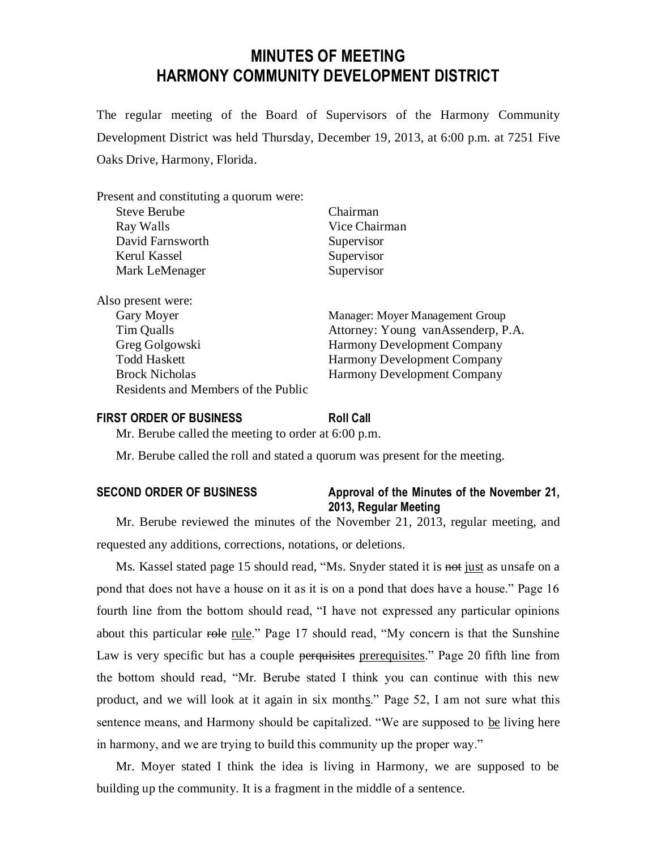# **MINUTES OF MEETING HARMONY COMMUNITY DEVELOPMENT DISTRICT**

The regular meeting of the Board of Supervisors of the Harmony Community Development District was held Thursday, December 19, 2013, at 6:00 p.m. at 7251 Five Oaks Drive, Harmony, Florida.

| Present and constituting a quorum were: |                                    |
|-----------------------------------------|------------------------------------|
| <b>Steve Berube</b>                     | Chairman                           |
| Ray Walls                               | Vice Chairman                      |
| David Farnsworth                        | Supervisor                         |
| Kerul Kassel                            | Supervisor                         |
| Mark LeMenager                          | Supervisor                         |
| Also present were:                      |                                    |
| Gary Moyer                              | Manager: Moyer Management Group    |
| Tim Qualls                              | Attorney: Young vanAssenderp, P.A. |
| Greg Golgowski                          | <b>Harmony Development Company</b> |
| <b>Todd Haskett</b>                     | <b>Harmony Development Company</b> |
| <b>Brock Nicholas</b>                   | <b>Harmony Development Company</b> |
| Residents and Members of the Public     |                                    |

#### **FIRST ORDER OF BUSINESS Roll Call**

Mr. Berube called the meeting to order at 6:00 p.m.

Mr. Berube called the roll and stated a quorum was present for the meeting.

#### **SECOND ORDER OF BUSINESS Approval of the Minutes of the November 21, 2013, Regular Meeting**

Mr. Berube reviewed the minutes of the November 21, 2013, regular meeting, and requested any additions, corrections, notations, or deletions.

Ms. Kassel stated page 15 should read, "Ms. Snyder stated it is not just as unsafe on a pond that does not have a house on it as it is on a pond that does have a house." Page 16 fourth line from the bottom should read, "I have not expressed any particular opinions about this particular role rule." Page 17 should read, "My concern is that the Sunshine Law is very specific but has a couple perquisities prerequisites." Page 20 fifth line from the bottom should read, "Mr. Berube stated I think you can continue with this new product, and we will look at it again in six months." Page 52, I am not sure what this sentence means, and Harmony should be capitalized. "We are supposed to be living here in harmony, and we are trying to build this community up the proper way."

Mr. Moyer stated I think the idea is living in Harmony, we are supposed to be building up the community. It is a fragment in the middle of a sentence.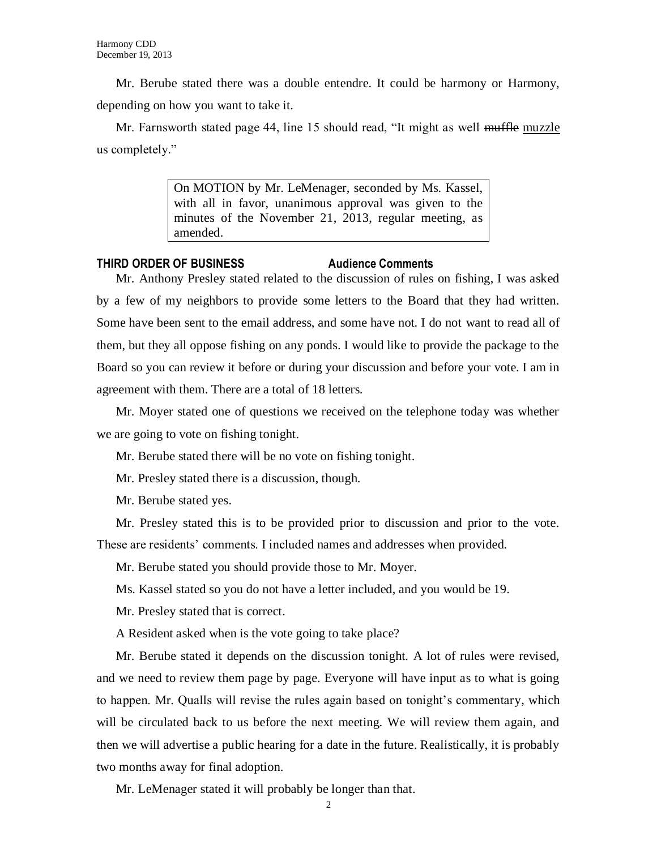Mr. Berube stated there was a double entendre. It could be harmony or Harmony, depending on how you want to take it.

Mr. Farnsworth stated page 44, line 15 should read, "It might as well muffle muzzle us completely."

> On MOTION by Mr. LeMenager, seconded by Ms. Kassel, with all in favor, unanimous approval was given to the minutes of the November 21, 2013, regular meeting, as amended.

### **THIRD ORDER OF BUSINESS Audience Comments**

Mr. Anthony Presley stated related to the discussion of rules on fishing, I was asked by a few of my neighbors to provide some letters to the Board that they had written. Some have been sent to the email address, and some have not. I do not want to read all of them, but they all oppose fishing on any ponds. I would like to provide the package to the Board so you can review it before or during your discussion and before your vote. I am in agreement with them. There are a total of 18 letters.

Mr. Moyer stated one of questions we received on the telephone today was whether we are going to vote on fishing tonight.

Mr. Berube stated there will be no vote on fishing tonight.

Mr. Presley stated there is a discussion, though.

Mr. Berube stated yes.

Mr. Presley stated this is to be provided prior to discussion and prior to the vote. These are residents' comments. I included names and addresses when provided.

Mr. Berube stated you should provide those to Mr. Moyer.

Ms. Kassel stated so you do not have a letter included, and you would be 19.

Mr. Presley stated that is correct.

A Resident asked when is the vote going to take place?

Mr. Berube stated it depends on the discussion tonight. A lot of rules were revised, and we need to review them page by page. Everyone will have input as to what is going to happen. Mr. Qualls will revise the rules again based on tonight's commentary, which will be circulated back to us before the next meeting. We will review them again, and then we will advertise a public hearing for a date in the future. Realistically, it is probably two months away for final adoption.

Mr. LeMenager stated it will probably be longer than that.

 $\mathfrak{D}$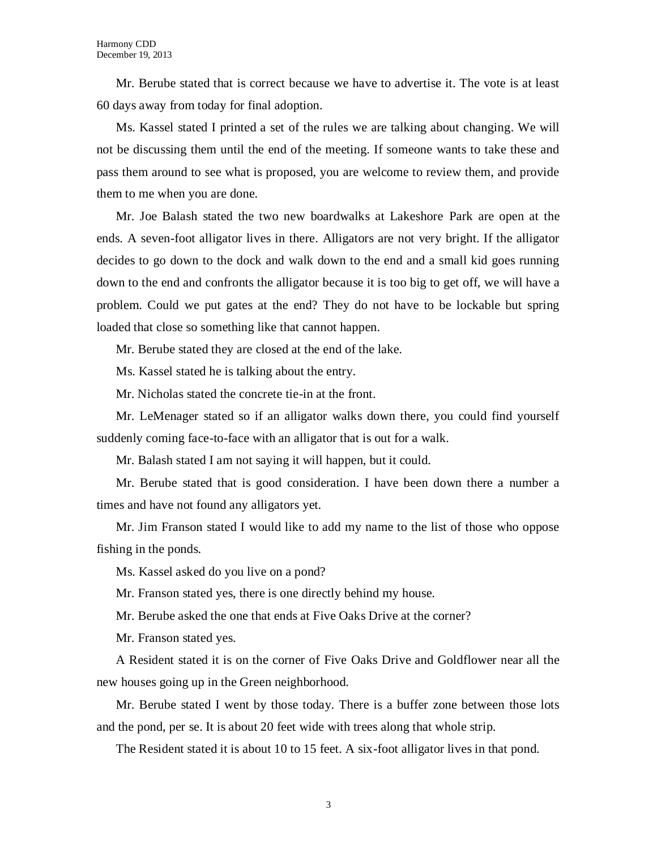Mr. Berube stated that is correct because we have to advertise it. The vote is at least 60 days away from today for final adoption.

Ms. Kassel stated I printed a set of the rules we are talking about changing. We will not be discussing them until the end of the meeting. If someone wants to take these and pass them around to see what is proposed, you are welcome to review them, and provide them to me when you are done.

Mr. Joe Balash stated the two new boardwalks at Lakeshore Park are open at the ends. A seven-foot alligator lives in there. Alligators are not very bright. If the alligator decides to go down to the dock and walk down to the end and a small kid goes running down to the end and confronts the alligator because it is too big to get off, we will have a problem. Could we put gates at the end? They do not have to be lockable but spring loaded that close so something like that cannot happen.

Mr. Berube stated they are closed at the end of the lake.

Ms. Kassel stated he is talking about the entry.

Mr. Nicholas stated the concrete tie-in at the front.

Mr. LeMenager stated so if an alligator walks down there, you could find yourself suddenly coming face-to-face with an alligator that is out for a walk.

Mr. Balash stated I am not saying it will happen, but it could.

Mr. Berube stated that is good consideration. I have been down there a number a times and have not found any alligators yet.

Mr. Jim Franson stated I would like to add my name to the list of those who oppose fishing in the ponds.

Ms. Kassel asked do you live on a pond?

Mr. Franson stated yes, there is one directly behind my house.

Mr. Berube asked the one that ends at Five Oaks Drive at the corner?

Mr. Franson stated yes.

A Resident stated it is on the corner of Five Oaks Drive and Goldflower near all the new houses going up in the Green neighborhood.

Mr. Berube stated I went by those today. There is a buffer zone between those lots and the pond, per se. It is about 20 feet wide with trees along that whole strip.

The Resident stated it is about 10 to 15 feet. A six-foot alligator lives in that pond.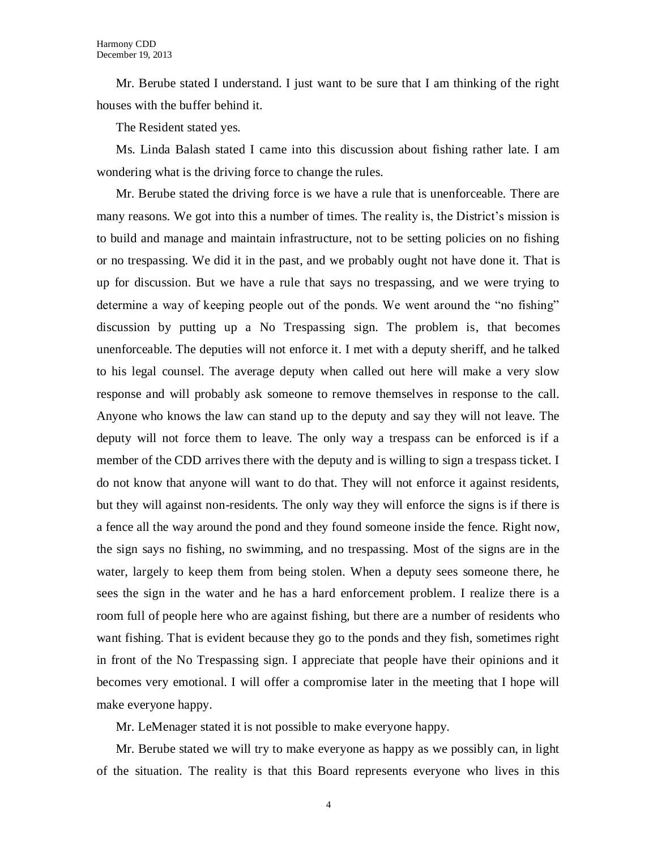Mr. Berube stated I understand. I just want to be sure that I am thinking of the right houses with the buffer behind it.

The Resident stated yes.

Ms. Linda Balash stated I came into this discussion about fishing rather late. I am wondering what is the driving force to change the rules.

Mr. Berube stated the driving force is we have a rule that is unenforceable. There are many reasons. We got into this a number of times. The reality is, the District's mission is to build and manage and maintain infrastructure, not to be setting policies on no fishing or no trespassing. We did it in the past, and we probably ought not have done it. That is up for discussion. But we have a rule that says no trespassing, and we were trying to determine a way of keeping people out of the ponds. We went around the "no fishing" discussion by putting up a No Trespassing sign. The problem is, that becomes unenforceable. The deputies will not enforce it. I met with a deputy sheriff, and he talked to his legal counsel. The average deputy when called out here will make a very slow response and will probably ask someone to remove themselves in response to the call. Anyone who knows the law can stand up to the deputy and say they will not leave. The deputy will not force them to leave. The only way a trespass can be enforced is if a member of the CDD arrives there with the deputy and is willing to sign a trespass ticket. I do not know that anyone will want to do that. They will not enforce it against residents, but they will against non-residents. The only way they will enforce the signs is if there is a fence all the way around the pond and they found someone inside the fence. Right now, the sign says no fishing, no swimming, and no trespassing. Most of the signs are in the water, largely to keep them from being stolen. When a deputy sees someone there, he sees the sign in the water and he has a hard enforcement problem. I realize there is a room full of people here who are against fishing, but there are a number of residents who want fishing. That is evident because they go to the ponds and they fish, sometimes right in front of the No Trespassing sign. I appreciate that people have their opinions and it becomes very emotional. I will offer a compromise later in the meeting that I hope will make everyone happy.

Mr. LeMenager stated it is not possible to make everyone happy.

Mr. Berube stated we will try to make everyone as happy as we possibly can, in light of the situation. The reality is that this Board represents everyone who lives in this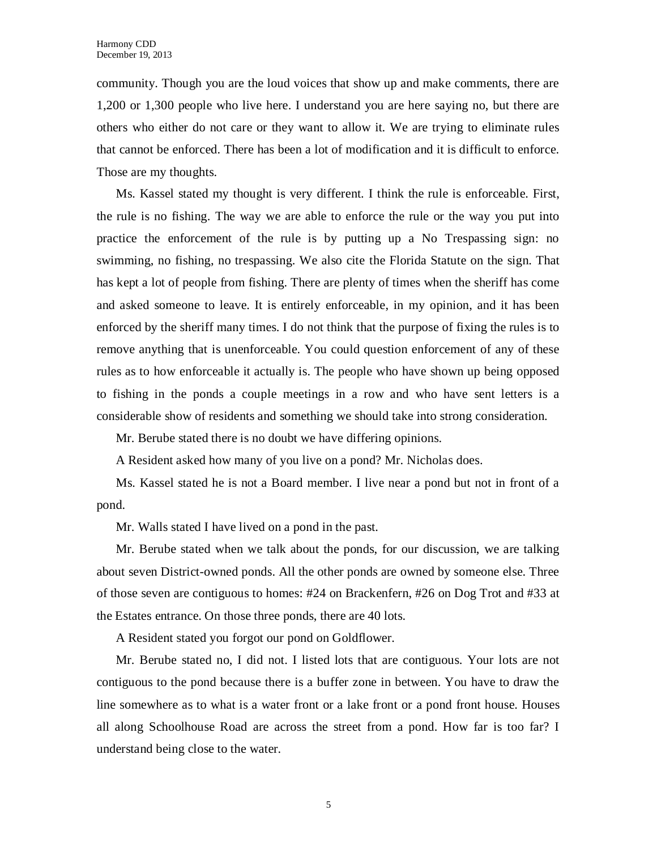community. Though you are the loud voices that show up and make comments, there are 1,200 or 1,300 people who live here. I understand you are here saying no, but there are others who either do not care or they want to allow it. We are trying to eliminate rules that cannot be enforced. There has been a lot of modification and it is difficult to enforce. Those are my thoughts.

Ms. Kassel stated my thought is very different. I think the rule is enforceable. First, the rule is no fishing. The way we are able to enforce the rule or the way you put into practice the enforcement of the rule is by putting up a No Trespassing sign: no swimming, no fishing, no trespassing. We also cite the Florida Statute on the sign. That has kept a lot of people from fishing. There are plenty of times when the sheriff has come and asked someone to leave. It is entirely enforceable, in my opinion, and it has been enforced by the sheriff many times. I do not think that the purpose of fixing the rules is to remove anything that is unenforceable. You could question enforcement of any of these rules as to how enforceable it actually is. The people who have shown up being opposed to fishing in the ponds a couple meetings in a row and who have sent letters is a considerable show of residents and something we should take into strong consideration.

Mr. Berube stated there is no doubt we have differing opinions.

A Resident asked how many of you live on a pond? Mr. Nicholas does.

Ms. Kassel stated he is not a Board member. I live near a pond but not in front of a pond.

Mr. Walls stated I have lived on a pond in the past.

Mr. Berube stated when we talk about the ponds, for our discussion, we are talking about seven District-owned ponds. All the other ponds are owned by someone else. Three of those seven are contiguous to homes: #24 on Brackenfern, #26 on Dog Trot and #33 at the Estates entrance. On those three ponds, there are 40 lots.

A Resident stated you forgot our pond on Goldflower.

Mr. Berube stated no, I did not. I listed lots that are contiguous. Your lots are not contiguous to the pond because there is a buffer zone in between. You have to draw the line somewhere as to what is a water front or a lake front or a pond front house. Houses all along Schoolhouse Road are across the street from a pond. How far is too far? I understand being close to the water.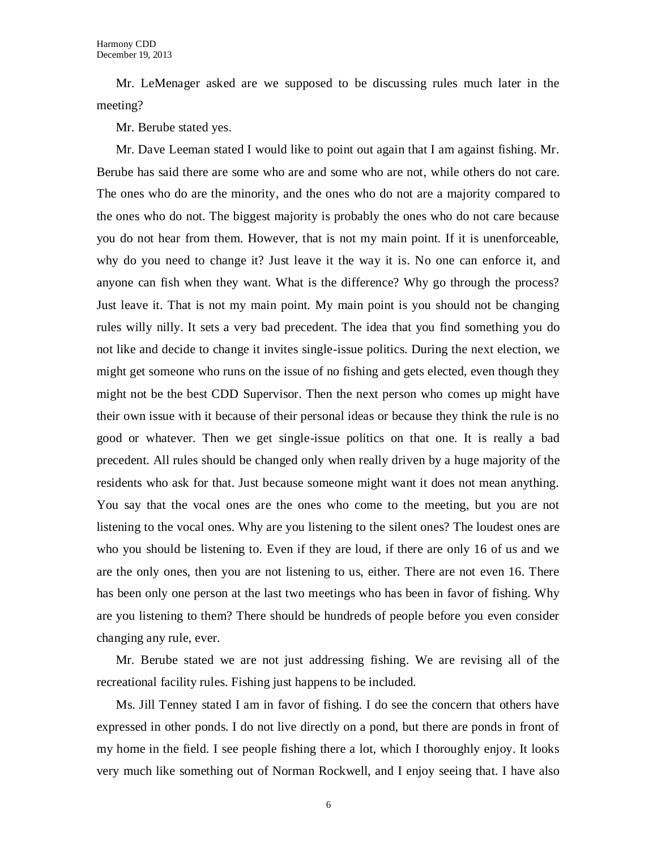Mr. LeMenager asked are we supposed to be discussing rules much later in the meeting?

Mr. Berube stated yes.

Mr. Dave Leeman stated I would like to point out again that I am against fishing. Mr. Berube has said there are some who are and some who are not, while others do not care. The ones who do are the minority, and the ones who do not are a majority compared to the ones who do not. The biggest majority is probably the ones who do not care because you do not hear from them. However, that is not my main point. If it is unenforceable, why do you need to change it? Just leave it the way it is. No one can enforce it, and anyone can fish when they want. What is the difference? Why go through the process? Just leave it. That is not my main point. My main point is you should not be changing rules willy nilly. It sets a very bad precedent. The idea that you find something you do not like and decide to change it invites single-issue politics. During the next election, we might get someone who runs on the issue of no fishing and gets elected, even though they might not be the best CDD Supervisor. Then the next person who comes up might have their own issue with it because of their personal ideas or because they think the rule is no good or whatever. Then we get single-issue politics on that one. It is really a bad precedent. All rules should be changed only when really driven by a huge majority of the residents who ask for that. Just because someone might want it does not mean anything. You say that the vocal ones are the ones who come to the meeting, but you are not listening to the vocal ones. Why are you listening to the silent ones? The loudest ones are who you should be listening to. Even if they are loud, if there are only 16 of us and we are the only ones, then you are not listening to us, either. There are not even 16. There has been only one person at the last two meetings who has been in favor of fishing. Why are you listening to them? There should be hundreds of people before you even consider changing any rule, ever.

Mr. Berube stated we are not just addressing fishing. We are revising all of the recreational facility rules. Fishing just happens to be included.

Ms. Jill Tenney stated I am in favor of fishing. I do see the concern that others have expressed in other ponds. I do not live directly on a pond, but there are ponds in front of my home in the field. I see people fishing there a lot, which I thoroughly enjoy. It looks very much like something out of Norman Rockwell, and I enjoy seeing that. I have also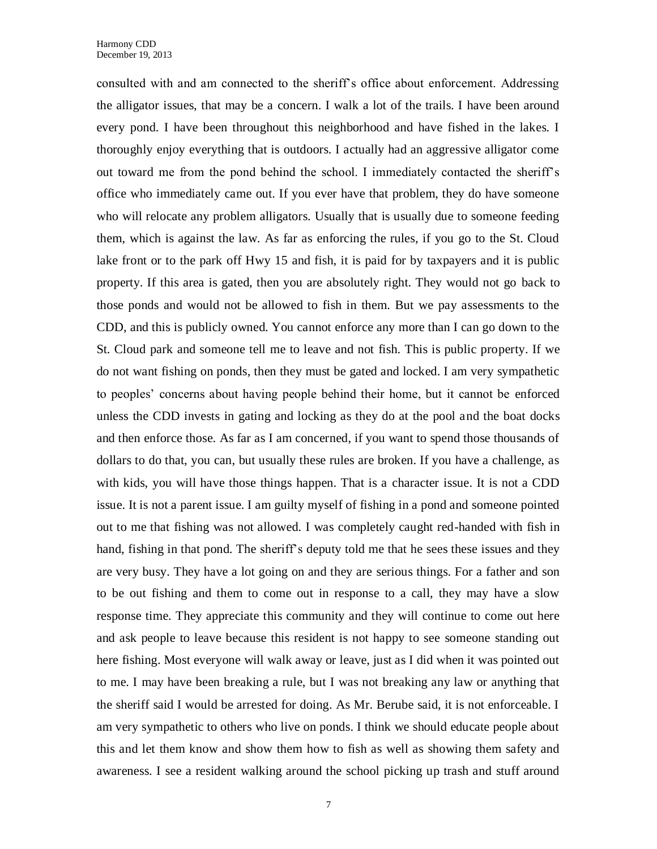consulted with and am connected to the sheriff's office about enforcement. Addressing the alligator issues, that may be a concern. I walk a lot of the trails. I have been around every pond. I have been throughout this neighborhood and have fished in the lakes. I thoroughly enjoy everything that is outdoors. I actually had an aggressive alligator come out toward me from the pond behind the school. I immediately contacted the sheriff's office who immediately came out. If you ever have that problem, they do have someone who will relocate any problem alligators. Usually that is usually due to someone feeding them, which is against the law. As far as enforcing the rules, if you go to the St. Cloud lake front or to the park off Hwy 15 and fish, it is paid for by taxpayers and it is public property. If this area is gated, then you are absolutely right. They would not go back to those ponds and would not be allowed to fish in them. But we pay assessments to the CDD, and this is publicly owned. You cannot enforce any more than I can go down to the St. Cloud park and someone tell me to leave and not fish. This is public property. If we do not want fishing on ponds, then they must be gated and locked. I am very sympathetic to peoples' concerns about having people behind their home, but it cannot be enforced unless the CDD invests in gating and locking as they do at the pool and the boat docks and then enforce those. As far as I am concerned, if you want to spend those thousands of dollars to do that, you can, but usually these rules are broken. If you have a challenge, as with kids, you will have those things happen. That is a character issue. It is not a CDD issue. It is not a parent issue. I am guilty myself of fishing in a pond and someone pointed out to me that fishing was not allowed. I was completely caught red-handed with fish in hand, fishing in that pond. The sheriff's deputy told me that he sees these issues and they are very busy. They have a lot going on and they are serious things. For a father and son to be out fishing and them to come out in response to a call, they may have a slow response time. They appreciate this community and they will continue to come out here and ask people to leave because this resident is not happy to see someone standing out here fishing. Most everyone will walk away or leave, just as I did when it was pointed out to me. I may have been breaking a rule, but I was not breaking any law or anything that the sheriff said I would be arrested for doing. As Mr. Berube said, it is not enforceable. I am very sympathetic to others who live on ponds. I think we should educate people about this and let them know and show them how to fish as well as showing them safety and awareness. I see a resident walking around the school picking up trash and stuff around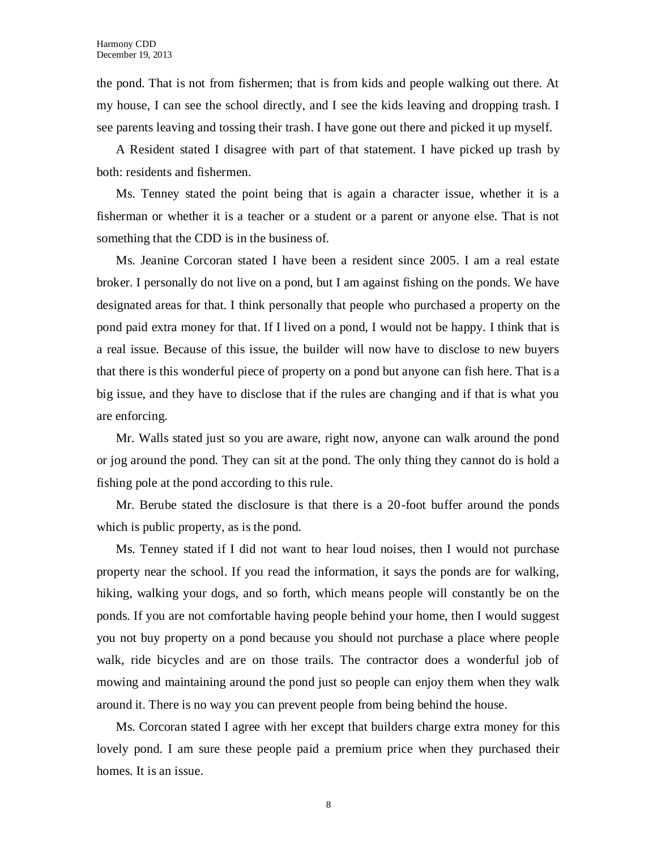the pond. That is not from fishermen; that is from kids and people walking out there. At my house, I can see the school directly, and I see the kids leaving and dropping trash. I see parents leaving and tossing their trash. I have gone out there and picked it up myself.

A Resident stated I disagree with part of that statement. I have picked up trash by both: residents and fishermen.

Ms. Tenney stated the point being that is again a character issue, whether it is a fisherman or whether it is a teacher or a student or a parent or anyone else. That is not something that the CDD is in the business of.

Ms. Jeanine Corcoran stated I have been a resident since 2005. I am a real estate broker. I personally do not live on a pond, but I am against fishing on the ponds. We have designated areas for that. I think personally that people who purchased a property on the pond paid extra money for that. If I lived on a pond, I would not be happy. I think that is a real issue. Because of this issue, the builder will now have to disclose to new buyers that there is this wonderful piece of property on a pond but anyone can fish here. That is a big issue, and they have to disclose that if the rules are changing and if that is what you are enforcing.

Mr. Walls stated just so you are aware, right now, anyone can walk around the pond or jog around the pond. They can sit at the pond. The only thing they cannot do is hold a fishing pole at the pond according to this rule.

Mr. Berube stated the disclosure is that there is a 20-foot buffer around the ponds which is public property, as is the pond.

Ms. Tenney stated if I did not want to hear loud noises, then I would not purchase property near the school. If you read the information, it says the ponds are for walking, hiking, walking your dogs, and so forth, which means people will constantly be on the ponds. If you are not comfortable having people behind your home, then I would suggest you not buy property on a pond because you should not purchase a place where people walk, ride bicycles and are on those trails. The contractor does a wonderful job of mowing and maintaining around the pond just so people can enjoy them when they walk around it. There is no way you can prevent people from being behind the house.

Ms. Corcoran stated I agree with her except that builders charge extra money for this lovely pond. I am sure these people paid a premium price when they purchased their homes. It is an issue.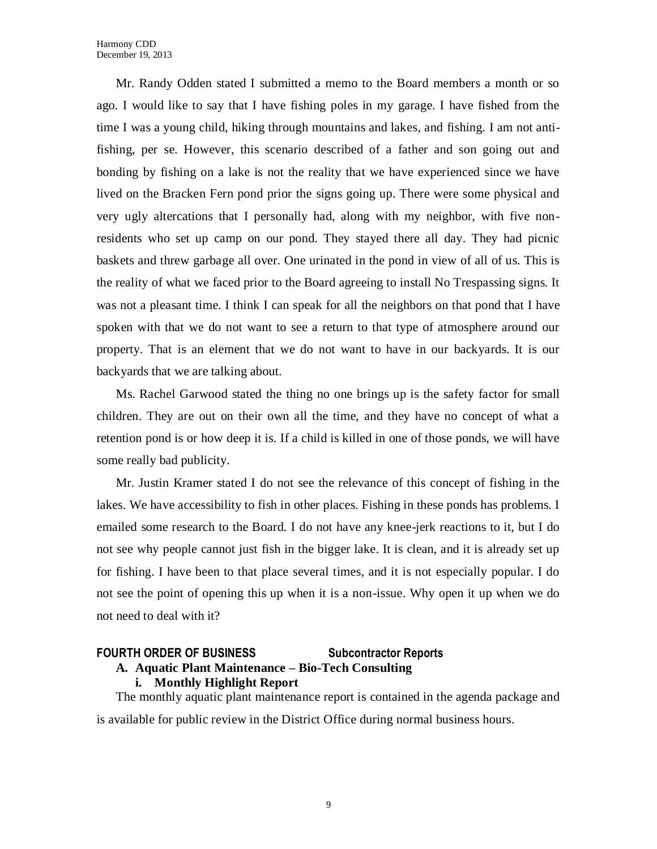Mr. Randy Odden stated I submitted a memo to the Board members a month or so ago. I would like to say that I have fishing poles in my garage. I have fished from the time I was a young child, hiking through mountains and lakes, and fishing. I am not antifishing, per se. However, this scenario described of a father and son going out and bonding by fishing on a lake is not the reality that we have experienced since we have lived on the Bracken Fern pond prior the signs going up. There were some physical and very ugly altercations that I personally had, along with my neighbor, with five nonresidents who set up camp on our pond. They stayed there all day. They had picnic baskets and threw garbage all over. One urinated in the pond in view of all of us. This is the reality of what we faced prior to the Board agreeing to install No Trespassing signs. It was not a pleasant time. I think I can speak for all the neighbors on that pond that I have spoken with that we do not want to see a return to that type of atmosphere around our property. That is an element that we do not want to have in our backyards. It is our backyards that we are talking about.

Ms. Rachel Garwood stated the thing no one brings up is the safety factor for small children. They are out on their own all the time, and they have no concept of what a retention pond is or how deep it is. If a child is killed in one of those ponds, we will have some really bad publicity.

Mr. Justin Kramer stated I do not see the relevance of this concept of fishing in the lakes. We have accessibility to fish in other places. Fishing in these ponds has problems. I emailed some research to the Board. I do not have any knee-jerk reactions to it, but I do not see why people cannot just fish in the bigger lake. It is clean, and it is already set up for fishing. I have been to that place several times, and it is not especially popular. I do not see the point of opening this up when it is a non-issue. Why open it up when we do not need to deal with it?

## **FOURTH ORDER OF BUSINESS Subcontractor Reports A. Aquatic Plant Maintenance – Bio-Tech Consulting**

#### **i. Monthly Highlight Report**

The monthly aquatic plant maintenance report is contained in the agenda package and is available for public review in the District Office during normal business hours.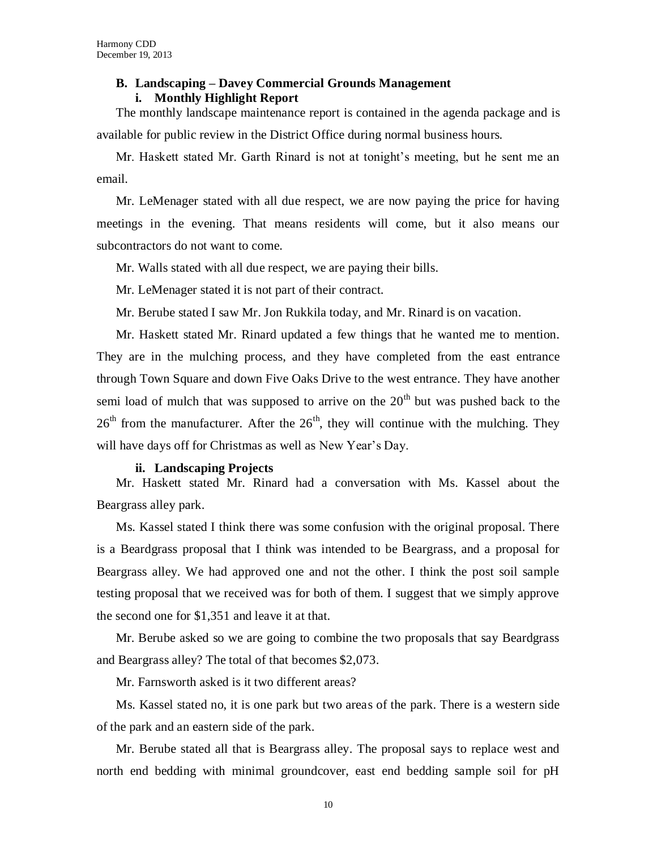### **B. Landscaping – Davey Commercial Grounds Management i. Monthly Highlight Report**

The monthly landscape maintenance report is contained in the agenda package and is available for public review in the District Office during normal business hours.

Mr. Haskett stated Mr. Garth Rinard is not at tonight's meeting, but he sent me an email.

Mr. LeMenager stated with all due respect, we are now paying the price for having meetings in the evening. That means residents will come, but it also means our subcontractors do not want to come.

Mr. Walls stated with all due respect, we are paying their bills.

Mr. LeMenager stated it is not part of their contract.

Mr. Berube stated I saw Mr. Jon Rukkila today, and Mr. Rinard is on vacation.

Mr. Haskett stated Mr. Rinard updated a few things that he wanted me to mention. They are in the mulching process, and they have completed from the east entrance through Town Square and down Five Oaks Drive to the west entrance. They have another semi load of mulch that was supposed to arrive on the  $20<sup>th</sup>$  but was pushed back to the  $26<sup>th</sup>$  from the manufacturer. After the  $26<sup>th</sup>$ , they will continue with the mulching. They will have days off for Christmas as well as New Year's Day.

#### **ii. Landscaping Projects**

Mr. Haskett stated Mr. Rinard had a conversation with Ms. Kassel about the Beargrass alley park.

Ms. Kassel stated I think there was some confusion with the original proposal. There is a Beardgrass proposal that I think was intended to be Beargrass, and a proposal for Beargrass alley. We had approved one and not the other. I think the post soil sample testing proposal that we received was for both of them. I suggest that we simply approve the second one for \$1,351 and leave it at that.

Mr. Berube asked so we are going to combine the two proposals that say Beardgrass and Beargrass alley? The total of that becomes \$2,073.

Mr. Farnsworth asked is it two different areas?

Ms. Kassel stated no, it is one park but two areas of the park. There is a western side of the park and an eastern side of the park.

Mr. Berube stated all that is Beargrass alley. The proposal says to replace west and north end bedding with minimal groundcover, east end bedding sample soil for pH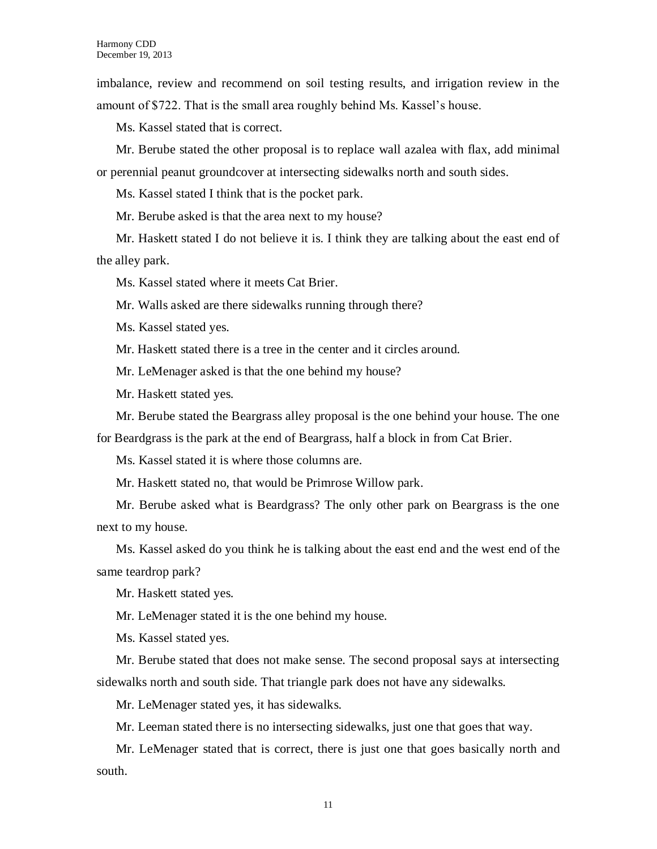imbalance, review and recommend on soil testing results, and irrigation review in the amount of \$722. That is the small area roughly behind Ms. Kassel's house.

Ms. Kassel stated that is correct.

Mr. Berube stated the other proposal is to replace wall azalea with flax, add minimal or perennial peanut groundcover at intersecting sidewalks north and south sides.

Ms. Kassel stated I think that is the pocket park.

Mr. Berube asked is that the area next to my house?

Mr. Haskett stated I do not believe it is. I think they are talking about the east end of the alley park.

Ms. Kassel stated where it meets Cat Brier.

Mr. Walls asked are there sidewalks running through there?

Ms. Kassel stated yes.

Mr. Haskett stated there is a tree in the center and it circles around.

Mr. LeMenager asked is that the one behind my house?

Mr. Haskett stated yes.

Mr. Berube stated the Beargrass alley proposal is the one behind your house. The one

for Beardgrass is the park at the end of Beargrass, half a block in from Cat Brier.

Ms. Kassel stated it is where those columns are.

Mr. Haskett stated no, that would be Primrose Willow park.

Mr. Berube asked what is Beardgrass? The only other park on Beargrass is the one next to my house.

Ms. Kassel asked do you think he is talking about the east end and the west end of the same teardrop park?

Mr. Haskett stated yes.

Mr. LeMenager stated it is the one behind my house.

Ms. Kassel stated yes.

Mr. Berube stated that does not make sense. The second proposal says at intersecting sidewalks north and south side. That triangle park does not have any sidewalks.

Mr. LeMenager stated yes, it has sidewalks.

Mr. Leeman stated there is no intersecting sidewalks, just one that goes that way.

Mr. LeMenager stated that is correct, there is just one that goes basically north and south.

11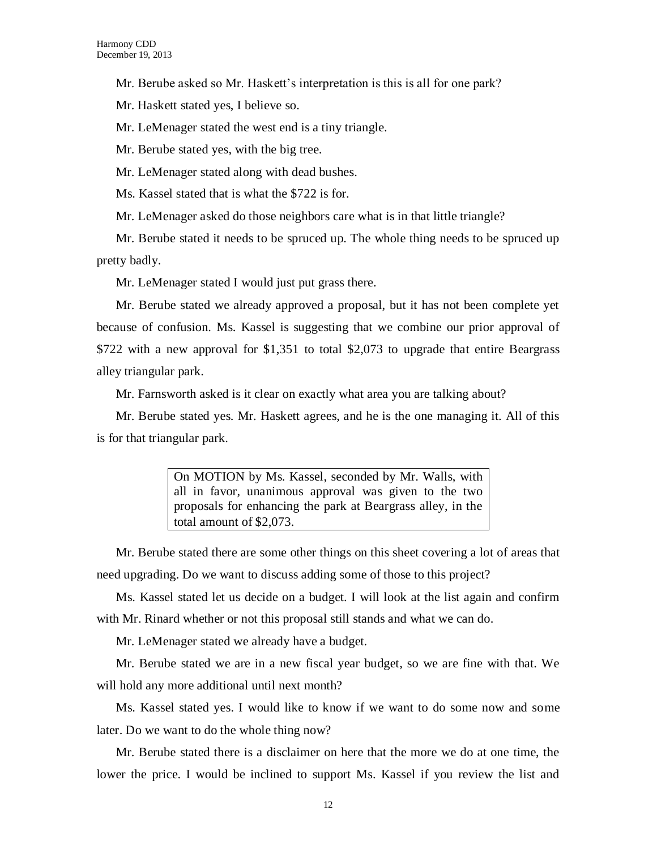Mr. Berube asked so Mr. Haskett's interpretation is this is all for one park?

Mr. Haskett stated yes, I believe so.

Mr. LeMenager stated the west end is a tiny triangle.

Mr. Berube stated yes, with the big tree.

Mr. LeMenager stated along with dead bushes.

Ms. Kassel stated that is what the \$722 is for.

Mr. LeMenager asked do those neighbors care what is in that little triangle?

Mr. Berube stated it needs to be spruced up. The whole thing needs to be spruced up pretty badly.

Mr. LeMenager stated I would just put grass there.

Mr. Berube stated we already approved a proposal, but it has not been complete yet because of confusion. Ms. Kassel is suggesting that we combine our prior approval of \$722 with a new approval for \$1,351 to total \$2,073 to upgrade that entire Beargrass alley triangular park.

Mr. Farnsworth asked is it clear on exactly what area you are talking about?

Mr. Berube stated yes. Mr. Haskett agrees, and he is the one managing it. All of this is for that triangular park.

> On MOTION by Ms. Kassel, seconded by Mr. Walls, with all in favor, unanimous approval was given to the two proposals for enhancing the park at Beargrass alley, in the total amount of \$2,073.

Mr. Berube stated there are some other things on this sheet covering a lot of areas that need upgrading. Do we want to discuss adding some of those to this project?

Ms. Kassel stated let us decide on a budget. I will look at the list again and confirm with Mr. Rinard whether or not this proposal still stands and what we can do.

Mr. LeMenager stated we already have a budget.

Mr. Berube stated we are in a new fiscal year budget, so we are fine with that. We will hold any more additional until next month?

Ms. Kassel stated yes. I would like to know if we want to do some now and some later. Do we want to do the whole thing now?

Mr. Berube stated there is a disclaimer on here that the more we do at one time, the lower the price. I would be inclined to support Ms. Kassel if you review the list and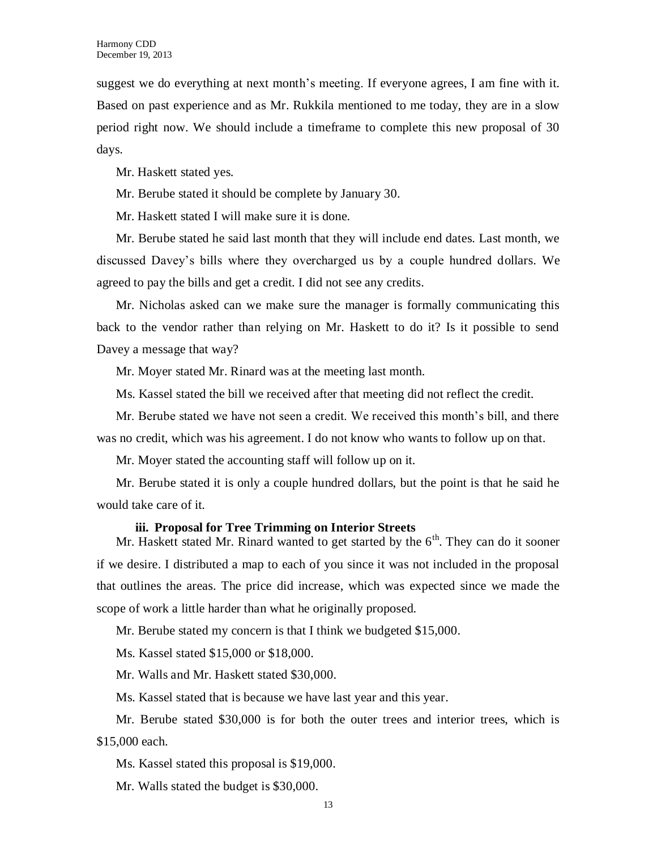suggest we do everything at next month's meeting. If everyone agrees, I am fine with it. Based on past experience and as Mr. Rukkila mentioned to me today, they are in a slow period right now. We should include a timeframe to complete this new proposal of 30 days.

Mr. Haskett stated yes.

Mr. Berube stated it should be complete by January 30.

Mr. Haskett stated I will make sure it is done.

Mr. Berube stated he said last month that they will include end dates. Last month, we discussed Davey's bills where they overcharged us by a couple hundred dollars. We agreed to pay the bills and get a credit. I did not see any credits.

Mr. Nicholas asked can we make sure the manager is formally communicating this back to the vendor rather than relying on Mr. Haskett to do it? Is it possible to send Davey a message that way?

Mr. Moyer stated Mr. Rinard was at the meeting last month.

Ms. Kassel stated the bill we received after that meeting did not reflect the credit.

Mr. Berube stated we have not seen a credit. We received this month's bill, and there was no credit, which was his agreement. I do not know who wants to follow up on that.

Mr. Moyer stated the accounting staff will follow up on it.

Mr. Berube stated it is only a couple hundred dollars, but the point is that he said he would take care of it.

#### **iii. Proposal for Tree Trimming on Interior Streets**

Mr. Haskett stated Mr. Rinard wanted to get started by the  $6<sup>th</sup>$ . They can do it sooner if we desire. I distributed a map to each of you since it was not included in the proposal that outlines the areas. The price did increase, which was expected since we made the scope of work a little harder than what he originally proposed.

Mr. Berube stated my concern is that I think we budgeted \$15,000.

Ms. Kassel stated \$15,000 or \$18,000.

Mr. Walls and Mr. Haskett stated \$30,000.

Ms. Kassel stated that is because we have last year and this year.

Mr. Berube stated \$30,000 is for both the outer trees and interior trees, which is \$15,000 each.

Ms. Kassel stated this proposal is \$19,000.

Mr. Walls stated the budget is \$30,000.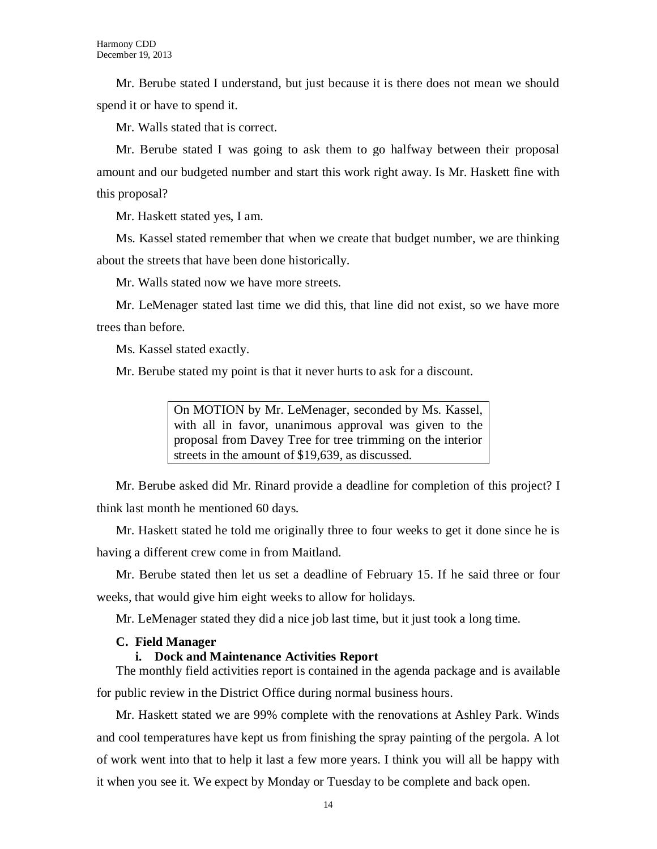Mr. Berube stated I understand, but just because it is there does not mean we should spend it or have to spend it.

Mr. Walls stated that is correct.

Mr. Berube stated I was going to ask them to go halfway between their proposal amount and our budgeted number and start this work right away. Is Mr. Haskett fine with this proposal?

Mr. Haskett stated yes, I am.

Ms. Kassel stated remember that when we create that budget number, we are thinking about the streets that have been done historically.

Mr. Walls stated now we have more streets.

Mr. LeMenager stated last time we did this, that line did not exist, so we have more trees than before.

Ms. Kassel stated exactly.

Mr. Berube stated my point is that it never hurts to ask for a discount.

On MOTION by Mr. LeMenager, seconded by Ms. Kassel, with all in favor, unanimous approval was given to the proposal from Davey Tree for tree trimming on the interior streets in the amount of \$19,639, as discussed.

Mr. Berube asked did Mr. Rinard provide a deadline for completion of this project? I think last month he mentioned 60 days.

Mr. Haskett stated he told me originally three to four weeks to get it done since he is having a different crew come in from Maitland.

Mr. Berube stated then let us set a deadline of February 15. If he said three or four weeks, that would give him eight weeks to allow for holidays.

Mr. LeMenager stated they did a nice job last time, but it just took a long time.

#### **C. Field Manager**

#### **i. Dock and Maintenance Activities Report**

The monthly field activities report is contained in the agenda package and is available for public review in the District Office during normal business hours.

Mr. Haskett stated we are 99% complete with the renovations at Ashley Park. Winds and cool temperatures have kept us from finishing the spray painting of the pergola. A lot of work went into that to help it last a few more years. I think you will all be happy with it when you see it. We expect by Monday or Tuesday to be complete and back open.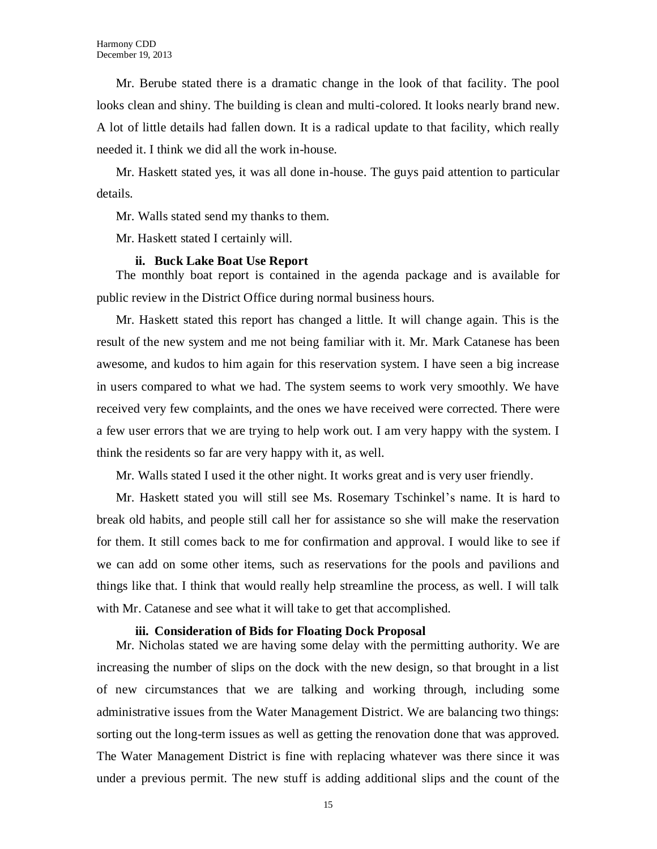Mr. Berube stated there is a dramatic change in the look of that facility. The pool looks clean and shiny. The building is clean and multi-colored. It looks nearly brand new. A lot of little details had fallen down. It is a radical update to that facility, which really needed it. I think we did all the work in-house.

Mr. Haskett stated yes, it was all done in-house. The guys paid attention to particular details.

Mr. Walls stated send my thanks to them.

Mr. Haskett stated I certainly will.

#### **ii. Buck Lake Boat Use Report**

The monthly boat report is contained in the agenda package and is available for public review in the District Office during normal business hours.

Mr. Haskett stated this report has changed a little. It will change again. This is the result of the new system and me not being familiar with it. Mr. Mark Catanese has been awesome, and kudos to him again for this reservation system. I have seen a big increase in users compared to what we had. The system seems to work very smoothly. We have received very few complaints, and the ones we have received were corrected. There were a few user errors that we are trying to help work out. I am very happy with the system. I think the residents so far are very happy with it, as well.

Mr. Walls stated I used it the other night. It works great and is very user friendly.

Mr. Haskett stated you will still see Ms. Rosemary Tschinkel's name. It is hard to break old habits, and people still call her for assistance so she will make the reservation for them. It still comes back to me for confirmation and approval. I would like to see if we can add on some other items, such as reservations for the pools and pavilions and things like that. I think that would really help streamline the process, as well. I will talk with Mr. Catanese and see what it will take to get that accomplished.

#### **iii. Consideration of Bids for Floating Dock Proposal**

Mr. Nicholas stated we are having some delay with the permitting authority. We are increasing the number of slips on the dock with the new design, so that brought in a list of new circumstances that we are talking and working through, including some administrative issues from the Water Management District. We are balancing two things: sorting out the long-term issues as well as getting the renovation done that was approved. The Water Management District is fine with replacing whatever was there since it was under a previous permit. The new stuff is adding additional slips and the count of the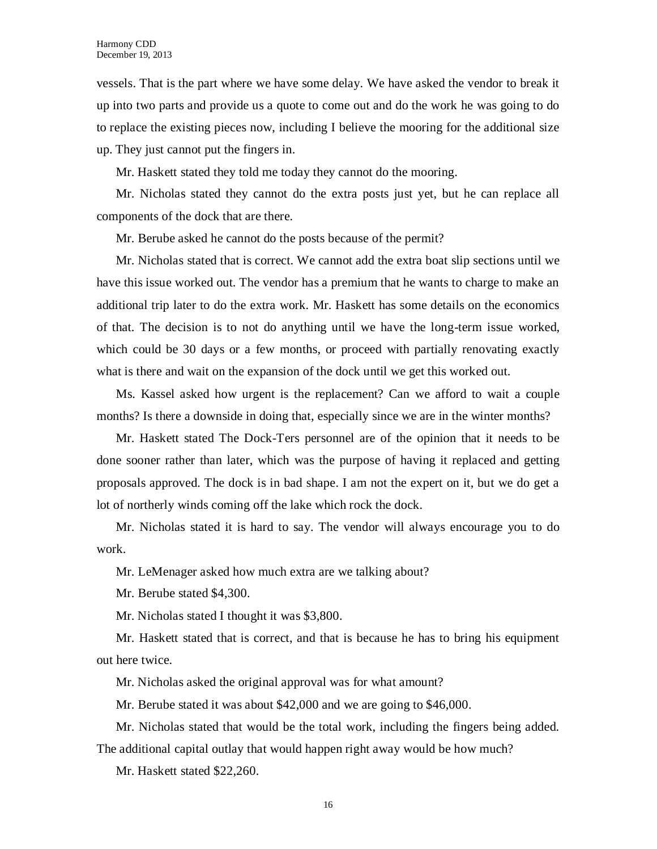vessels. That is the part where we have some delay. We have asked the vendor to break it up into two parts and provide us a quote to come out and do the work he was going to do to replace the existing pieces now, including I believe the mooring for the additional size up. They just cannot put the fingers in.

Mr. Haskett stated they told me today they cannot do the mooring.

Mr. Nicholas stated they cannot do the extra posts just yet, but he can replace all components of the dock that are there.

Mr. Berube asked he cannot do the posts because of the permit?

Mr. Nicholas stated that is correct. We cannot add the extra boat slip sections until we have this issue worked out. The vendor has a premium that he wants to charge to make an additional trip later to do the extra work. Mr. Haskett has some details on the economics of that. The decision is to not do anything until we have the long-term issue worked, which could be 30 days or a few months, or proceed with partially renovating exactly what is there and wait on the expansion of the dock until we get this worked out.

Ms. Kassel asked how urgent is the replacement? Can we afford to wait a couple months? Is there a downside in doing that, especially since we are in the winter months?

Mr. Haskett stated The Dock-Ters personnel are of the opinion that it needs to be done sooner rather than later, which was the purpose of having it replaced and getting proposals approved. The dock is in bad shape. I am not the expert on it, but we do get a lot of northerly winds coming off the lake which rock the dock.

Mr. Nicholas stated it is hard to say. The vendor will always encourage you to do work.

Mr. LeMenager asked how much extra are we talking about?

Mr. Berube stated \$4,300.

Mr. Nicholas stated I thought it was \$3,800.

Mr. Haskett stated that is correct, and that is because he has to bring his equipment out here twice.

Mr. Nicholas asked the original approval was for what amount?

Mr. Berube stated it was about \$42,000 and we are going to \$46,000.

Mr. Nicholas stated that would be the total work, including the fingers being added. The additional capital outlay that would happen right away would be how much?

Mr. Haskett stated \$22,260.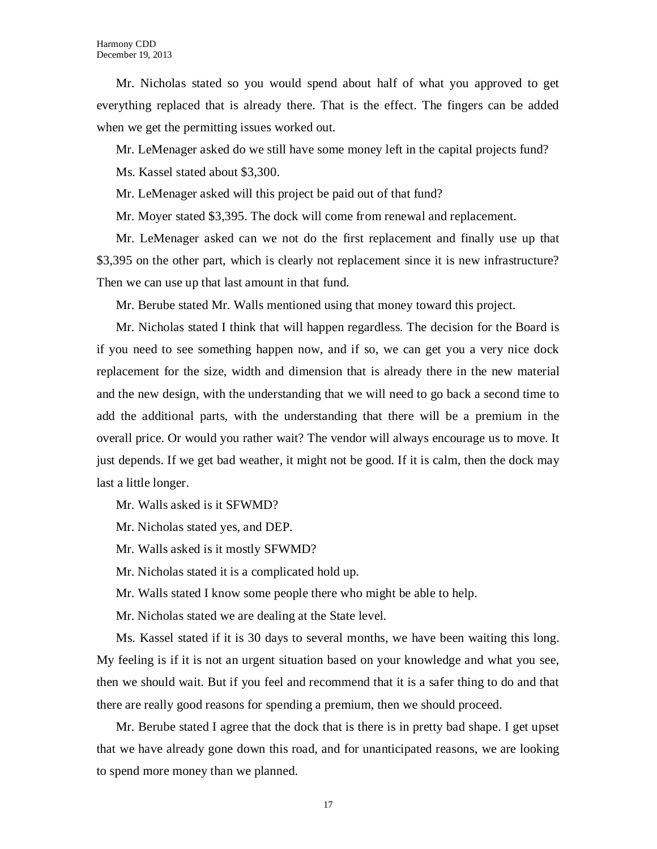Mr. Nicholas stated so you would spend about half of what you approved to get everything replaced that is already there. That is the effect. The fingers can be added when we get the permitting issues worked out.

Mr. LeMenager asked do we still have some money left in the capital projects fund?

Ms. Kassel stated about \$3,300.

Mr. LeMenager asked will this project be paid out of that fund?

Mr. Moyer stated \$3,395. The dock will come from renewal and replacement.

Mr. LeMenager asked can we not do the first replacement and finally use up that \$3,395 on the other part, which is clearly not replacement since it is new infrastructure? Then we can use up that last amount in that fund.

Mr. Berube stated Mr. Walls mentioned using that money toward this project.

Mr. Nicholas stated I think that will happen regardless. The decision for the Board is if you need to see something happen now, and if so, we can get you a very nice dock replacement for the size, width and dimension that is already there in the new material and the new design, with the understanding that we will need to go back a second time to add the additional parts, with the understanding that there will be a premium in the overall price. Or would you rather wait? The vendor will always encourage us to move. It just depends. If we get bad weather, it might not be good. If it is calm, then the dock may last a little longer.

Mr. Walls asked is it SFWMD?

Mr. Nicholas stated yes, and DEP.

Mr. Walls asked is it mostly SFWMD?

Mr. Nicholas stated it is a complicated hold up.

Mr. Walls stated I know some people there who might be able to help.

Mr. Nicholas stated we are dealing at the State level.

Ms. Kassel stated if it is 30 days to several months, we have been waiting this long. My feeling is if it is not an urgent situation based on your knowledge and what you see, then we should wait. But if you feel and recommend that it is a safer thing to do and that there are really good reasons for spending a premium, then we should proceed.

Mr. Berube stated I agree that the dock that is there is in pretty bad shape. I get upset that we have already gone down this road, and for unanticipated reasons, we are looking to spend more money than we planned.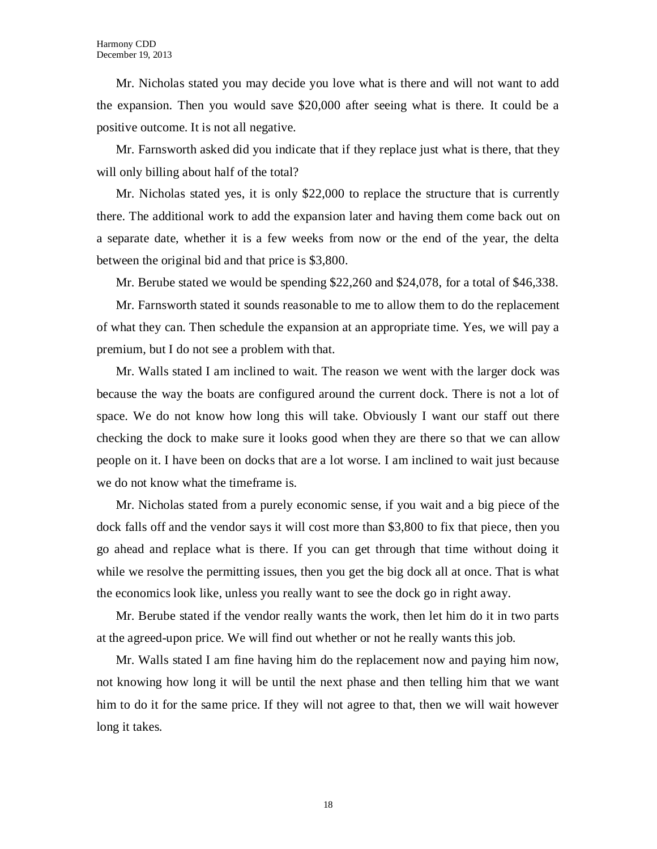Mr. Nicholas stated you may decide you love what is there and will not want to add the expansion. Then you would save \$20,000 after seeing what is there. It could be a positive outcome. It is not all negative.

Mr. Farnsworth asked did you indicate that if they replace just what is there, that they will only billing about half of the total?

Mr. Nicholas stated yes, it is only \$22,000 to replace the structure that is currently there. The additional work to add the expansion later and having them come back out on a separate date, whether it is a few weeks from now or the end of the year, the delta between the original bid and that price is \$3,800.

Mr. Berube stated we would be spending \$22,260 and \$24,078, for a total of \$46,338.

Mr. Farnsworth stated it sounds reasonable to me to allow them to do the replacement of what they can. Then schedule the expansion at an appropriate time. Yes, we will pay a premium, but I do not see a problem with that.

Mr. Walls stated I am inclined to wait. The reason we went with the larger dock was because the way the boats are configured around the current dock. There is not a lot of space. We do not know how long this will take. Obviously I want our staff out there checking the dock to make sure it looks good when they are there so that we can allow people on it. I have been on docks that are a lot worse. I am inclined to wait just because we do not know what the timeframe is.

Mr. Nicholas stated from a purely economic sense, if you wait and a big piece of the dock falls off and the vendor says it will cost more than \$3,800 to fix that piece, then you go ahead and replace what is there. If you can get through that time without doing it while we resolve the permitting issues, then you get the big dock all at once. That is what the economics look like, unless you really want to see the dock go in right away.

Mr. Berube stated if the vendor really wants the work, then let him do it in two parts at the agreed-upon price. We will find out whether or not he really wants this job.

Mr. Walls stated I am fine having him do the replacement now and paying him now, not knowing how long it will be until the next phase and then telling him that we want him to do it for the same price. If they will not agree to that, then we will wait however long it takes.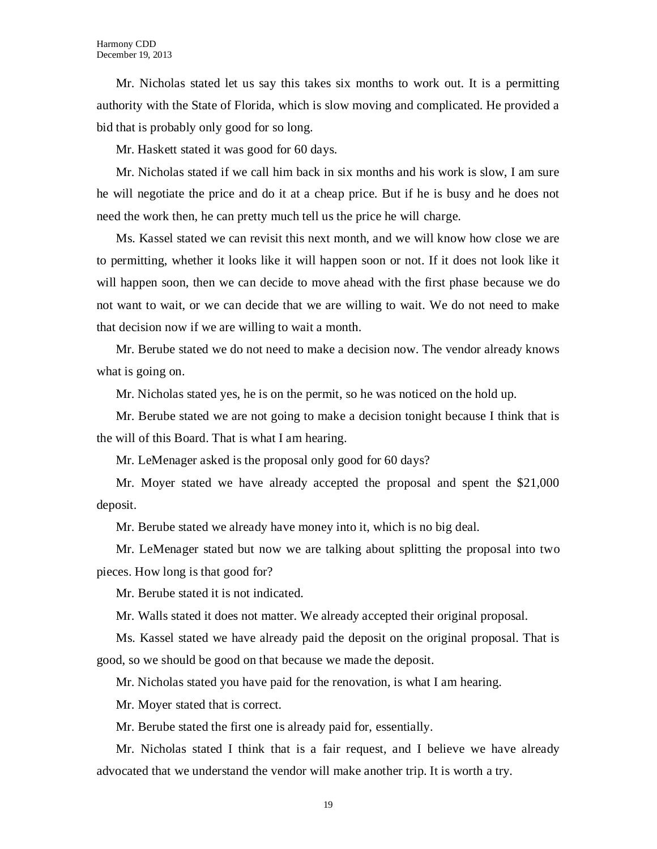Mr. Nicholas stated let us say this takes six months to work out. It is a permitting authority with the State of Florida, which is slow moving and complicated. He provided a bid that is probably only good for so long.

Mr. Haskett stated it was good for 60 days.

Mr. Nicholas stated if we call him back in six months and his work is slow, I am sure he will negotiate the price and do it at a cheap price. But if he is busy and he does not need the work then, he can pretty much tell us the price he will charge.

Ms. Kassel stated we can revisit this next month, and we will know how close we are to permitting, whether it looks like it will happen soon or not. If it does not look like it will happen soon, then we can decide to move ahead with the first phase because we do not want to wait, or we can decide that we are willing to wait. We do not need to make that decision now if we are willing to wait a month.

Mr. Berube stated we do not need to make a decision now. The vendor already knows what is going on.

Mr. Nicholas stated yes, he is on the permit, so he was noticed on the hold up.

Mr. Berube stated we are not going to make a decision tonight because I think that is the will of this Board. That is what I am hearing.

Mr. LeMenager asked is the proposal only good for 60 days?

Mr. Moyer stated we have already accepted the proposal and spent the \$21,000 deposit.

Mr. Berube stated we already have money into it, which is no big deal.

Mr. LeMenager stated but now we are talking about splitting the proposal into two pieces. How long is that good for?

Mr. Berube stated it is not indicated.

Mr. Walls stated it does not matter. We already accepted their original proposal.

Ms. Kassel stated we have already paid the deposit on the original proposal. That is good, so we should be good on that because we made the deposit.

Mr. Nicholas stated you have paid for the renovation, is what I am hearing.

Mr. Moyer stated that is correct.

Mr. Berube stated the first one is already paid for, essentially.

Mr. Nicholas stated I think that is a fair request, and I believe we have already advocated that we understand the vendor will make another trip. It is worth a try.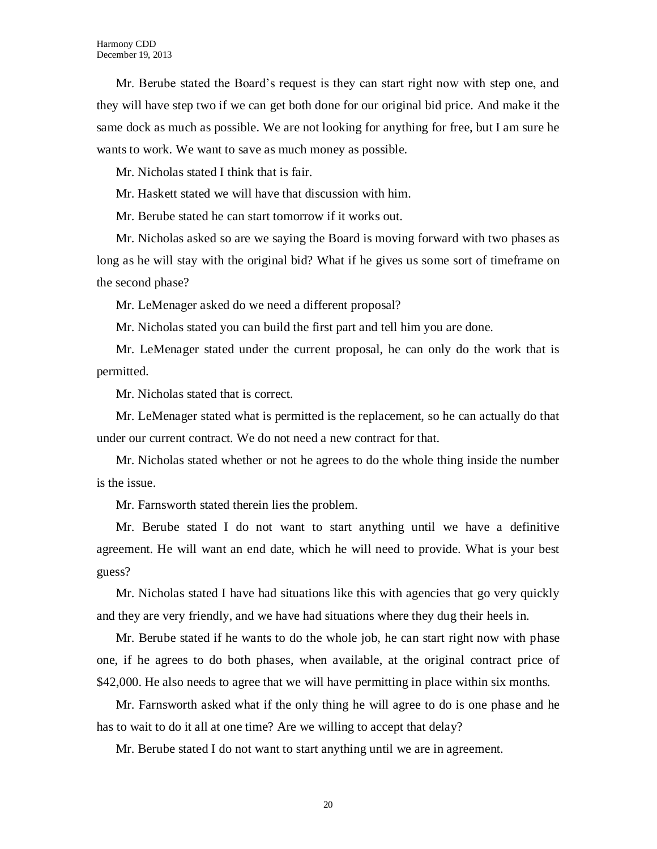Mr. Berube stated the Board's request is they can start right now with step one, and they will have step two if we can get both done for our original bid price. And make it the same dock as much as possible. We are not looking for anything for free, but I am sure he wants to work. We want to save as much money as possible.

Mr. Nicholas stated I think that is fair.

Mr. Haskett stated we will have that discussion with him.

Mr. Berube stated he can start tomorrow if it works out.

Mr. Nicholas asked so are we saying the Board is moving forward with two phases as long as he will stay with the original bid? What if he gives us some sort of timeframe on the second phase?

Mr. LeMenager asked do we need a different proposal?

Mr. Nicholas stated you can build the first part and tell him you are done.

Mr. LeMenager stated under the current proposal, he can only do the work that is permitted.

Mr. Nicholas stated that is correct.

Mr. LeMenager stated what is permitted is the replacement, so he can actually do that under our current contract. We do not need a new contract for that.

Mr. Nicholas stated whether or not he agrees to do the whole thing inside the number is the issue.

Mr. Farnsworth stated therein lies the problem.

Mr. Berube stated I do not want to start anything until we have a definitive agreement. He will want an end date, which he will need to provide. What is your best guess?

Mr. Nicholas stated I have had situations like this with agencies that go very quickly and they are very friendly, and we have had situations where they dug their heels in.

Mr. Berube stated if he wants to do the whole job, he can start right now with phase one, if he agrees to do both phases, when available, at the original contract price of \$42,000. He also needs to agree that we will have permitting in place within six months.

Mr. Farnsworth asked what if the only thing he will agree to do is one phase and he has to wait to do it all at one time? Are we willing to accept that delay?

Mr. Berube stated I do not want to start anything until we are in agreement.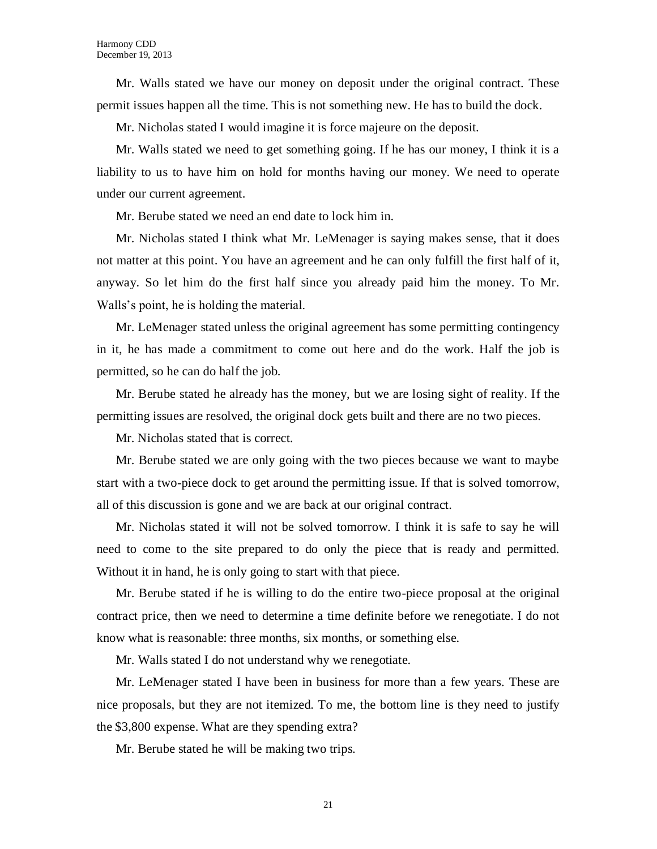Mr. Walls stated we have our money on deposit under the original contract. These permit issues happen all the time. This is not something new. He has to build the dock.

Mr. Nicholas stated I would imagine it is force majeure on the deposit.

Mr. Walls stated we need to get something going. If he has our money, I think it is a liability to us to have him on hold for months having our money. We need to operate under our current agreement.

Mr. Berube stated we need an end date to lock him in.

Mr. Nicholas stated I think what Mr. LeMenager is saying makes sense, that it does not matter at this point. You have an agreement and he can only fulfill the first half of it, anyway. So let him do the first half since you already paid him the money. To Mr. Walls's point, he is holding the material.

Mr. LeMenager stated unless the original agreement has some permitting contingency in it, he has made a commitment to come out here and do the work. Half the job is permitted, so he can do half the job.

Mr. Berube stated he already has the money, but we are losing sight of reality. If the permitting issues are resolved, the original dock gets built and there are no two pieces.

Mr. Nicholas stated that is correct.

Mr. Berube stated we are only going with the two pieces because we want to maybe start with a two-piece dock to get around the permitting issue. If that is solved tomorrow, all of this discussion is gone and we are back at our original contract.

Mr. Nicholas stated it will not be solved tomorrow. I think it is safe to say he will need to come to the site prepared to do only the piece that is ready and permitted. Without it in hand, he is only going to start with that piece.

Mr. Berube stated if he is willing to do the entire two-piece proposal at the original contract price, then we need to determine a time definite before we renegotiate. I do not know what is reasonable: three months, six months, or something else.

Mr. Walls stated I do not understand why we renegotiate.

Mr. LeMenager stated I have been in business for more than a few years. These are nice proposals, but they are not itemized. To me, the bottom line is they need to justify the \$3,800 expense. What are they spending extra?

Mr. Berube stated he will be making two trips.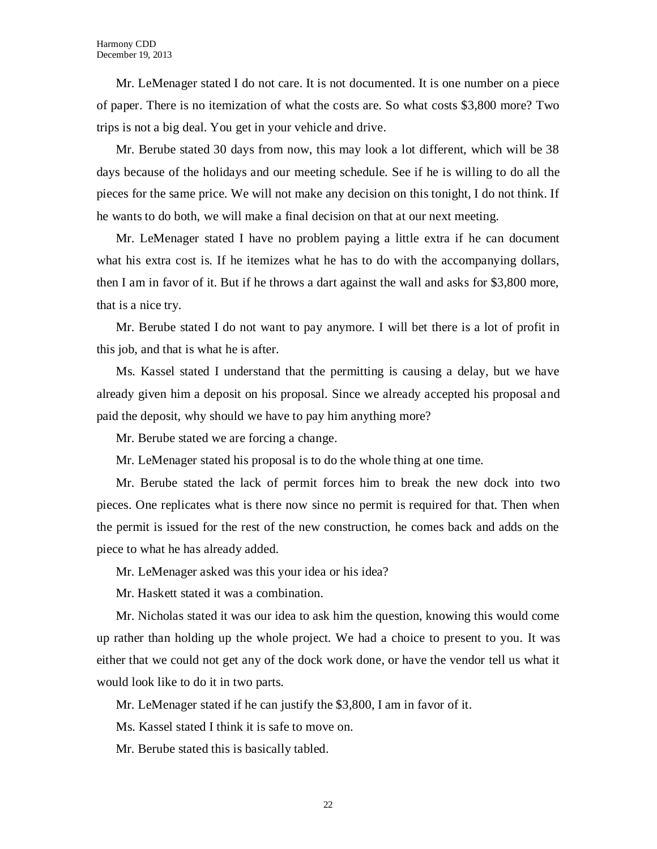Mr. LeMenager stated I do not care. It is not documented. It is one number on a piece of paper. There is no itemization of what the costs are. So what costs \$3,800 more? Two trips is not a big deal. You get in your vehicle and drive.

Mr. Berube stated 30 days from now, this may look a lot different, which will be 38 days because of the holidays and our meeting schedule. See if he is willing to do all the pieces for the same price. We will not make any decision on this tonight, I do not think. If he wants to do both, we will make a final decision on that at our next meeting.

Mr. LeMenager stated I have no problem paying a little extra if he can document what his extra cost is. If he itemizes what he has to do with the accompanying dollars, then I am in favor of it. But if he throws a dart against the wall and asks for \$3,800 more, that is a nice try.

Mr. Berube stated I do not want to pay anymore. I will bet there is a lot of profit in this job, and that is what he is after.

Ms. Kassel stated I understand that the permitting is causing a delay, but we have already given him a deposit on his proposal. Since we already accepted his proposal and paid the deposit, why should we have to pay him anything more?

Mr. Berube stated we are forcing a change.

Mr. LeMenager stated his proposal is to do the whole thing at one time.

Mr. Berube stated the lack of permit forces him to break the new dock into two pieces. One replicates what is there now since no permit is required for that. Then when the permit is issued for the rest of the new construction, he comes back and adds on the piece to what he has already added.

Mr. LeMenager asked was this your idea or his idea?

Mr. Haskett stated it was a combination.

Mr. Nicholas stated it was our idea to ask him the question, knowing this would come up rather than holding up the whole project. We had a choice to present to you. It was either that we could not get any of the dock work done, or have the vendor tell us what it would look like to do it in two parts.

Mr. LeMenager stated if he can justify the \$3,800, I am in favor of it.

Ms. Kassel stated I think it is safe to move on.

Mr. Berube stated this is basically tabled.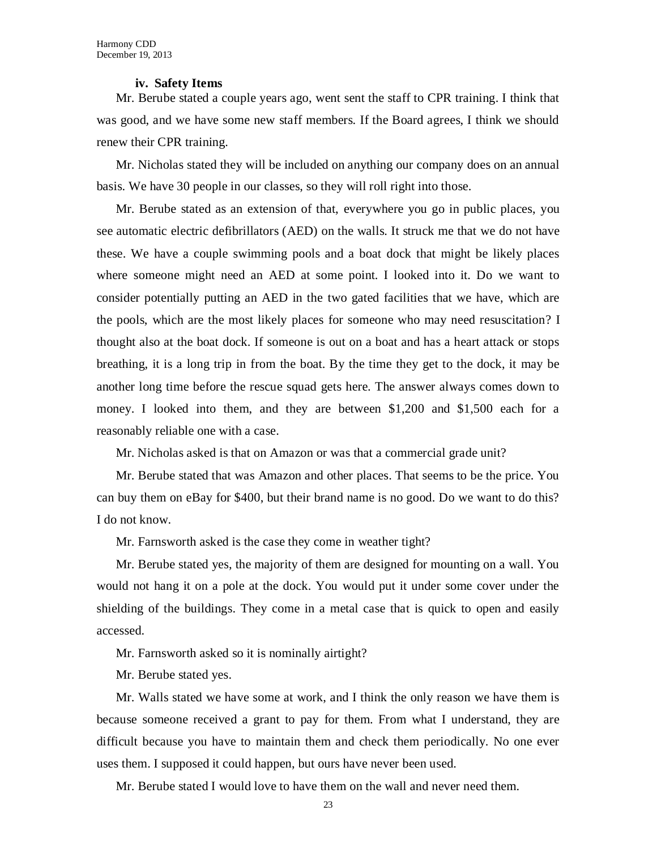#### **iv. Safety Items**

Mr. Berube stated a couple years ago, went sent the staff to CPR training. I think that was good, and we have some new staff members. If the Board agrees, I think we should renew their CPR training.

Mr. Nicholas stated they will be included on anything our company does on an annual basis. We have 30 people in our classes, so they will roll right into those.

Mr. Berube stated as an extension of that, everywhere you go in public places, you see automatic electric defibrillators (AED) on the walls. It struck me that we do not have these. We have a couple swimming pools and a boat dock that might be likely places where someone might need an AED at some point. I looked into it. Do we want to consider potentially putting an AED in the two gated facilities that we have, which are the pools, which are the most likely places for someone who may need resuscitation? I thought also at the boat dock. If someone is out on a boat and has a heart attack or stops breathing, it is a long trip in from the boat. By the time they get to the dock, it may be another long time before the rescue squad gets here. The answer always comes down to money. I looked into them, and they are between \$1,200 and \$1,500 each for a reasonably reliable one with a case.

Mr. Nicholas asked is that on Amazon or was that a commercial grade unit?

Mr. Berube stated that was Amazon and other places. That seems to be the price. You can buy them on eBay for \$400, but their brand name is no good. Do we want to do this? I do not know.

Mr. Farnsworth asked is the case they come in weather tight?

Mr. Berube stated yes, the majority of them are designed for mounting on a wall. You would not hang it on a pole at the dock. You would put it under some cover under the shielding of the buildings. They come in a metal case that is quick to open and easily accessed.

Mr. Farnsworth asked so it is nominally airtight?

Mr. Berube stated yes.

Mr. Walls stated we have some at work, and I think the only reason we have them is because someone received a grant to pay for them. From what I understand, they are difficult because you have to maintain them and check them periodically. No one ever uses them. I supposed it could happen, but ours have never been used.

Mr. Berube stated I would love to have them on the wall and never need them.

23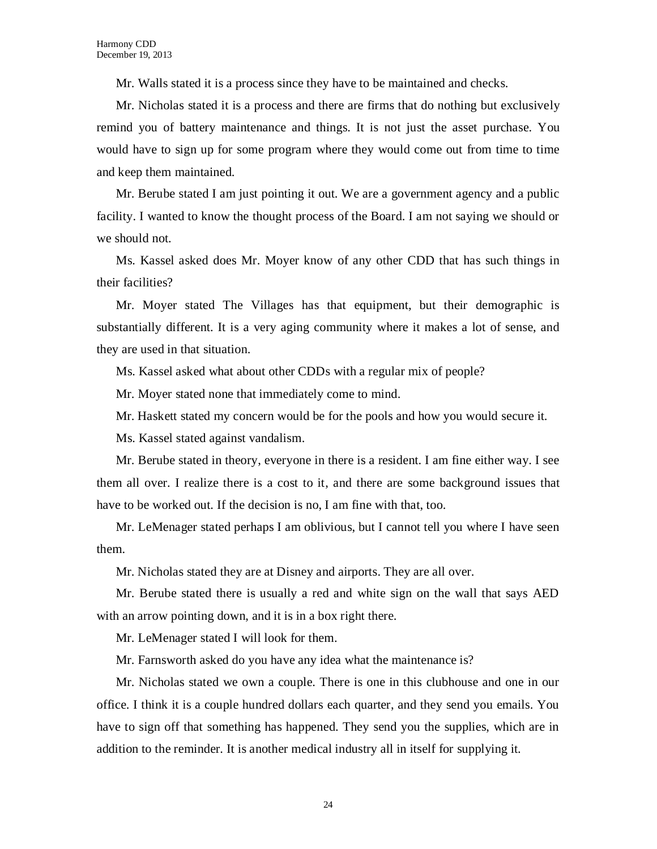Mr. Walls stated it is a process since they have to be maintained and checks.

Mr. Nicholas stated it is a process and there are firms that do nothing but exclusively remind you of battery maintenance and things. It is not just the asset purchase. You would have to sign up for some program where they would come out from time to time and keep them maintained.

Mr. Berube stated I am just pointing it out. We are a government agency and a public facility. I wanted to know the thought process of the Board. I am not saying we should or we should not.

Ms. Kassel asked does Mr. Moyer know of any other CDD that has such things in their facilities?

Mr. Moyer stated The Villages has that equipment, but their demographic is substantially different. It is a very aging community where it makes a lot of sense, and they are used in that situation.

Ms. Kassel asked what about other CDDs with a regular mix of people?

Mr. Moyer stated none that immediately come to mind.

Mr. Haskett stated my concern would be for the pools and how you would secure it.

Ms. Kassel stated against vandalism.

Mr. Berube stated in theory, everyone in there is a resident. I am fine either way. I see them all over. I realize there is a cost to it, and there are some background issues that have to be worked out. If the decision is no, I am fine with that, too.

Mr. LeMenager stated perhaps I am oblivious, but I cannot tell you where I have seen them.

Mr. Nicholas stated they are at Disney and airports. They are all over.

Mr. Berube stated there is usually a red and white sign on the wall that says AED with an arrow pointing down, and it is in a box right there.

Mr. LeMenager stated I will look for them.

Mr. Farnsworth asked do you have any idea what the maintenance is?

Mr. Nicholas stated we own a couple. There is one in this clubhouse and one in our office. I think it is a couple hundred dollars each quarter, and they send you emails. You have to sign off that something has happened. They send you the supplies, which are in addition to the reminder. It is another medical industry all in itself for supplying it.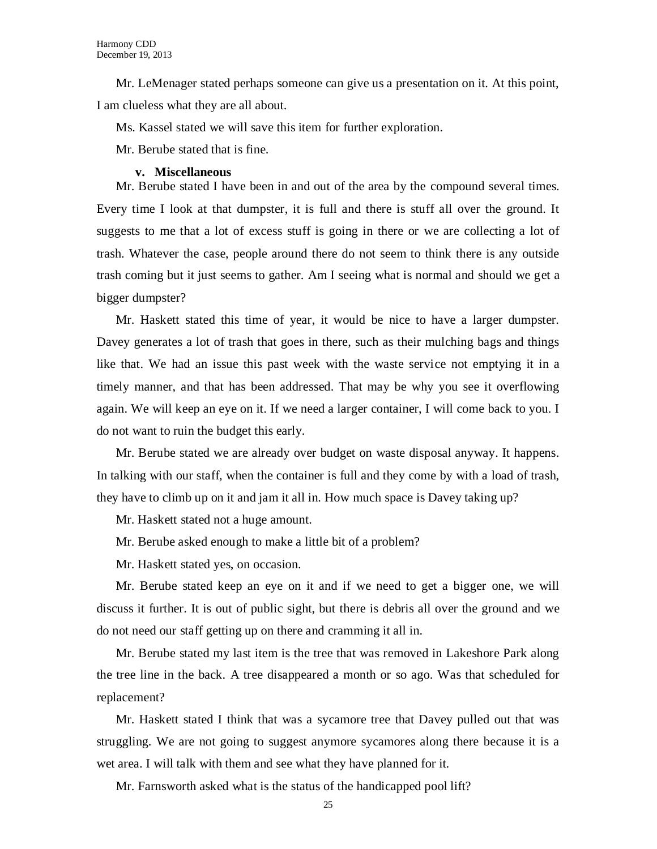Mr. LeMenager stated perhaps someone can give us a presentation on it. At this point, I am clueless what they are all about.

Ms. Kassel stated we will save this item for further exploration.

Mr. Berube stated that is fine.

#### **v. Miscellaneous**

Mr. Berube stated I have been in and out of the area by the compound several times. Every time I look at that dumpster, it is full and there is stuff all over the ground. It suggests to me that a lot of excess stuff is going in there or we are collecting a lot of trash. Whatever the case, people around there do not seem to think there is any outside trash coming but it just seems to gather. Am I seeing what is normal and should we get a bigger dumpster?

Mr. Haskett stated this time of year, it would be nice to have a larger dumpster. Davey generates a lot of trash that goes in there, such as their mulching bags and things like that. We had an issue this past week with the waste service not emptying it in a timely manner, and that has been addressed. That may be why you see it overflowing again. We will keep an eye on it. If we need a larger container, I will come back to you. I do not want to ruin the budget this early.

Mr. Berube stated we are already over budget on waste disposal anyway. It happens. In talking with our staff, when the container is full and they come by with a load of trash, they have to climb up on it and jam it all in. How much space is Davey taking up?

Mr. Haskett stated not a huge amount.

Mr. Berube asked enough to make a little bit of a problem?

Mr. Haskett stated yes, on occasion.

Mr. Berube stated keep an eye on it and if we need to get a bigger one, we will discuss it further. It is out of public sight, but there is debris all over the ground and we do not need our staff getting up on there and cramming it all in.

Mr. Berube stated my last item is the tree that was removed in Lakeshore Park along the tree line in the back. A tree disappeared a month or so ago. Was that scheduled for replacement?

Mr. Haskett stated I think that was a sycamore tree that Davey pulled out that was struggling. We are not going to suggest anymore sycamores along there because it is a wet area. I will talk with them and see what they have planned for it.

Mr. Farnsworth asked what is the status of the handicapped pool lift?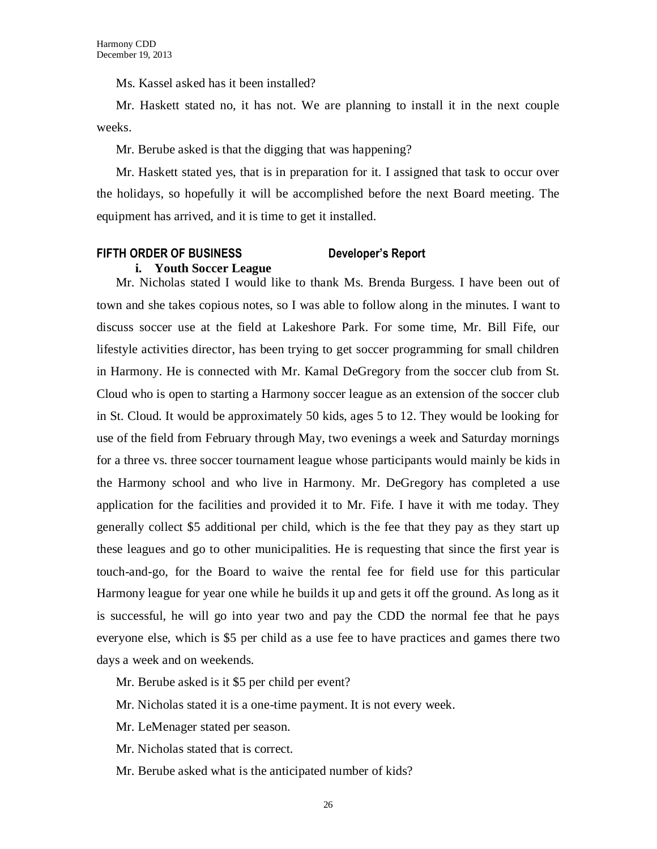Ms. Kassel asked has it been installed?

Mr. Haskett stated no, it has not. We are planning to install it in the next couple weeks.

Mr. Berube asked is that the digging that was happening?

Mr. Haskett stated yes, that is in preparation for it. I assigned that task to occur over the holidays, so hopefully it will be accomplished before the next Board meeting. The equipment has arrived, and it is time to get it installed.

#### **FIFTH ORDER OF BUSINESS Developer's Report**

#### **i. Youth Soccer League**

Mr. Nicholas stated I would like to thank Ms. Brenda Burgess. I have been out of town and she takes copious notes, so I was able to follow along in the minutes. I want to discuss soccer use at the field at Lakeshore Park. For some time, Mr. Bill Fife, our lifestyle activities director, has been trying to get soccer programming for small children in Harmony. He is connected with Mr. Kamal DeGregory from the soccer club from St. Cloud who is open to starting a Harmony soccer league as an extension of the soccer club in St. Cloud. It would be approximately 50 kids, ages 5 to 12. They would be looking for use of the field from February through May, two evenings a week and Saturday mornings for a three vs. three soccer tournament league whose participants would mainly be kids in the Harmony school and who live in Harmony. Mr. DeGregory has completed a use application for the facilities and provided it to Mr. Fife. I have it with me today. They generally collect \$5 additional per child, which is the fee that they pay as they start up these leagues and go to other municipalities. He is requesting that since the first year is touch-and-go, for the Board to waive the rental fee for field use for this particular Harmony league for year one while he builds it up and gets it off the ground. As long as it is successful, he will go into year two and pay the CDD the normal fee that he pays everyone else, which is \$5 per child as a use fee to have practices and games there two days a week and on weekends.

Mr. Berube asked is it \$5 per child per event?

Mr. Nicholas stated it is a one-time payment. It is not every week.

Mr. LeMenager stated per season.

Mr. Nicholas stated that is correct.

Mr. Berube asked what is the anticipated number of kids?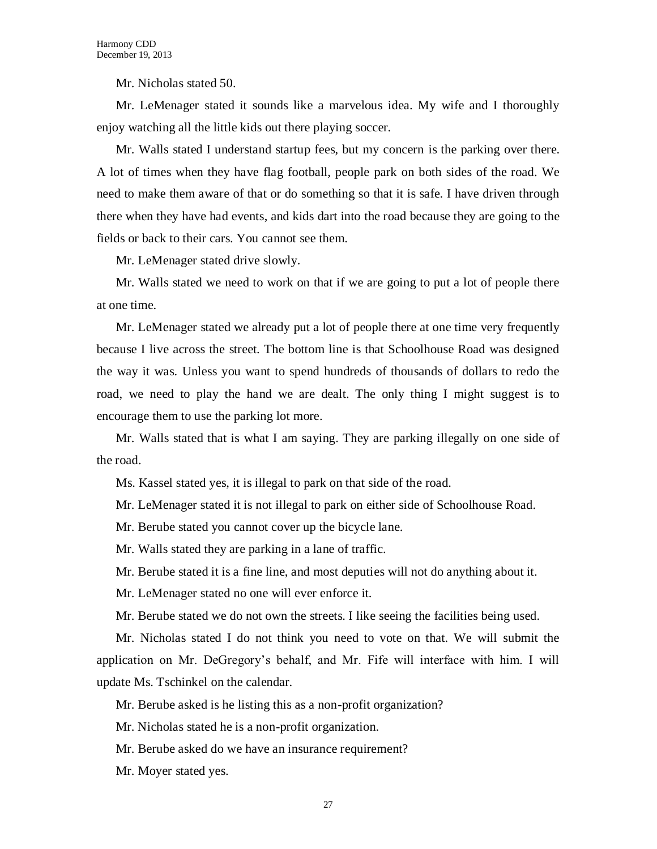Mr. Nicholas stated 50.

Mr. LeMenager stated it sounds like a marvelous idea. My wife and I thoroughly enjoy watching all the little kids out there playing soccer.

Mr. Walls stated I understand startup fees, but my concern is the parking over there. A lot of times when they have flag football, people park on both sides of the road. We need to make them aware of that or do something so that it is safe. I have driven through there when they have had events, and kids dart into the road because they are going to the fields or back to their cars. You cannot see them.

Mr. LeMenager stated drive slowly.

Mr. Walls stated we need to work on that if we are going to put a lot of people there at one time.

Mr. LeMenager stated we already put a lot of people there at one time very frequently because I live across the street. The bottom line is that Schoolhouse Road was designed the way it was. Unless you want to spend hundreds of thousands of dollars to redo the road, we need to play the hand we are dealt. The only thing I might suggest is to encourage them to use the parking lot more.

Mr. Walls stated that is what I am saying. They are parking illegally on one side of the road.

Ms. Kassel stated yes, it is illegal to park on that side of the road.

Mr. LeMenager stated it is not illegal to park on either side of Schoolhouse Road.

Mr. Berube stated you cannot cover up the bicycle lane.

Mr. Walls stated they are parking in a lane of traffic.

Mr. Berube stated it is a fine line, and most deputies will not do anything about it.

Mr. LeMenager stated no one will ever enforce it.

Mr. Berube stated we do not own the streets. I like seeing the facilities being used.

Mr. Nicholas stated I do not think you need to vote on that. We will submit the application on Mr. DeGregory's behalf, and Mr. Fife will interface with him. I will update Ms. Tschinkel on the calendar.

Mr. Berube asked is he listing this as a non-profit organization?

Mr. Nicholas stated he is a non-profit organization.

Mr. Berube asked do we have an insurance requirement?

Mr. Moyer stated yes.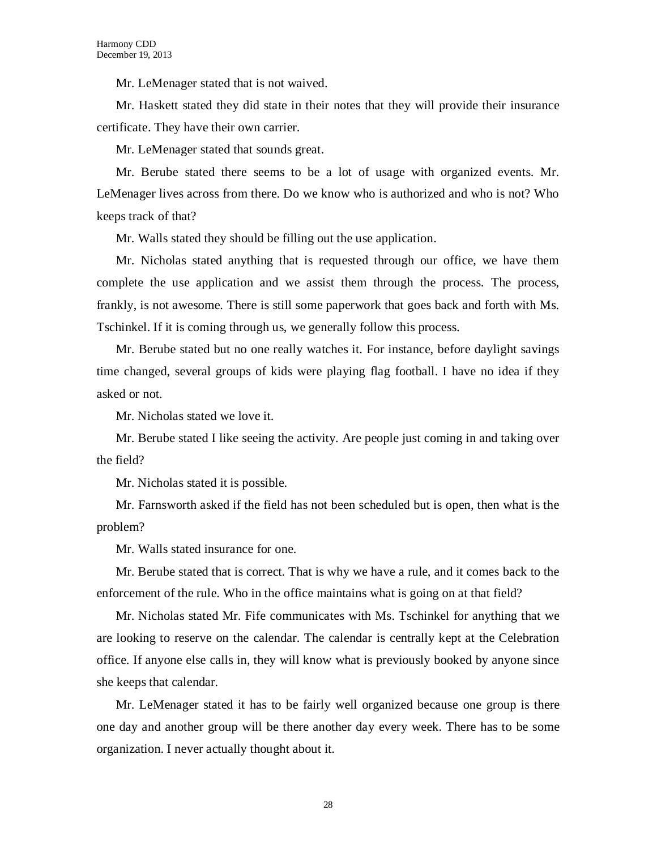Mr. LeMenager stated that is not waived.

Mr. Haskett stated they did state in their notes that they will provide their insurance certificate. They have their own carrier.

Mr. LeMenager stated that sounds great.

Mr. Berube stated there seems to be a lot of usage with organized events. Mr. LeMenager lives across from there. Do we know who is authorized and who is not? Who keeps track of that?

Mr. Walls stated they should be filling out the use application.

Mr. Nicholas stated anything that is requested through our office, we have them complete the use application and we assist them through the process. The process, frankly, is not awesome. There is still some paperwork that goes back and forth with Ms. Tschinkel. If it is coming through us, we generally follow this process.

Mr. Berube stated but no one really watches it. For instance, before daylight savings time changed, several groups of kids were playing flag football. I have no idea if they asked or not.

Mr. Nicholas stated we love it.

Mr. Berube stated I like seeing the activity. Are people just coming in and taking over the field?

Mr. Nicholas stated it is possible.

Mr. Farnsworth asked if the field has not been scheduled but is open, then what is the problem?

Mr. Walls stated insurance for one.

Mr. Berube stated that is correct. That is why we have a rule, and it comes back to the enforcement of the rule. Who in the office maintains what is going on at that field?

Mr. Nicholas stated Mr. Fife communicates with Ms. Tschinkel for anything that we are looking to reserve on the calendar. The calendar is centrally kept at the Celebration office. If anyone else calls in, they will know what is previously booked by anyone since she keeps that calendar.

Mr. LeMenager stated it has to be fairly well organized because one group is there one day and another group will be there another day every week. There has to be some organization. I never actually thought about it.

28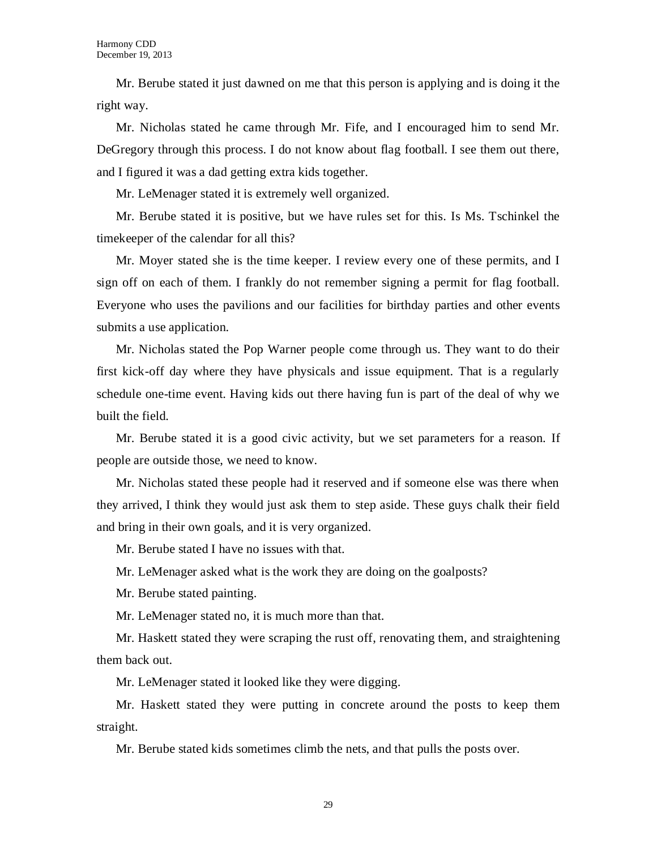Mr. Berube stated it just dawned on me that this person is applying and is doing it the right way.

Mr. Nicholas stated he came through Mr. Fife, and I encouraged him to send Mr. DeGregory through this process. I do not know about flag football. I see them out there, and I figured it was a dad getting extra kids together.

Mr. LeMenager stated it is extremely well organized.

Mr. Berube stated it is positive, but we have rules set for this. Is Ms. Tschinkel the timekeeper of the calendar for all this?

Mr. Moyer stated she is the time keeper. I review every one of these permits, and I sign off on each of them. I frankly do not remember signing a permit for flag football. Everyone who uses the pavilions and our facilities for birthday parties and other events submits a use application.

Mr. Nicholas stated the Pop Warner people come through us. They want to do their first kick-off day where they have physicals and issue equipment. That is a regularly schedule one-time event. Having kids out there having fun is part of the deal of why we built the field.

Mr. Berube stated it is a good civic activity, but we set parameters for a reason. If people are outside those, we need to know.

Mr. Nicholas stated these people had it reserved and if someone else was there when they arrived, I think they would just ask them to step aside. These guys chalk their field and bring in their own goals, and it is very organized.

Mr. Berube stated I have no issues with that.

Mr. LeMenager asked what is the work they are doing on the goalposts?

Mr. Berube stated painting.

Mr. LeMenager stated no, it is much more than that.

Mr. Haskett stated they were scraping the rust off, renovating them, and straightening them back out.

Mr. LeMenager stated it looked like they were digging.

Mr. Haskett stated they were putting in concrete around the posts to keep them straight.

Mr. Berube stated kids sometimes climb the nets, and that pulls the posts over.

29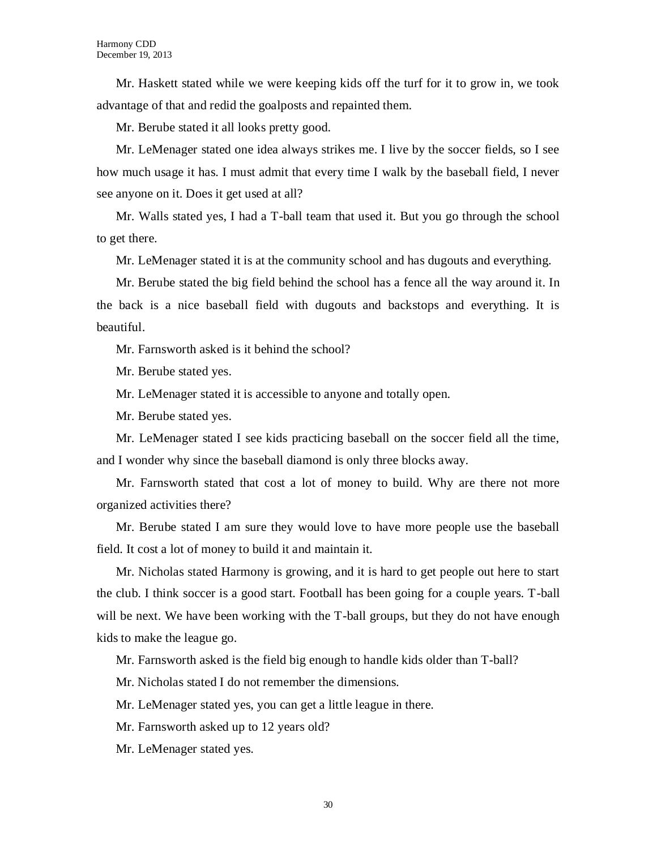Mr. Haskett stated while we were keeping kids off the turf for it to grow in, we took advantage of that and redid the goalposts and repainted them.

Mr. Berube stated it all looks pretty good.

Mr. LeMenager stated one idea always strikes me. I live by the soccer fields, so I see how much usage it has. I must admit that every time I walk by the baseball field, I never see anyone on it. Does it get used at all?

Mr. Walls stated yes, I had a T-ball team that used it. But you go through the school to get there.

Mr. LeMenager stated it is at the community school and has dugouts and everything.

Mr. Berube stated the big field behind the school has a fence all the way around it. In the back is a nice baseball field with dugouts and backstops and everything. It is beautiful.

Mr. Farnsworth asked is it behind the school?

Mr. Berube stated yes.

Mr. LeMenager stated it is accessible to anyone and totally open.

Mr. Berube stated yes.

Mr. LeMenager stated I see kids practicing baseball on the soccer field all the time, and I wonder why since the baseball diamond is only three blocks away.

Mr. Farnsworth stated that cost a lot of money to build. Why are there not more organized activities there?

Mr. Berube stated I am sure they would love to have more people use the baseball field. It cost a lot of money to build it and maintain it.

Mr. Nicholas stated Harmony is growing, and it is hard to get people out here to start the club. I think soccer is a good start. Football has been going for a couple years. T-ball will be next. We have been working with the T-ball groups, but they do not have enough kids to make the league go.

Mr. Farnsworth asked is the field big enough to handle kids older than T-ball?

Mr. Nicholas stated I do not remember the dimensions.

Mr. LeMenager stated yes, you can get a little league in there.

Mr. Farnsworth asked up to 12 years old?

Mr. LeMenager stated yes.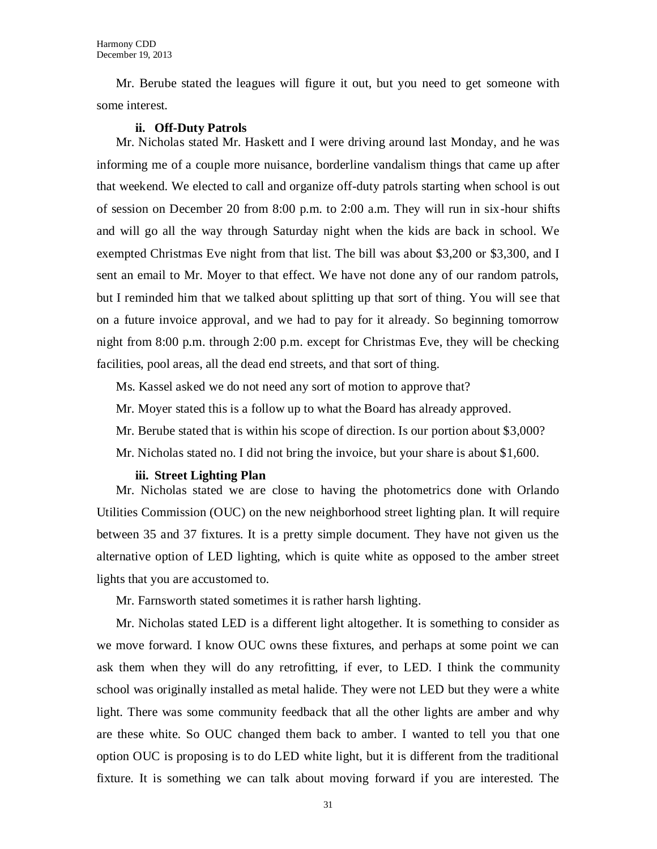Mr. Berube stated the leagues will figure it out, but you need to get someone with some interest.

#### **ii. Off-Duty Patrols**

Mr. Nicholas stated Mr. Haskett and I were driving around last Monday, and he was informing me of a couple more nuisance, borderline vandalism things that came up after that weekend. We elected to call and organize off-duty patrols starting when school is out of session on December 20 from 8:00 p.m. to 2:00 a.m. They will run in six-hour shifts and will go all the way through Saturday night when the kids are back in school. We exempted Christmas Eve night from that list. The bill was about \$3,200 or \$3,300, and I sent an email to Mr. Moyer to that effect. We have not done any of our random patrols, but I reminded him that we talked about splitting up that sort of thing. You will see that on a future invoice approval, and we had to pay for it already. So beginning tomorrow night from 8:00 p.m. through 2:00 p.m. except for Christmas Eve, they will be checking facilities, pool areas, all the dead end streets, and that sort of thing.

Ms. Kassel asked we do not need any sort of motion to approve that?

Mr. Moyer stated this is a follow up to what the Board has already approved.

Mr. Berube stated that is within his scope of direction. Is our portion about \$3,000?

Mr. Nicholas stated no. I did not bring the invoice, but your share is about \$1,600.

#### **iii. Street Lighting Plan**

Mr. Nicholas stated we are close to having the photometrics done with Orlando Utilities Commission (OUC) on the new neighborhood street lighting plan. It will require between 35 and 37 fixtures. It is a pretty simple document. They have not given us the alternative option of LED lighting, which is quite white as opposed to the amber street lights that you are accustomed to.

Mr. Farnsworth stated sometimes it is rather harsh lighting.

Mr. Nicholas stated LED is a different light altogether. It is something to consider as we move forward. I know OUC owns these fixtures, and perhaps at some point we can ask them when they will do any retrofitting, if ever, to LED. I think the community school was originally installed as metal halide. They were not LED but they were a white light. There was some community feedback that all the other lights are amber and why are these white. So OUC changed them back to amber. I wanted to tell you that one option OUC is proposing is to do LED white light, but it is different from the traditional fixture. It is something we can talk about moving forward if you are interested. The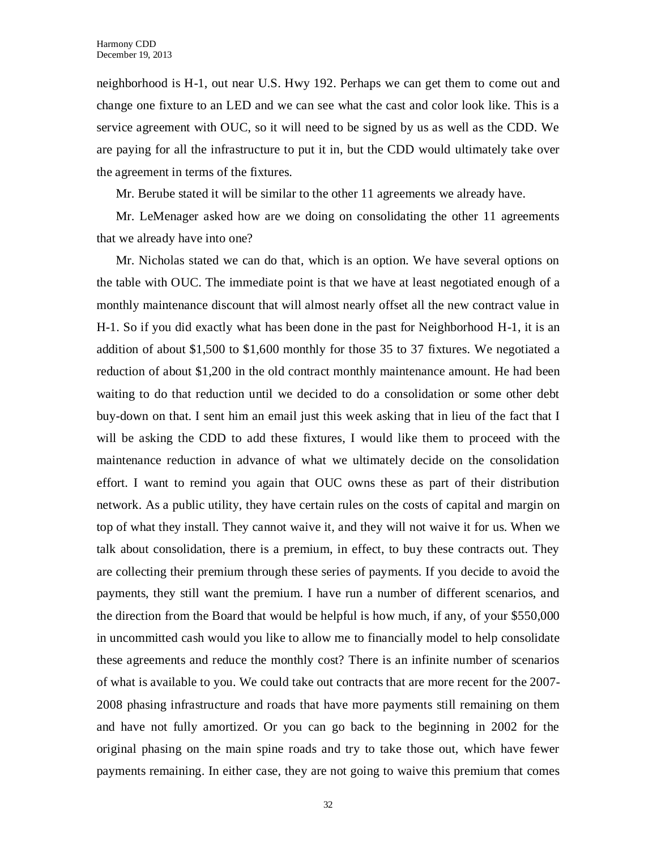neighborhood is H-1, out near U.S. Hwy 192. Perhaps we can get them to come out and change one fixture to an LED and we can see what the cast and color look like. This is a service agreement with OUC, so it will need to be signed by us as well as the CDD. We are paying for all the infrastructure to put it in, but the CDD would ultimately take over the agreement in terms of the fixtures.

Mr. Berube stated it will be similar to the other 11 agreements we already have.

Mr. LeMenager asked how are we doing on consolidating the other 11 agreements that we already have into one?

Mr. Nicholas stated we can do that, which is an option. We have several options on the table with OUC. The immediate point is that we have at least negotiated enough of a monthly maintenance discount that will almost nearly offset all the new contract value in H-1. So if you did exactly what has been done in the past for Neighborhood H-1, it is an addition of about \$1,500 to \$1,600 monthly for those 35 to 37 fixtures. We negotiated a reduction of about \$1,200 in the old contract monthly maintenance amount. He had been waiting to do that reduction until we decided to do a consolidation or some other debt buy-down on that. I sent him an email just this week asking that in lieu of the fact that I will be asking the CDD to add these fixtures, I would like them to proceed with the maintenance reduction in advance of what we ultimately decide on the consolidation effort. I want to remind you again that OUC owns these as part of their distribution network. As a public utility, they have certain rules on the costs of capital and margin on top of what they install. They cannot waive it, and they will not waive it for us. When we talk about consolidation, there is a premium, in effect, to buy these contracts out. They are collecting their premium through these series of payments. If you decide to avoid the payments, they still want the premium. I have run a number of different scenarios, and the direction from the Board that would be helpful is how much, if any, of your \$550,000 in uncommitted cash would you like to allow me to financially model to help consolidate these agreements and reduce the monthly cost? There is an infinite number of scenarios of what is available to you. We could take out contracts that are more recent for the 2007- 2008 phasing infrastructure and roads that have more payments still remaining on them and have not fully amortized. Or you can go back to the beginning in 2002 for the original phasing on the main spine roads and try to take those out, which have fewer payments remaining. In either case, they are not going to waive this premium that comes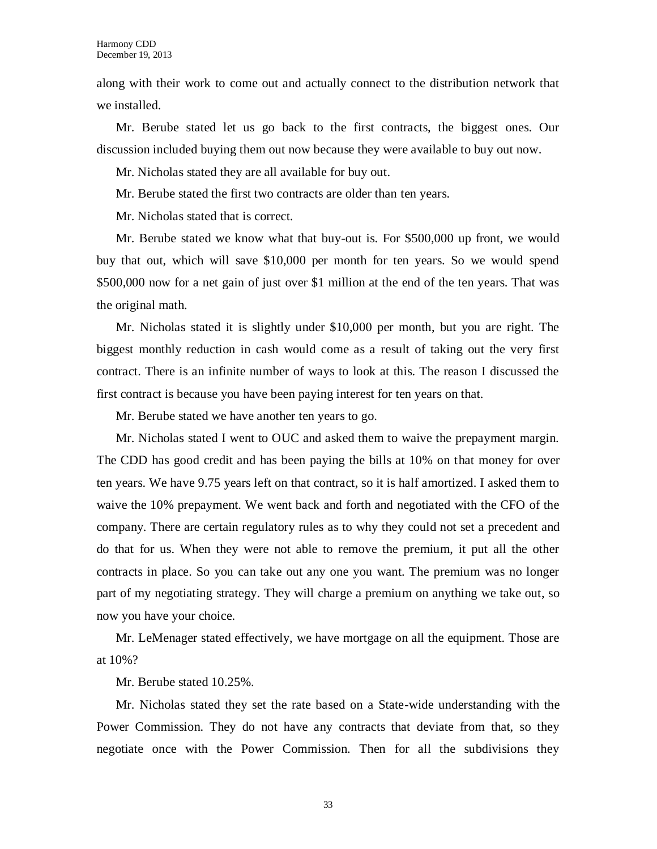along with their work to come out and actually connect to the distribution network that we installed.

Mr. Berube stated let us go back to the first contracts, the biggest ones. Our discussion included buying them out now because they were available to buy out now.

Mr. Nicholas stated they are all available for buy out.

Mr. Berube stated the first two contracts are older than ten years.

Mr. Nicholas stated that is correct.

Mr. Berube stated we know what that buy-out is. For \$500,000 up front, we would buy that out, which will save \$10,000 per month for ten years. So we would spend \$500,000 now for a net gain of just over \$1 million at the end of the ten years. That was the original math.

Mr. Nicholas stated it is slightly under \$10,000 per month, but you are right. The biggest monthly reduction in cash would come as a result of taking out the very first contract. There is an infinite number of ways to look at this. The reason I discussed the first contract is because you have been paying interest for ten years on that.

Mr. Berube stated we have another ten years to go.

Mr. Nicholas stated I went to OUC and asked them to waive the prepayment margin. The CDD has good credit and has been paying the bills at 10% on that money for over ten years. We have 9.75 years left on that contract, so it is half amortized. I asked them to waive the 10% prepayment. We went back and forth and negotiated with the CFO of the company. There are certain regulatory rules as to why they could not set a precedent and do that for us. When they were not able to remove the premium, it put all the other contracts in place. So you can take out any one you want. The premium was no longer part of my negotiating strategy. They will charge a premium on anything we take out, so now you have your choice.

Mr. LeMenager stated effectively, we have mortgage on all the equipment. Those are at 10%?

Mr. Berube stated 10.25%.

Mr. Nicholas stated they set the rate based on a State-wide understanding with the Power Commission. They do not have any contracts that deviate from that, so they negotiate once with the Power Commission. Then for all the subdivisions they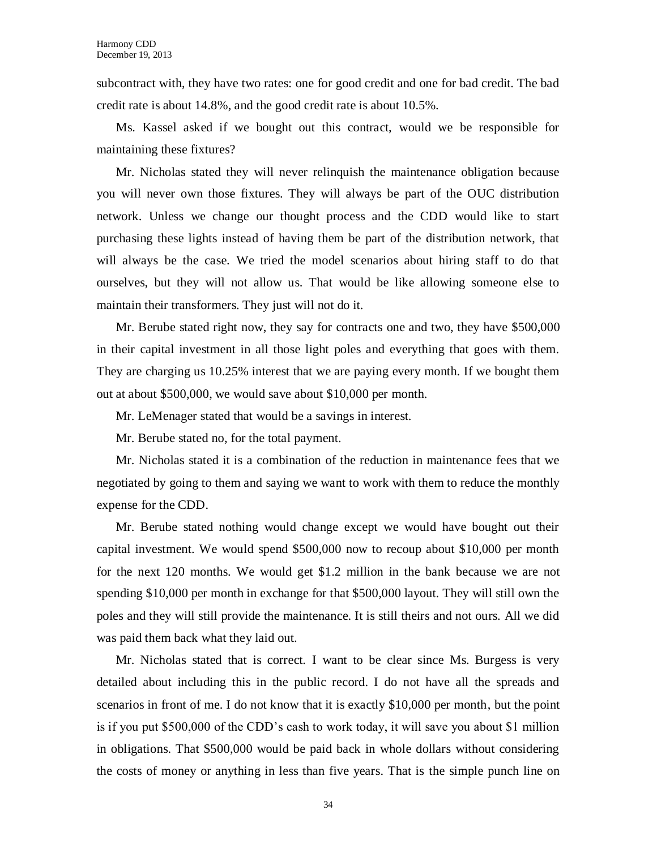subcontract with, they have two rates: one for good credit and one for bad credit. The bad credit rate is about 14.8%, and the good credit rate is about 10.5%.

Ms. Kassel asked if we bought out this contract, would we be responsible for maintaining these fixtures?

Mr. Nicholas stated they will never relinquish the maintenance obligation because you will never own those fixtures. They will always be part of the OUC distribution network. Unless we change our thought process and the CDD would like to start purchasing these lights instead of having them be part of the distribution network, that will always be the case. We tried the model scenarios about hiring staff to do that ourselves, but they will not allow us. That would be like allowing someone else to maintain their transformers. They just will not do it.

Mr. Berube stated right now, they say for contracts one and two, they have \$500,000 in their capital investment in all those light poles and everything that goes with them. They are charging us 10.25% interest that we are paying every month. If we bought them out at about \$500,000, we would save about \$10,000 per month.

Mr. LeMenager stated that would be a savings in interest.

Mr. Berube stated no, for the total payment.

Mr. Nicholas stated it is a combination of the reduction in maintenance fees that we negotiated by going to them and saying we want to work with them to reduce the monthly expense for the CDD.

Mr. Berube stated nothing would change except we would have bought out their capital investment. We would spend \$500,000 now to recoup about \$10,000 per month for the next 120 months. We would get \$1.2 million in the bank because we are not spending \$10,000 per month in exchange for that \$500,000 layout. They will still own the poles and they will still provide the maintenance. It is still theirs and not ours. All we did was paid them back what they laid out.

Mr. Nicholas stated that is correct. I want to be clear since Ms. Burgess is very detailed about including this in the public record. I do not have all the spreads and scenarios in front of me. I do not know that it is exactly \$10,000 per month, but the point is if you put \$500,000 of the CDD's cash to work today, it will save you about \$1 million in obligations. That \$500,000 would be paid back in whole dollars without considering the costs of money or anything in less than five years. That is the simple punch line on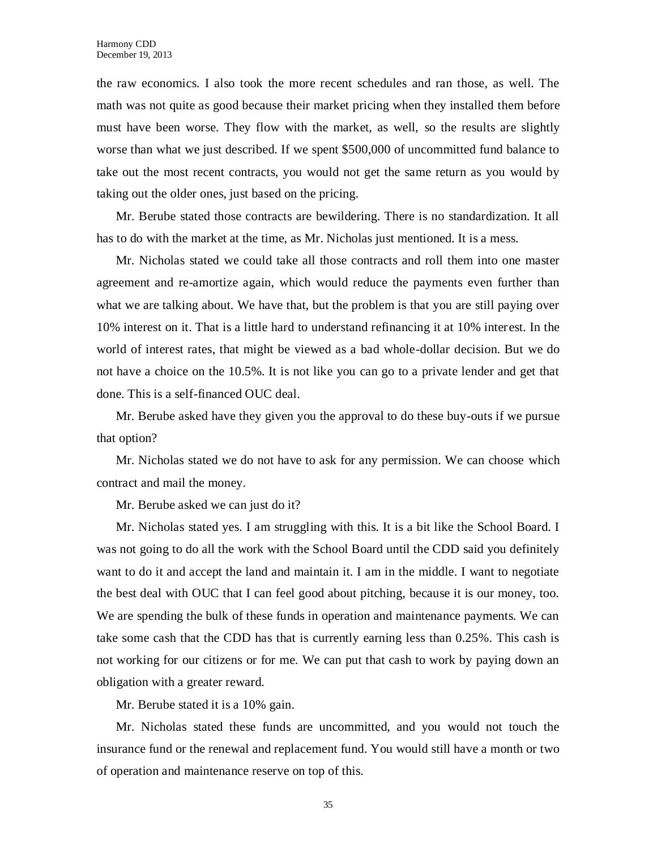the raw economics. I also took the more recent schedules and ran those, as well. The math was not quite as good because their market pricing when they installed them before must have been worse. They flow with the market, as well, so the results are slightly worse than what we just described. If we spent \$500,000 of uncommitted fund balance to take out the most recent contracts, you would not get the same return as you would by taking out the older ones, just based on the pricing.

Mr. Berube stated those contracts are bewildering. There is no standardization. It all has to do with the market at the time, as Mr. Nicholas just mentioned. It is a mess.

Mr. Nicholas stated we could take all those contracts and roll them into one master agreement and re-amortize again, which would reduce the payments even further than what we are talking about. We have that, but the problem is that you are still paying over 10% interest on it. That is a little hard to understand refinancing it at 10% interest. In the world of interest rates, that might be viewed as a bad whole-dollar decision. But we do not have a choice on the 10.5%. It is not like you can go to a private lender and get that done. This is a self-financed OUC deal.

Mr. Berube asked have they given you the approval to do these buy-outs if we pursue that option?

Mr. Nicholas stated we do not have to ask for any permission. We can choose which contract and mail the money.

Mr. Berube asked we can just do it?

Mr. Nicholas stated yes. I am struggling with this. It is a bit like the School Board. I was not going to do all the work with the School Board until the CDD said you definitely want to do it and accept the land and maintain it. I am in the middle. I want to negotiate the best deal with OUC that I can feel good about pitching, because it is our money, too. We are spending the bulk of these funds in operation and maintenance payments. We can take some cash that the CDD has that is currently earning less than 0.25%. This cash is not working for our citizens or for me. We can put that cash to work by paying down an obligation with a greater reward.

Mr. Berube stated it is a 10% gain.

Mr. Nicholas stated these funds are uncommitted, and you would not touch the insurance fund or the renewal and replacement fund. You would still have a month or two of operation and maintenance reserve on top of this.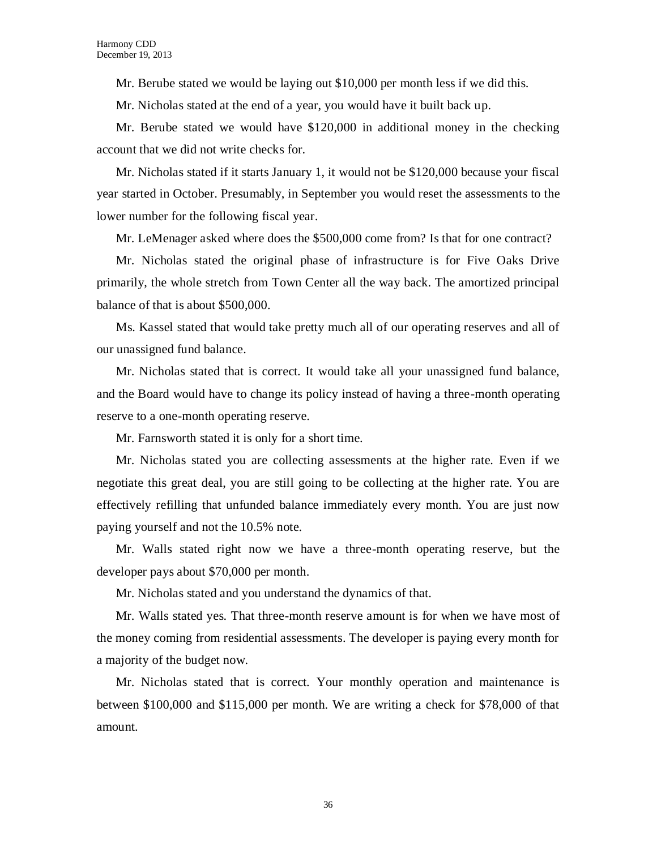Mr. Berube stated we would be laying out \$10,000 per month less if we did this.

Mr. Nicholas stated at the end of a year, you would have it built back up.

Mr. Berube stated we would have \$120,000 in additional money in the checking account that we did not write checks for.

Mr. Nicholas stated if it starts January 1, it would not be \$120,000 because your fiscal year started in October. Presumably, in September you would reset the assessments to the lower number for the following fiscal year.

Mr. LeMenager asked where does the \$500,000 come from? Is that for one contract?

Mr. Nicholas stated the original phase of infrastructure is for Five Oaks Drive primarily, the whole stretch from Town Center all the way back. The amortized principal balance of that is about \$500,000.

Ms. Kassel stated that would take pretty much all of our operating reserves and all of our unassigned fund balance.

Mr. Nicholas stated that is correct. It would take all your unassigned fund balance, and the Board would have to change its policy instead of having a three-month operating reserve to a one-month operating reserve.

Mr. Farnsworth stated it is only for a short time.

Mr. Nicholas stated you are collecting assessments at the higher rate. Even if we negotiate this great deal, you are still going to be collecting at the higher rate. You are effectively refilling that unfunded balance immediately every month. You are just now paying yourself and not the 10.5% note.

Mr. Walls stated right now we have a three-month operating reserve, but the developer pays about \$70,000 per month.

Mr. Nicholas stated and you understand the dynamics of that.

Mr. Walls stated yes. That three-month reserve amount is for when we have most of the money coming from residential assessments. The developer is paying every month for a majority of the budget now.

Mr. Nicholas stated that is correct. Your monthly operation and maintenance is between \$100,000 and \$115,000 per month. We are writing a check for \$78,000 of that amount.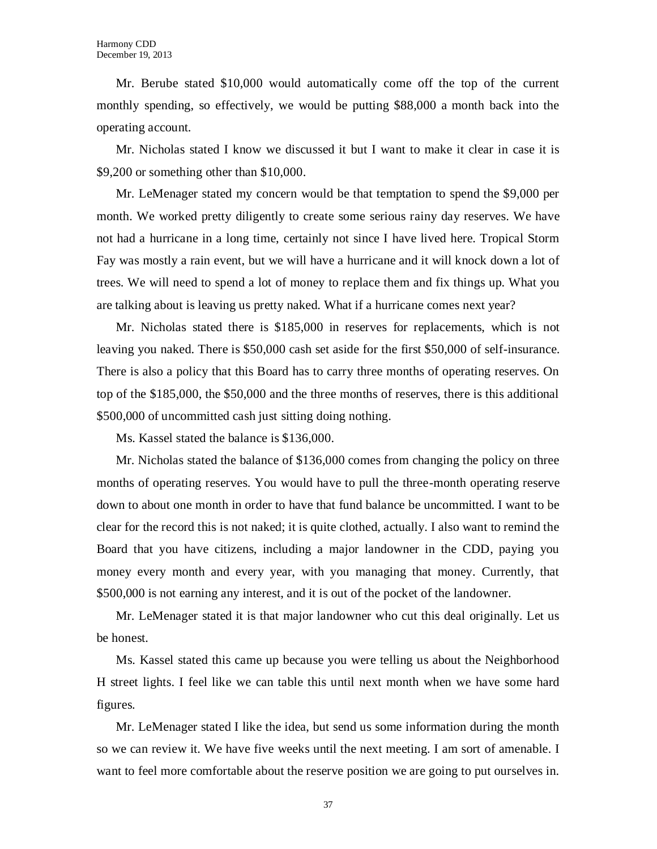Mr. Berube stated \$10,000 would automatically come off the top of the current monthly spending, so effectively, we would be putting \$88,000 a month back into the operating account.

Mr. Nicholas stated I know we discussed it but I want to make it clear in case it is \$9,200 or something other than \$10,000.

Mr. LeMenager stated my concern would be that temptation to spend the \$9,000 per month. We worked pretty diligently to create some serious rainy day reserves. We have not had a hurricane in a long time, certainly not since I have lived here. Tropical Storm Fay was mostly a rain event, but we will have a hurricane and it will knock down a lot of trees. We will need to spend a lot of money to replace them and fix things up. What you are talking about is leaving us pretty naked. What if a hurricane comes next year?

Mr. Nicholas stated there is \$185,000 in reserves for replacements, which is not leaving you naked. There is \$50,000 cash set aside for the first \$50,000 of self-insurance. There is also a policy that this Board has to carry three months of operating reserves. On top of the \$185,000, the \$50,000 and the three months of reserves, there is this additional \$500,000 of uncommitted cash just sitting doing nothing.

Ms. Kassel stated the balance is \$136,000.

Mr. Nicholas stated the balance of \$136,000 comes from changing the policy on three months of operating reserves. You would have to pull the three-month operating reserve down to about one month in order to have that fund balance be uncommitted. I want to be clear for the record this is not naked; it is quite clothed, actually. I also want to remind the Board that you have citizens, including a major landowner in the CDD, paying you money every month and every year, with you managing that money. Currently, that \$500,000 is not earning any interest, and it is out of the pocket of the landowner.

Mr. LeMenager stated it is that major landowner who cut this deal originally. Let us be honest.

Ms. Kassel stated this came up because you were telling us about the Neighborhood H street lights. I feel like we can table this until next month when we have some hard figures.

Mr. LeMenager stated I like the idea, but send us some information during the month so we can review it. We have five weeks until the next meeting. I am sort of amenable. I want to feel more comfortable about the reserve position we are going to put ourselves in.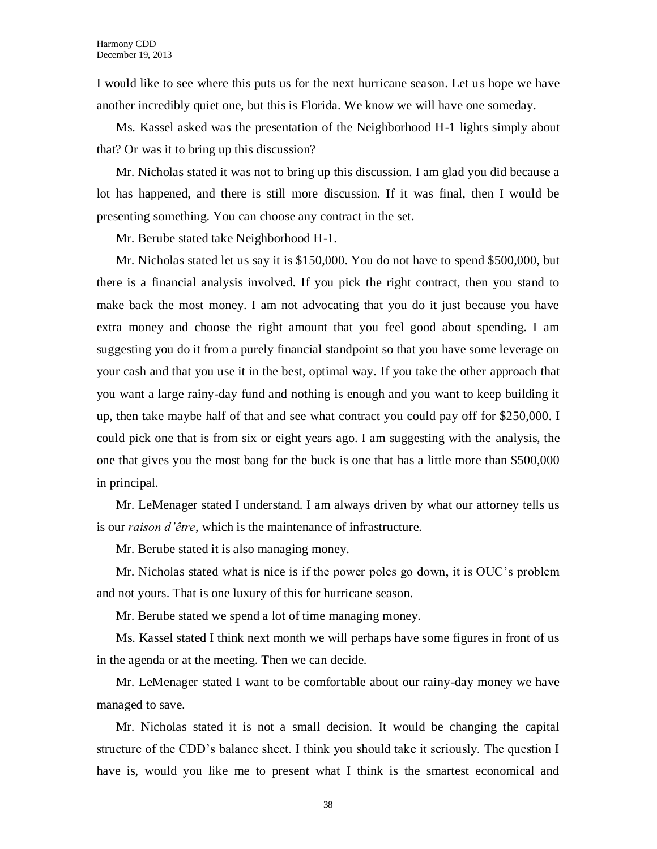I would like to see where this puts us for the next hurricane season. Let us hope we have another incredibly quiet one, but this is Florida. We know we will have one someday.

Ms. Kassel asked was the presentation of the Neighborhood H-1 lights simply about that? Or was it to bring up this discussion?

Mr. Nicholas stated it was not to bring up this discussion. I am glad you did because a lot has happened, and there is still more discussion. If it was final, then I would be presenting something. You can choose any contract in the set.

Mr. Berube stated take Neighborhood H-1.

Mr. Nicholas stated let us say it is \$150,000. You do not have to spend \$500,000, but there is a financial analysis involved. If you pick the right contract, then you stand to make back the most money. I am not advocating that you do it just because you have extra money and choose the right amount that you feel good about spending. I am suggesting you do it from a purely financial standpoint so that you have some leverage on your cash and that you use it in the best, optimal way. If you take the other approach that you want a large rainy-day fund and nothing is enough and you want to keep building it up, then take maybe half of that and see what contract you could pay off for \$250,000. I could pick one that is from six or eight years ago. I am suggesting with the analysis, the one that gives you the most bang for the buck is one that has a little more than \$500,000 in principal.

Mr. LeMenager stated I understand. I am always driven by what our attorney tells us is our *raison d'être*, which is the maintenance of infrastructure.

Mr. Berube stated it is also managing money.

Mr. Nicholas stated what is nice is if the power poles go down, it is OUC's problem and not yours. That is one luxury of this for hurricane season.

Mr. Berube stated we spend a lot of time managing money.

Ms. Kassel stated I think next month we will perhaps have some figures in front of us in the agenda or at the meeting. Then we can decide.

Mr. LeMenager stated I want to be comfortable about our rainy-day money we have managed to save.

Mr. Nicholas stated it is not a small decision. It would be changing the capital structure of the CDD's balance sheet. I think you should take it seriously. The question I have is, would you like me to present what I think is the smartest economical and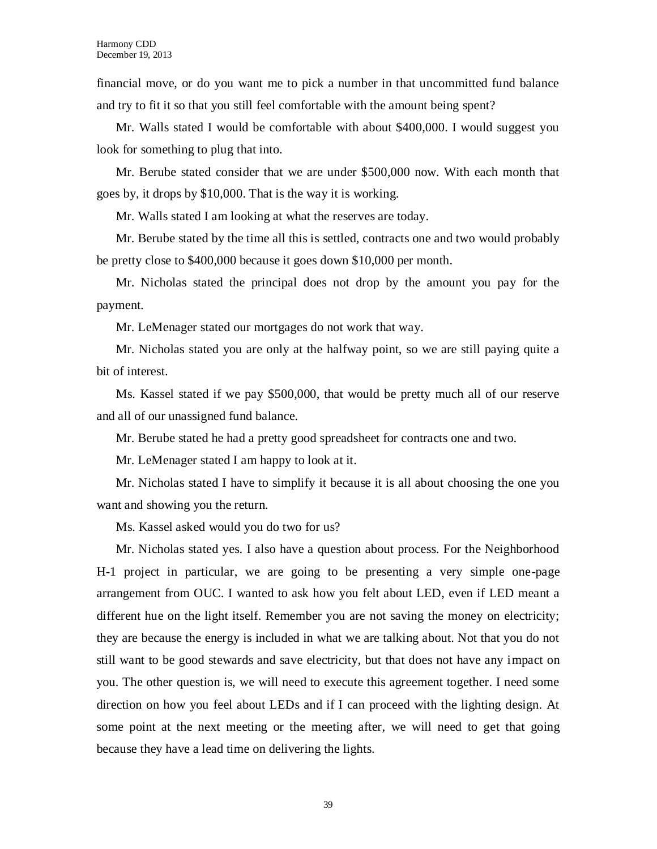financial move, or do you want me to pick a number in that uncommitted fund balance and try to fit it so that you still feel comfortable with the amount being spent?

Mr. Walls stated I would be comfortable with about \$400,000. I would suggest you look for something to plug that into.

Mr. Berube stated consider that we are under \$500,000 now. With each month that goes by, it drops by \$10,000. That is the way it is working.

Mr. Walls stated I am looking at what the reserves are today.

Mr. Berube stated by the time all this is settled, contracts one and two would probably be pretty close to \$400,000 because it goes down \$10,000 per month.

Mr. Nicholas stated the principal does not drop by the amount you pay for the payment.

Mr. LeMenager stated our mortgages do not work that way.

Mr. Nicholas stated you are only at the halfway point, so we are still paying quite a bit of interest.

Ms. Kassel stated if we pay \$500,000, that would be pretty much all of our reserve and all of our unassigned fund balance.

Mr. Berube stated he had a pretty good spreadsheet for contracts one and two.

Mr. LeMenager stated I am happy to look at it.

Mr. Nicholas stated I have to simplify it because it is all about choosing the one you want and showing you the return.

Ms. Kassel asked would you do two for us?

Mr. Nicholas stated yes. I also have a question about process. For the Neighborhood H-1 project in particular, we are going to be presenting a very simple one-page arrangement from OUC. I wanted to ask how you felt about LED, even if LED meant a different hue on the light itself. Remember you are not saving the money on electricity; they are because the energy is included in what we are talking about. Not that you do not still want to be good stewards and save electricity, but that does not have any impact on you. The other question is, we will need to execute this agreement together. I need some direction on how you feel about LEDs and if I can proceed with the lighting design. At some point at the next meeting or the meeting after, we will need to get that going because they have a lead time on delivering the lights.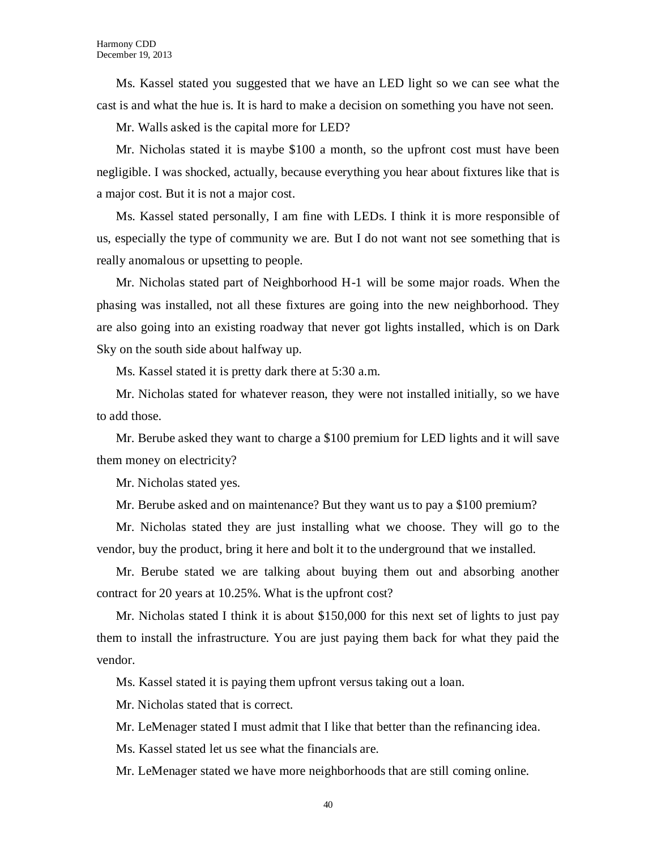Ms. Kassel stated you suggested that we have an LED light so we can see what the cast is and what the hue is. It is hard to make a decision on something you have not seen.

Mr. Walls asked is the capital more for LED?

Mr. Nicholas stated it is maybe \$100 a month, so the upfront cost must have been negligible. I was shocked, actually, because everything you hear about fixtures like that is a major cost. But it is not a major cost.

Ms. Kassel stated personally, I am fine with LEDs. I think it is more responsible of us, especially the type of community we are. But I do not want not see something that is really anomalous or upsetting to people.

Mr. Nicholas stated part of Neighborhood H-1 will be some major roads. When the phasing was installed, not all these fixtures are going into the new neighborhood. They are also going into an existing roadway that never got lights installed, which is on Dark Sky on the south side about halfway up.

Ms. Kassel stated it is pretty dark there at 5:30 a.m.

Mr. Nicholas stated for whatever reason, they were not installed initially, so we have to add those.

Mr. Berube asked they want to charge a \$100 premium for LED lights and it will save them money on electricity?

Mr. Nicholas stated yes.

Mr. Berube asked and on maintenance? But they want us to pay a \$100 premium?

Mr. Nicholas stated they are just installing what we choose. They will go to the vendor, buy the product, bring it here and bolt it to the underground that we installed.

Mr. Berube stated we are talking about buying them out and absorbing another contract for 20 years at 10.25%. What is the upfront cost?

Mr. Nicholas stated I think it is about \$150,000 for this next set of lights to just pay them to install the infrastructure. You are just paying them back for what they paid the vendor.

Ms. Kassel stated it is paying them upfront versus taking out a loan.

Mr. Nicholas stated that is correct.

Mr. LeMenager stated I must admit that I like that better than the refinancing idea.

Ms. Kassel stated let us see what the financials are.

Mr. LeMenager stated we have more neighborhoods that are still coming online.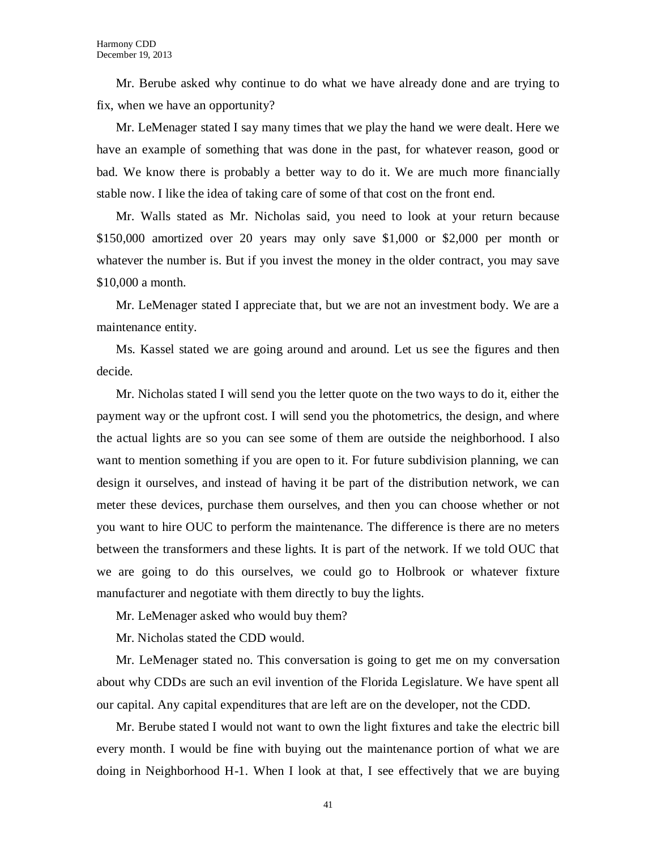Mr. Berube asked why continue to do what we have already done and are trying to fix, when we have an opportunity?

Mr. LeMenager stated I say many times that we play the hand we were dealt. Here we have an example of something that was done in the past, for whatever reason, good or bad. We know there is probably a better way to do it. We are much more financially stable now. I like the idea of taking care of some of that cost on the front end.

Mr. Walls stated as Mr. Nicholas said, you need to look at your return because \$150,000 amortized over 20 years may only save \$1,000 or \$2,000 per month or whatever the number is. But if you invest the money in the older contract, you may save \$10,000 a month.

Mr. LeMenager stated I appreciate that, but we are not an investment body. We are a maintenance entity.

Ms. Kassel stated we are going around and around. Let us see the figures and then decide.

Mr. Nicholas stated I will send you the letter quote on the two ways to do it, either the payment way or the upfront cost. I will send you the photometrics, the design, and where the actual lights are so you can see some of them are outside the neighborhood. I also want to mention something if you are open to it. For future subdivision planning, we can design it ourselves, and instead of having it be part of the distribution network, we can meter these devices, purchase them ourselves, and then you can choose whether or not you want to hire OUC to perform the maintenance. The difference is there are no meters between the transformers and these lights. It is part of the network. If we told OUC that we are going to do this ourselves, we could go to Holbrook or whatever fixture manufacturer and negotiate with them directly to buy the lights.

Mr. LeMenager asked who would buy them?

Mr. Nicholas stated the CDD would.

Mr. LeMenager stated no. This conversation is going to get me on my conversation about why CDDs are such an evil invention of the Florida Legislature. We have spent all our capital. Any capital expenditures that are left are on the developer, not the CDD.

Mr. Berube stated I would not want to own the light fixtures and take the electric bill every month. I would be fine with buying out the maintenance portion of what we are doing in Neighborhood H-1. When I look at that, I see effectively that we are buying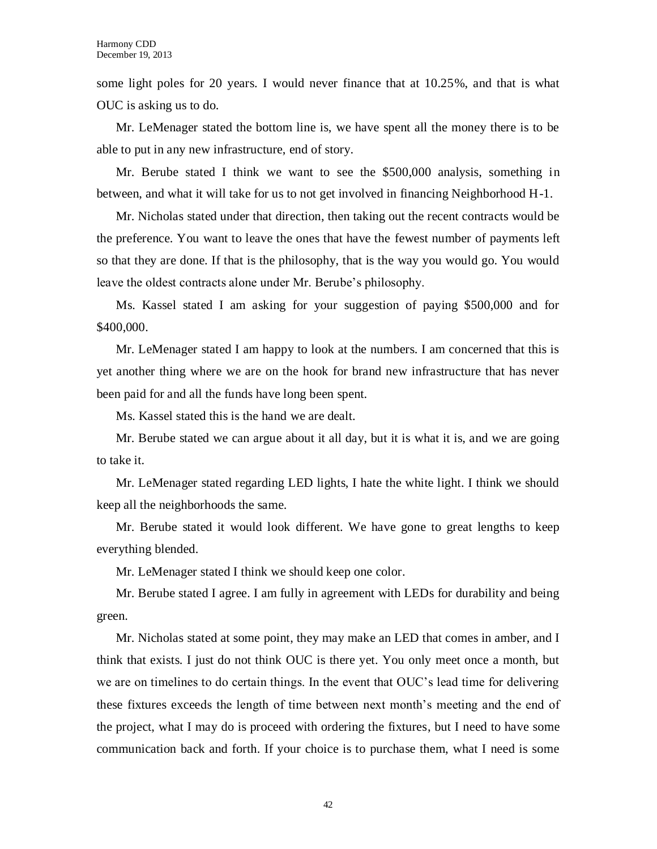some light poles for 20 years. I would never finance that at 10.25%, and that is what OUC is asking us to do.

Mr. LeMenager stated the bottom line is, we have spent all the money there is to be able to put in any new infrastructure, end of story.

Mr. Berube stated I think we want to see the \$500,000 analysis, something in between, and what it will take for us to not get involved in financing Neighborhood H-1.

Mr. Nicholas stated under that direction, then taking out the recent contracts would be the preference. You want to leave the ones that have the fewest number of payments left so that they are done. If that is the philosophy, that is the way you would go. You would leave the oldest contracts alone under Mr. Berube's philosophy.

Ms. Kassel stated I am asking for your suggestion of paying \$500,000 and for \$400,000.

Mr. LeMenager stated I am happy to look at the numbers. I am concerned that this is yet another thing where we are on the hook for brand new infrastructure that has never been paid for and all the funds have long been spent.

Ms. Kassel stated this is the hand we are dealt.

Mr. Berube stated we can argue about it all day, but it is what it is, and we are going to take it.

Mr. LeMenager stated regarding LED lights, I hate the white light. I think we should keep all the neighborhoods the same.

Mr. Berube stated it would look different. We have gone to great lengths to keep everything blended.

Mr. LeMenager stated I think we should keep one color.

Mr. Berube stated I agree. I am fully in agreement with LEDs for durability and being green.

Mr. Nicholas stated at some point, they may make an LED that comes in amber, and I think that exists. I just do not think OUC is there yet. You only meet once a month, but we are on timelines to do certain things. In the event that OUC's lead time for delivering these fixtures exceeds the length of time between next month's meeting and the end of the project, what I may do is proceed with ordering the fixtures, but I need to have some communication back and forth. If your choice is to purchase them, what I need is some

42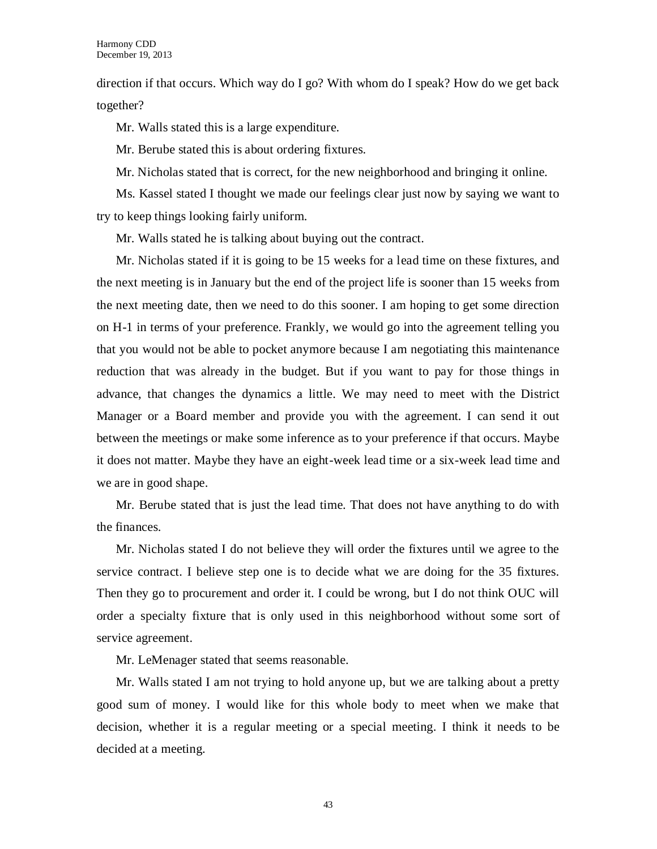direction if that occurs. Which way do I go? With whom do I speak? How do we get back together?

Mr. Walls stated this is a large expenditure.

Mr. Berube stated this is about ordering fixtures.

Mr. Nicholas stated that is correct, for the new neighborhood and bringing it online.

Ms. Kassel stated I thought we made our feelings clear just now by saying we want to try to keep things looking fairly uniform.

Mr. Walls stated he is talking about buying out the contract.

Mr. Nicholas stated if it is going to be 15 weeks for a lead time on these fixtures, and the next meeting is in January but the end of the project life is sooner than 15 weeks from the next meeting date, then we need to do this sooner. I am hoping to get some direction on H-1 in terms of your preference. Frankly, we would go into the agreement telling you that you would not be able to pocket anymore because I am negotiating this maintenance reduction that was already in the budget. But if you want to pay for those things in advance, that changes the dynamics a little. We may need to meet with the District Manager or a Board member and provide you with the agreement. I can send it out between the meetings or make some inference as to your preference if that occurs. Maybe it does not matter. Maybe they have an eight-week lead time or a six-week lead time and we are in good shape.

Mr. Berube stated that is just the lead time. That does not have anything to do with the finances.

Mr. Nicholas stated I do not believe they will order the fixtures until we agree to the service contract. I believe step one is to decide what we are doing for the 35 fixtures. Then they go to procurement and order it. I could be wrong, but I do not think OUC will order a specialty fixture that is only used in this neighborhood without some sort of service agreement.

Mr. LeMenager stated that seems reasonable.

Mr. Walls stated I am not trying to hold anyone up, but we are talking about a pretty good sum of money. I would like for this whole body to meet when we make that decision, whether it is a regular meeting or a special meeting. I think it needs to be decided at a meeting.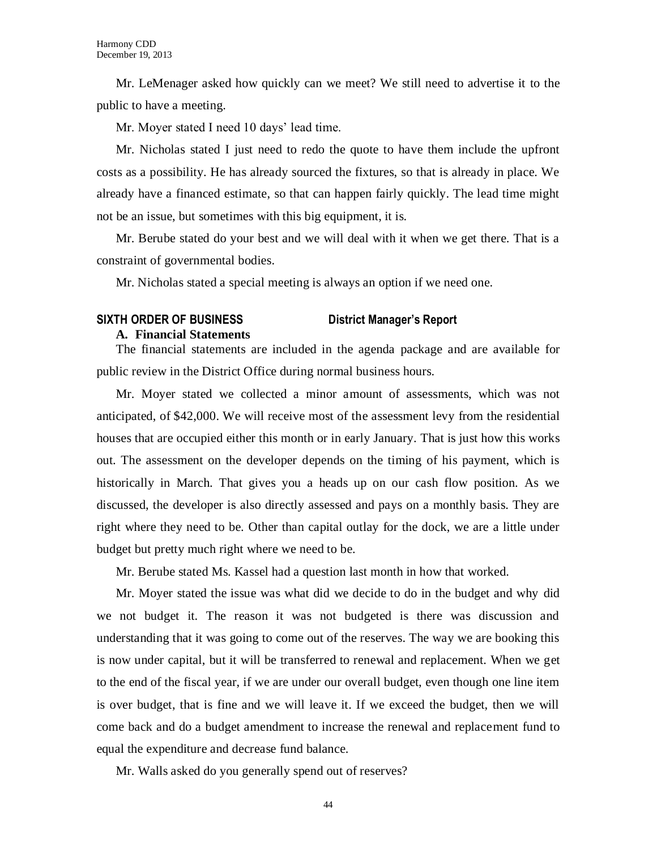Mr. LeMenager asked how quickly can we meet? We still need to advertise it to the public to have a meeting.

Mr. Moyer stated I need 10 days' lead time.

Mr. Nicholas stated I just need to redo the quote to have them include the upfront costs as a possibility. He has already sourced the fixtures, so that is already in place. We already have a financed estimate, so that can happen fairly quickly. The lead time might not be an issue, but sometimes with this big equipment, it is.

Mr. Berube stated do your best and we will deal with it when we get there. That is a constraint of governmental bodies.

Mr. Nicholas stated a special meeting is always an option if we need one.

### **SIXTH ORDER OF BUSINESS District Manager's Report**

#### **A. Financial Statements**

The financial statements are included in the agenda package and are available for public review in the District Office during normal business hours.

Mr. Moyer stated we collected a minor amount of assessments, which was not anticipated, of \$42,000. We will receive most of the assessment levy from the residential houses that are occupied either this month or in early January. That is just how this works out. The assessment on the developer depends on the timing of his payment, which is historically in March. That gives you a heads up on our cash flow position. As we discussed, the developer is also directly assessed and pays on a monthly basis. They are right where they need to be. Other than capital outlay for the dock, we are a little under budget but pretty much right where we need to be.

Mr. Berube stated Ms. Kassel had a question last month in how that worked.

Mr. Moyer stated the issue was what did we decide to do in the budget and why did we not budget it. The reason it was not budgeted is there was discussion and understanding that it was going to come out of the reserves. The way we are booking this is now under capital, but it will be transferred to renewal and replacement. When we get to the end of the fiscal year, if we are under our overall budget, even though one line item is over budget, that is fine and we will leave it. If we exceed the budget, then we will come back and do a budget amendment to increase the renewal and replacement fund to equal the expenditure and decrease fund balance.

Mr. Walls asked do you generally spend out of reserves?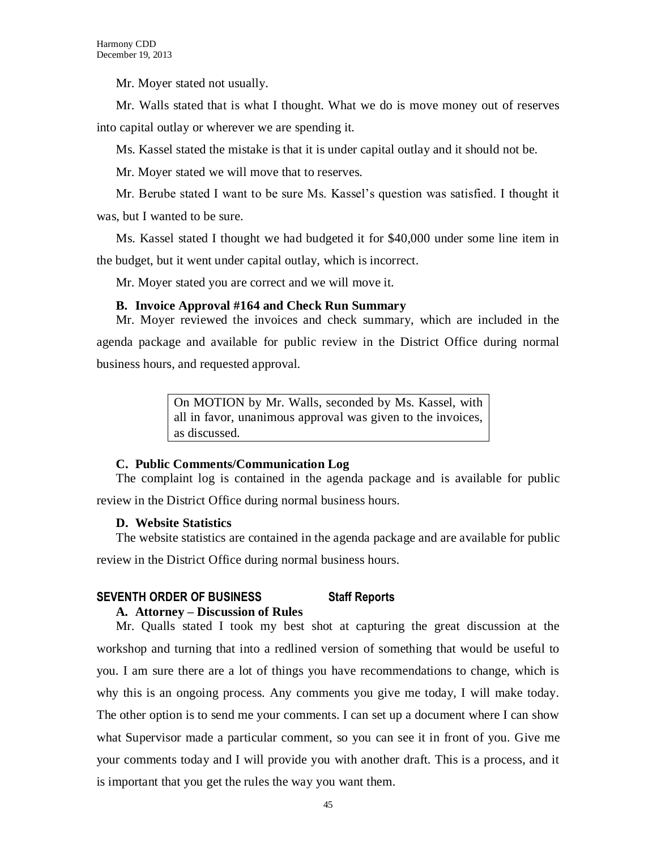Mr. Moyer stated not usually.

Mr. Walls stated that is what I thought. What we do is move money out of reserves into capital outlay or wherever we are spending it.

Ms. Kassel stated the mistake is that it is under capital outlay and it should not be.

Mr. Moyer stated we will move that to reserves.

Mr. Berube stated I want to be sure Ms. Kassel's question was satisfied. I thought it was, but I wanted to be sure.

Ms. Kassel stated I thought we had budgeted it for \$40,000 under some line item in the budget, but it went under capital outlay, which is incorrect.

Mr. Moyer stated you are correct and we will move it.

## **B. Invoice Approval #164 and Check Run Summary**

Mr. Moyer reviewed the invoices and check summary, which are included in the agenda package and available for public review in the District Office during normal business hours, and requested approval.

> On MOTION by Mr. Walls, seconded by Ms. Kassel, with all in favor, unanimous approval was given to the invoices, as discussed.

### **C. Public Comments/Communication Log**

The complaint log is contained in the agenda package and is available for public review in the District Office during normal business hours.

# **D. Website Statistics**

The website statistics are contained in the agenda package and are available for public

review in the District Office during normal business hours.

# **SEVENTH ORDER OF BUSINESS Staff Reports**

### **A. Attorney – Discussion of Rules**

Mr. Qualls stated I took my best shot at capturing the great discussion at the workshop and turning that into a redlined version of something that would be useful to you. I am sure there are a lot of things you have recommendations to change, which is why this is an ongoing process. Any comments you give me today, I will make today. The other option is to send me your comments. I can set up a document where I can show what Supervisor made a particular comment, so you can see it in front of you. Give me your comments today and I will provide you with another draft. This is a process, and it is important that you get the rules the way you want them.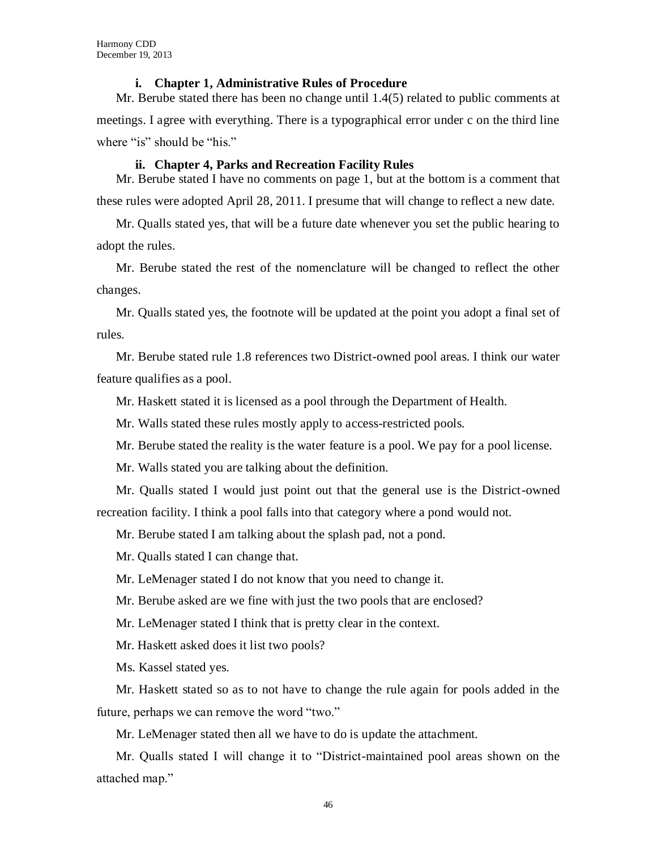#### **i. Chapter 1, Administrative Rules of Procedure**

Mr. Berube stated there has been no change until 1.4(5) related to public comments at meetings. I agree with everything. There is a typographical error under c on the third line where "is" should be "his."

#### **ii. Chapter 4, Parks and Recreation Facility Rules**

Mr. Berube stated I have no comments on page 1, but at the bottom is a comment that these rules were adopted April 28, 2011. I presume that will change to reflect a new date.

Mr. Qualls stated yes, that will be a future date whenever you set the public hearing to adopt the rules.

Mr. Berube stated the rest of the nomenclature will be changed to reflect the other changes.

Mr. Qualls stated yes, the footnote will be updated at the point you adopt a final set of rules.

Mr. Berube stated rule 1.8 references two District-owned pool areas. I think our water feature qualifies as a pool.

Mr. Haskett stated it is licensed as a pool through the Department of Health.

Mr. Walls stated these rules mostly apply to access-restricted pools.

Mr. Berube stated the reality is the water feature is a pool. We pay for a pool license.

Mr. Walls stated you are talking about the definition.

Mr. Qualls stated I would just point out that the general use is the District-owned recreation facility. I think a pool falls into that category where a pond would not.

Mr. Berube stated I am talking about the splash pad, not a pond.

Mr. Qualls stated I can change that.

Mr. LeMenager stated I do not know that you need to change it.

Mr. Berube asked are we fine with just the two pools that are enclosed?

Mr. LeMenager stated I think that is pretty clear in the context.

Mr. Haskett asked does it list two pools?

Ms. Kassel stated yes.

Mr. Haskett stated so as to not have to change the rule again for pools added in the future, perhaps we can remove the word "two."

Mr. LeMenager stated then all we have to do is update the attachment.

Mr. Qualls stated I will change it to "District-maintained pool areas shown on the attached map."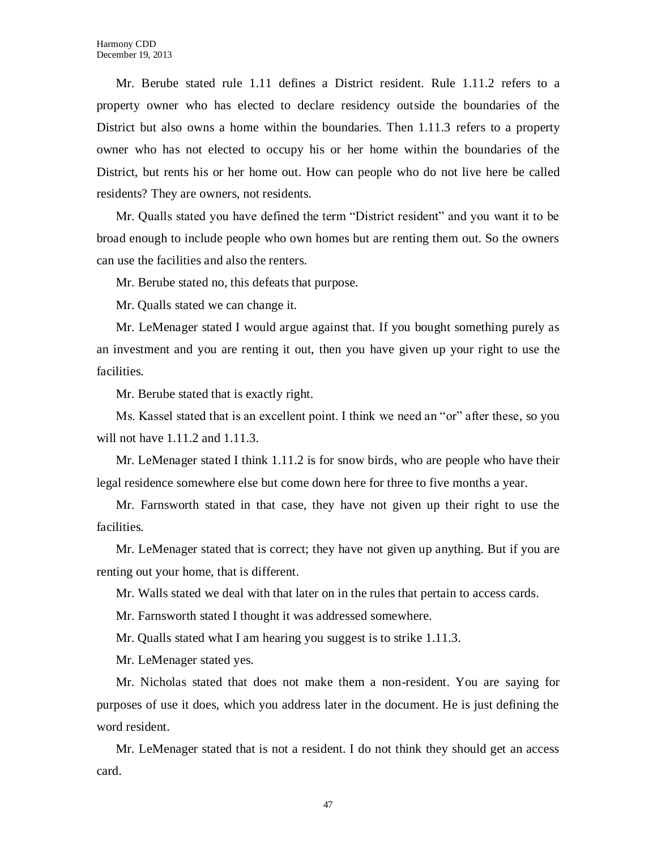Mr. Berube stated rule 1.11 defines a District resident. Rule 1.11.2 refers to a property owner who has elected to declare residency outside the boundaries of the District but also owns a home within the boundaries. Then 1.11.3 refers to a property owner who has not elected to occupy his or her home within the boundaries of the District, but rents his or her home out. How can people who do not live here be called residents? They are owners, not residents.

Mr. Qualls stated you have defined the term "District resident" and you want it to be broad enough to include people who own homes but are renting them out. So the owners can use the facilities and also the renters.

Mr. Berube stated no, this defeats that purpose.

Mr. Qualls stated we can change it.

Mr. LeMenager stated I would argue against that. If you bought something purely as an investment and you are renting it out, then you have given up your right to use the facilities.

Mr. Berube stated that is exactly right.

Ms. Kassel stated that is an excellent point. I think we need an "or" after these, so you will not have 1.11.2 and 1.11.3.

Mr. LeMenager stated I think 1.11.2 is for snow birds, who are people who have their legal residence somewhere else but come down here for three to five months a year.

Mr. Farnsworth stated in that case, they have not given up their right to use the facilities.

Mr. LeMenager stated that is correct; they have not given up anything. But if you are renting out your home, that is different.

Mr. Walls stated we deal with that later on in the rules that pertain to access cards.

Mr. Farnsworth stated I thought it was addressed somewhere.

Mr. Qualls stated what I am hearing you suggest is to strike 1.11.3.

Mr. LeMenager stated yes.

Mr. Nicholas stated that does not make them a non-resident. You are saying for purposes of use it does, which you address later in the document. He is just defining the word resident.

Mr. LeMenager stated that is not a resident. I do not think they should get an access card.

47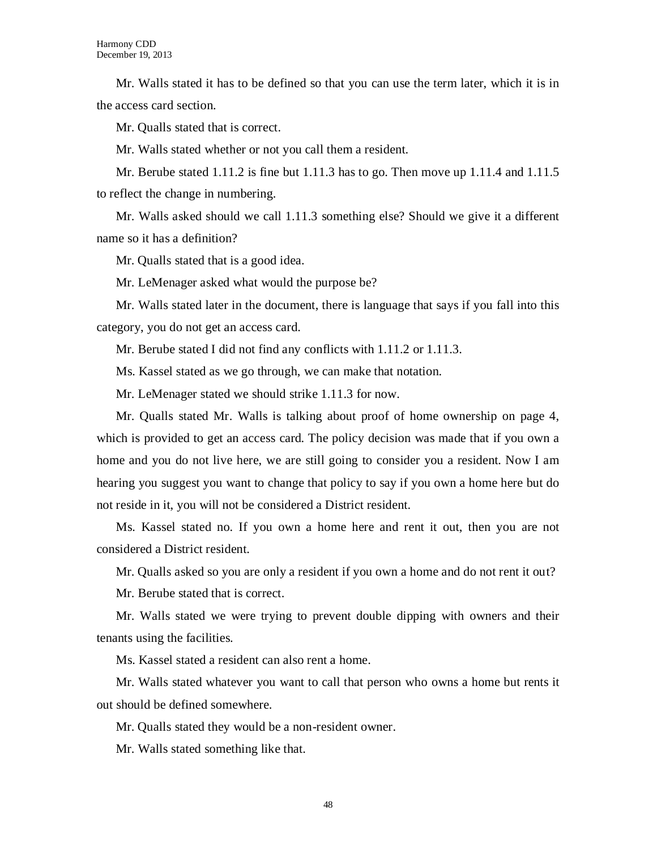Mr. Walls stated it has to be defined so that you can use the term later, which it is in the access card section.

Mr. Qualls stated that is correct.

Mr. Walls stated whether or not you call them a resident.

Mr. Berube stated  $1.11.2$  is fine but 1.11.3 has to go. Then move up 1.11.4 and 1.11.5 to reflect the change in numbering.

Mr. Walls asked should we call 1.11.3 something else? Should we give it a different name so it has a definition?

Mr. Qualls stated that is a good idea.

Mr. LeMenager asked what would the purpose be?

Mr. Walls stated later in the document, there is language that says if you fall into this category, you do not get an access card.

Mr. Berube stated I did not find any conflicts with 1.11.2 or 1.11.3.

Ms. Kassel stated as we go through, we can make that notation.

Mr. LeMenager stated we should strike 1.11.3 for now.

Mr. Qualls stated Mr. Walls is talking about proof of home ownership on page 4, which is provided to get an access card. The policy decision was made that if you own a home and you do not live here, we are still going to consider you a resident. Now I am hearing you suggest you want to change that policy to say if you own a home here but do not reside in it, you will not be considered a District resident.

Ms. Kassel stated no. If you own a home here and rent it out, then you are not considered a District resident.

Mr. Qualls asked so you are only a resident if you own a home and do not rent it out?

Mr. Berube stated that is correct.

Mr. Walls stated we were trying to prevent double dipping with owners and their tenants using the facilities.

Ms. Kassel stated a resident can also rent a home.

Mr. Walls stated whatever you want to call that person who owns a home but rents it out should be defined somewhere.

Mr. Qualls stated they would be a non-resident owner.

Mr. Walls stated something like that.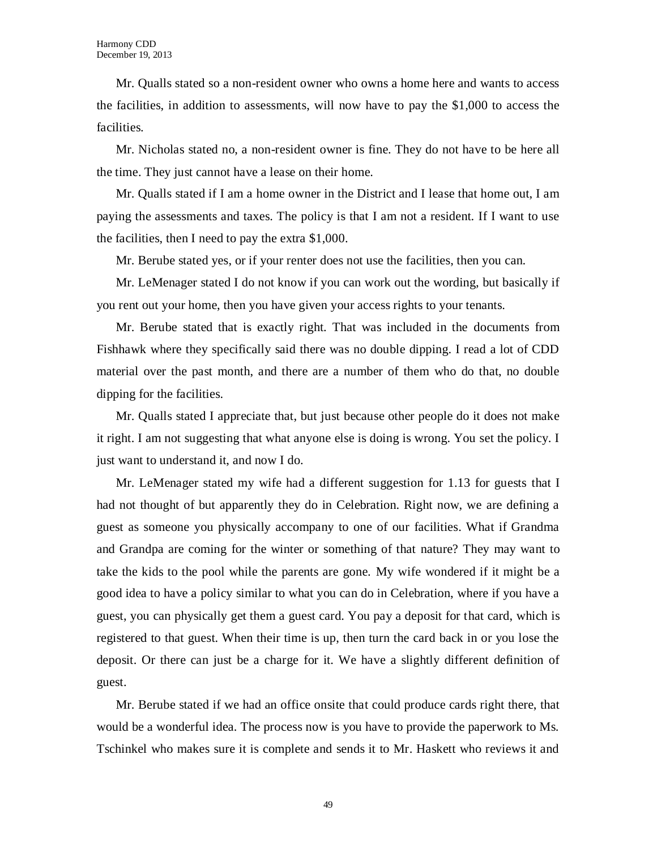Mr. Qualls stated so a non-resident owner who owns a home here and wants to access the facilities, in addition to assessments, will now have to pay the \$1,000 to access the facilities.

Mr. Nicholas stated no, a non-resident owner is fine. They do not have to be here all the time. They just cannot have a lease on their home.

Mr. Qualls stated if I am a home owner in the District and I lease that home out, I am paying the assessments and taxes. The policy is that I am not a resident. If I want to use the facilities, then I need to pay the extra \$1,000.

Mr. Berube stated yes, or if your renter does not use the facilities, then you can.

Mr. LeMenager stated I do not know if you can work out the wording, but basically if you rent out your home, then you have given your access rights to your tenants.

Mr. Berube stated that is exactly right. That was included in the documents from Fishhawk where they specifically said there was no double dipping. I read a lot of CDD material over the past month, and there are a number of them who do that, no double dipping for the facilities.

Mr. Qualls stated I appreciate that, but just because other people do it does not make it right. I am not suggesting that what anyone else is doing is wrong. You set the policy. I just want to understand it, and now I do.

Mr. LeMenager stated my wife had a different suggestion for 1.13 for guests that I had not thought of but apparently they do in Celebration. Right now, we are defining a guest as someone you physically accompany to one of our facilities. What if Grandma and Grandpa are coming for the winter or something of that nature? They may want to take the kids to the pool while the parents are gone. My wife wondered if it might be a good idea to have a policy similar to what you can do in Celebration, where if you have a guest, you can physically get them a guest card. You pay a deposit for that card, which is registered to that guest. When their time is up, then turn the card back in or you lose the deposit. Or there can just be a charge for it. We have a slightly different definition of guest.

Mr. Berube stated if we had an office onsite that could produce cards right there, that would be a wonderful idea. The process now is you have to provide the paperwork to Ms. Tschinkel who makes sure it is complete and sends it to Mr. Haskett who reviews it and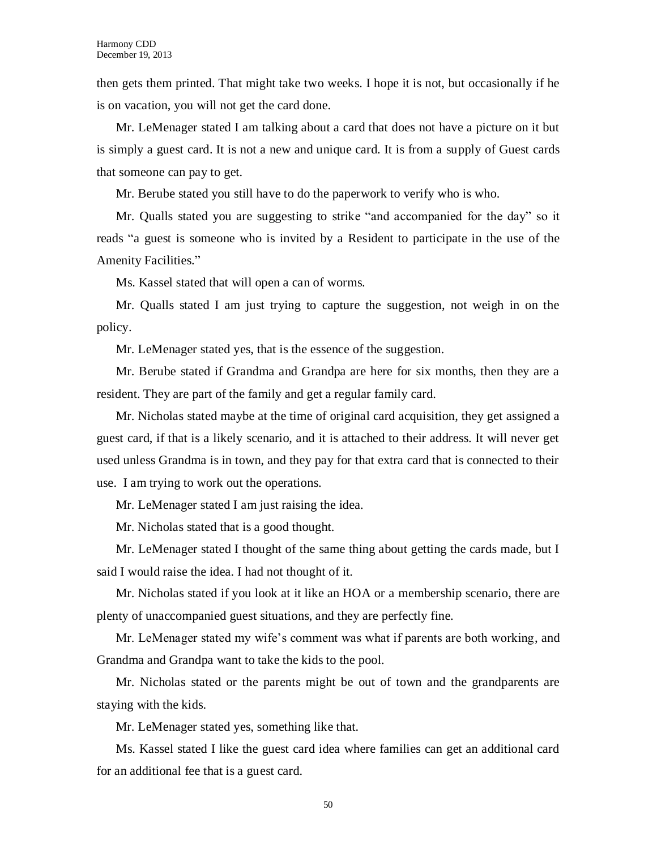then gets them printed. That might take two weeks. I hope it is not, but occasionally if he is on vacation, you will not get the card done.

Mr. LeMenager stated I am talking about a card that does not have a picture on it but is simply a guest card. It is not a new and unique card. It is from a supply of Guest cards that someone can pay to get.

Mr. Berube stated you still have to do the paperwork to verify who is who.

Mr. Qualls stated you are suggesting to strike "and accompanied for the day" so it reads "a guest is someone who is invited by a Resident to participate in the use of the Amenity Facilities."

Ms. Kassel stated that will open a can of worms.

Mr. Qualls stated I am just trying to capture the suggestion, not weigh in on the policy.

Mr. LeMenager stated yes, that is the essence of the suggestion.

Mr. Berube stated if Grandma and Grandpa are here for six months, then they are a resident. They are part of the family and get a regular family card.

Mr. Nicholas stated maybe at the time of original card acquisition, they get assigned a guest card, if that is a likely scenario, and it is attached to their address. It will never get used unless Grandma is in town, and they pay for that extra card that is connected to their use. I am trying to work out the operations.

Mr. LeMenager stated I am just raising the idea.

Mr. Nicholas stated that is a good thought.

Mr. LeMenager stated I thought of the same thing about getting the cards made, but I said I would raise the idea. I had not thought of it.

Mr. Nicholas stated if you look at it like an HOA or a membership scenario, there are plenty of unaccompanied guest situations, and they are perfectly fine.

Mr. LeMenager stated my wife's comment was what if parents are both working, and Grandma and Grandpa want to take the kids to the pool.

Mr. Nicholas stated or the parents might be out of town and the grandparents are staying with the kids.

Mr. LeMenager stated yes, something like that.

Ms. Kassel stated I like the guest card idea where families can get an additional card for an additional fee that is a guest card.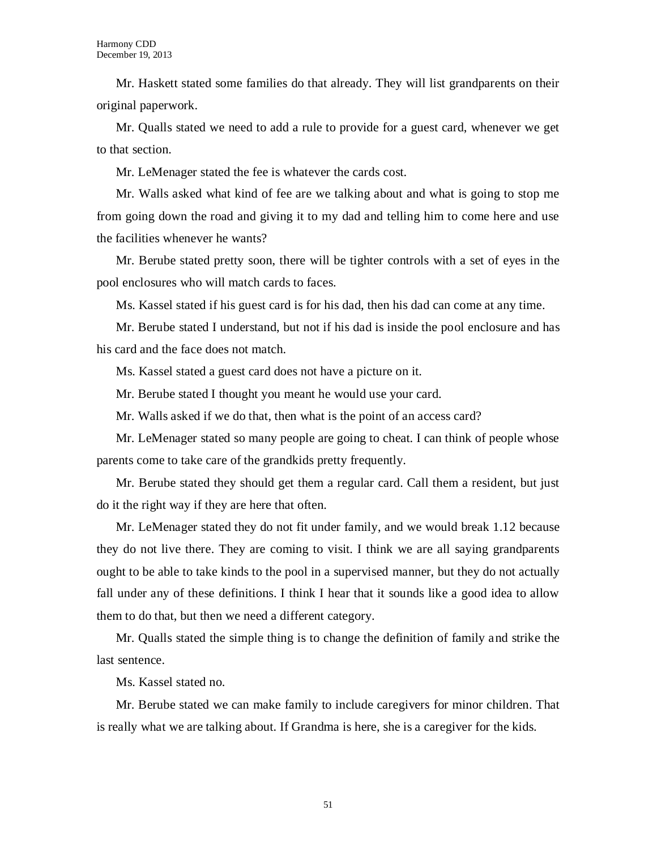Mr. Haskett stated some families do that already. They will list grandparents on their original paperwork.

Mr. Qualls stated we need to add a rule to provide for a guest card, whenever we get to that section.

Mr. LeMenager stated the fee is whatever the cards cost.

Mr. Walls asked what kind of fee are we talking about and what is going to stop me from going down the road and giving it to my dad and telling him to come here and use the facilities whenever he wants?

Mr. Berube stated pretty soon, there will be tighter controls with a set of eyes in the pool enclosures who will match cards to faces.

Ms. Kassel stated if his guest card is for his dad, then his dad can come at any time.

Mr. Berube stated I understand, but not if his dad is inside the pool enclosure and has his card and the face does not match.

Ms. Kassel stated a guest card does not have a picture on it.

Mr. Berube stated I thought you meant he would use your card.

Mr. Walls asked if we do that, then what is the point of an access card?

Mr. LeMenager stated so many people are going to cheat. I can think of people whose parents come to take care of the grandkids pretty frequently.

Mr. Berube stated they should get them a regular card. Call them a resident, but just do it the right way if they are here that often.

Mr. LeMenager stated they do not fit under family, and we would break 1.12 because they do not live there. They are coming to visit. I think we are all saying grandparents ought to be able to take kinds to the pool in a supervised manner, but they do not actually fall under any of these definitions. I think I hear that it sounds like a good idea to allow them to do that, but then we need a different category.

Mr. Qualls stated the simple thing is to change the definition of family and strike the last sentence.

Ms. Kassel stated no.

Mr. Berube stated we can make family to include caregivers for minor children. That is really what we are talking about. If Grandma is here, she is a caregiver for the kids.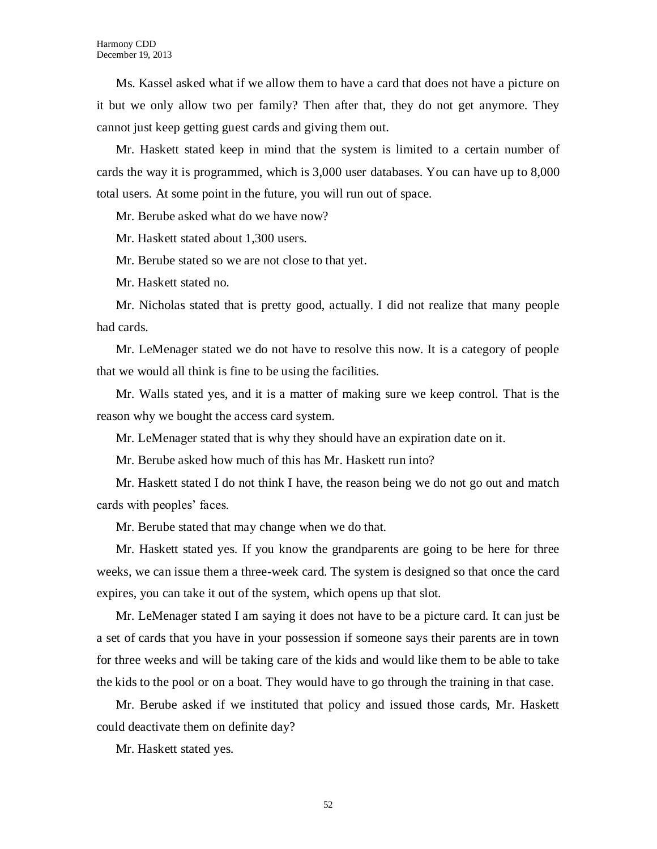Ms. Kassel asked what if we allow them to have a card that does not have a picture on it but we only allow two per family? Then after that, they do not get anymore. They cannot just keep getting guest cards and giving them out.

Mr. Haskett stated keep in mind that the system is limited to a certain number of cards the way it is programmed, which is 3,000 user databases. You can have up to 8,000 total users. At some point in the future, you will run out of space.

Mr. Berube asked what do we have now?

Mr. Haskett stated about 1,300 users.

Mr. Berube stated so we are not close to that yet.

Mr. Haskett stated no.

Mr. Nicholas stated that is pretty good, actually. I did not realize that many people had cards.

Mr. LeMenager stated we do not have to resolve this now. It is a category of people that we would all think is fine to be using the facilities.

Mr. Walls stated yes, and it is a matter of making sure we keep control. That is the reason why we bought the access card system.

Mr. LeMenager stated that is why they should have an expiration date on it.

Mr. Berube asked how much of this has Mr. Haskett run into?

Mr. Haskett stated I do not think I have, the reason being we do not go out and match cards with peoples' faces.

Mr. Berube stated that may change when we do that.

Mr. Haskett stated yes. If you know the grandparents are going to be here for three weeks, we can issue them a three-week card. The system is designed so that once the card expires, you can take it out of the system, which opens up that slot.

Mr. LeMenager stated I am saying it does not have to be a picture card. It can just be a set of cards that you have in your possession if someone says their parents are in town for three weeks and will be taking care of the kids and would like them to be able to take the kids to the pool or on a boat. They would have to go through the training in that case.

Mr. Berube asked if we instituted that policy and issued those cards, Mr. Haskett could deactivate them on definite day?

Mr. Haskett stated yes.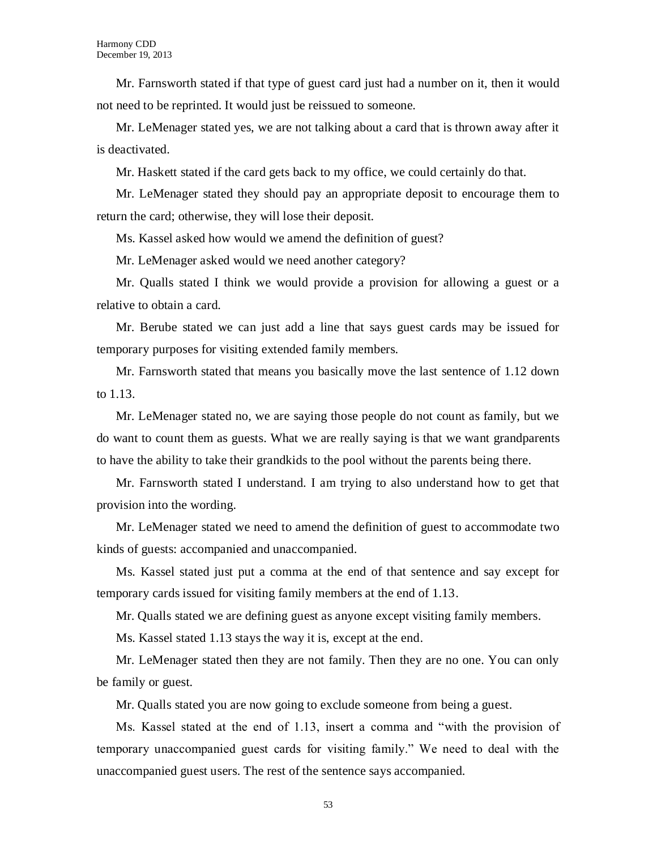Mr. Farnsworth stated if that type of guest card just had a number on it, then it would not need to be reprinted. It would just be reissued to someone.

Mr. LeMenager stated yes, we are not talking about a card that is thrown away after it is deactivated.

Mr. Haskett stated if the card gets back to my office, we could certainly do that.

Mr. LeMenager stated they should pay an appropriate deposit to encourage them to return the card; otherwise, they will lose their deposit.

Ms. Kassel asked how would we amend the definition of guest?

Mr. LeMenager asked would we need another category?

Mr. Qualls stated I think we would provide a provision for allowing a guest or a relative to obtain a card.

Mr. Berube stated we can just add a line that says guest cards may be issued for temporary purposes for visiting extended family members.

Mr. Farnsworth stated that means you basically move the last sentence of 1.12 down to 1.13.

Mr. LeMenager stated no, we are saying those people do not count as family, but we do want to count them as guests. What we are really saying is that we want grandparents to have the ability to take their grandkids to the pool without the parents being there.

Mr. Farnsworth stated I understand. I am trying to also understand how to get that provision into the wording.

Mr. LeMenager stated we need to amend the definition of guest to accommodate two kinds of guests: accompanied and unaccompanied.

Ms. Kassel stated just put a comma at the end of that sentence and say except for temporary cards issued for visiting family members at the end of 1.13.

Mr. Qualls stated we are defining guest as anyone except visiting family members.

Ms. Kassel stated 1.13 stays the way it is, except at the end.

Mr. LeMenager stated then they are not family. Then they are no one. You can only be family or guest.

Mr. Qualls stated you are now going to exclude someone from being a guest.

Ms. Kassel stated at the end of 1.13, insert a comma and "with the provision of temporary unaccompanied guest cards for visiting family." We need to deal with the unaccompanied guest users. The rest of the sentence says accompanied.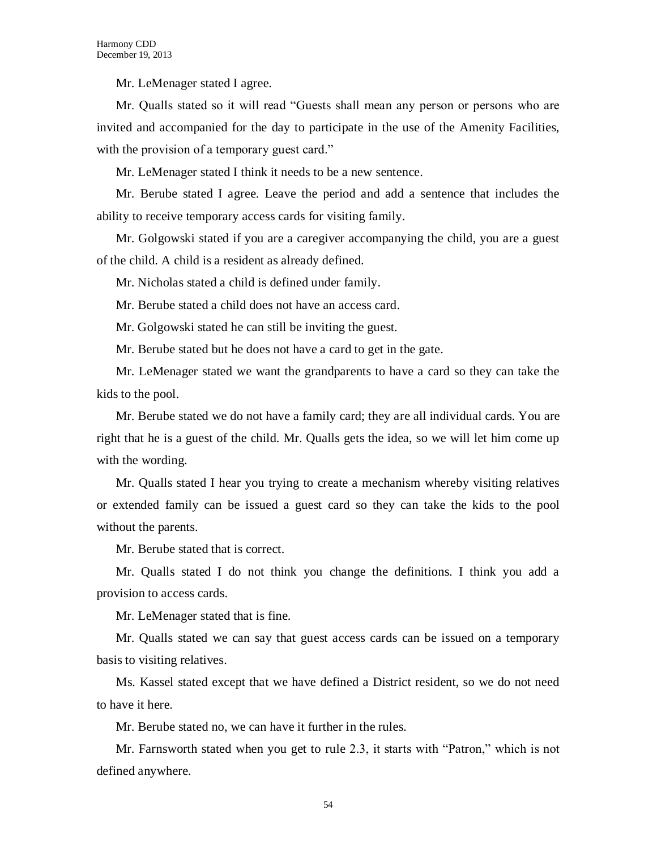Mr. LeMenager stated I agree.

Mr. Qualls stated so it will read "Guests shall mean any person or persons who are invited and accompanied for the day to participate in the use of the Amenity Facilities, with the provision of a temporary guest card."

Mr. LeMenager stated I think it needs to be a new sentence.

Mr. Berube stated I agree. Leave the period and add a sentence that includes the ability to receive temporary access cards for visiting family.

Mr. Golgowski stated if you are a caregiver accompanying the child, you are a guest of the child. A child is a resident as already defined.

Mr. Nicholas stated a child is defined under family.

Mr. Berube stated a child does not have an access card.

Mr. Golgowski stated he can still be inviting the guest.

Mr. Berube stated but he does not have a card to get in the gate.

Mr. LeMenager stated we want the grandparents to have a card so they can take the kids to the pool.

Mr. Berube stated we do not have a family card; they are all individual cards. You are right that he is a guest of the child. Mr. Qualls gets the idea, so we will let him come up with the wording.

Mr. Qualls stated I hear you trying to create a mechanism whereby visiting relatives or extended family can be issued a guest card so they can take the kids to the pool without the parents.

Mr. Berube stated that is correct.

Mr. Qualls stated I do not think you change the definitions. I think you add a provision to access cards.

Mr. LeMenager stated that is fine.

Mr. Qualls stated we can say that guest access cards can be issued on a temporary basis to visiting relatives.

Ms. Kassel stated except that we have defined a District resident, so we do not need to have it here.

Mr. Berube stated no, we can have it further in the rules.

Mr. Farnsworth stated when you get to rule 2.3, it starts with "Patron," which is not defined anywhere.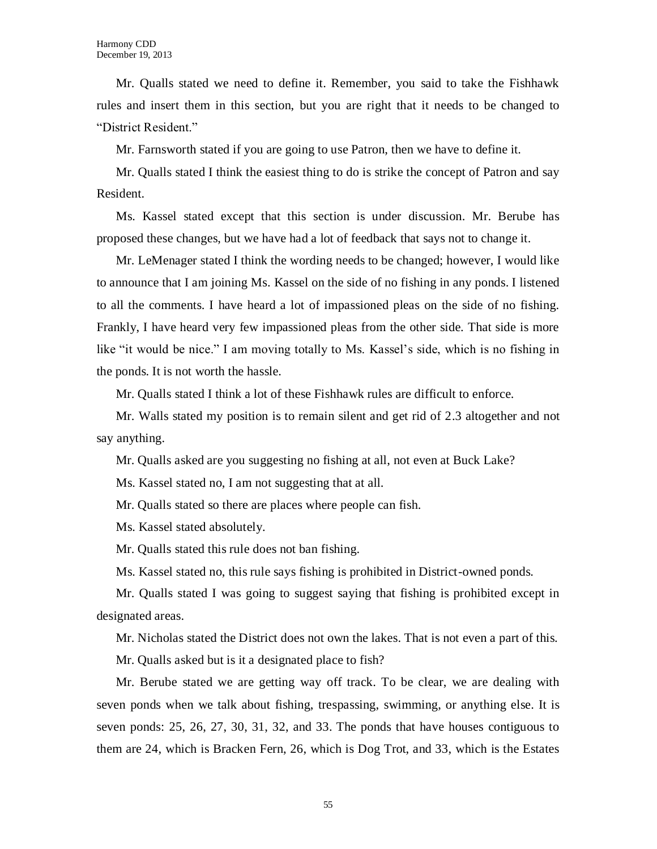Mr. Qualls stated we need to define it. Remember, you said to take the Fishhawk rules and insert them in this section, but you are right that it needs to be changed to "District Resident."

Mr. Farnsworth stated if you are going to use Patron, then we have to define it.

Mr. Qualls stated I think the easiest thing to do is strike the concept of Patron and say Resident.

Ms. Kassel stated except that this section is under discussion. Mr. Berube has proposed these changes, but we have had a lot of feedback that says not to change it.

Mr. LeMenager stated I think the wording needs to be changed; however, I would like to announce that I am joining Ms. Kassel on the side of no fishing in any ponds. I listened to all the comments. I have heard a lot of impassioned pleas on the side of no fishing. Frankly, I have heard very few impassioned pleas from the other side. That side is more like "it would be nice." I am moving totally to Ms. Kassel's side, which is no fishing in the ponds. It is not worth the hassle.

Mr. Qualls stated I think a lot of these Fishhawk rules are difficult to enforce.

Mr. Walls stated my position is to remain silent and get rid of 2.3 altogether and not say anything.

Mr. Qualls asked are you suggesting no fishing at all, not even at Buck Lake?

Ms. Kassel stated no, I am not suggesting that at all.

Mr. Qualls stated so there are places where people can fish.

Ms. Kassel stated absolutely.

Mr. Qualls stated this rule does not ban fishing.

Ms. Kassel stated no, this rule says fishing is prohibited in District-owned ponds.

Mr. Qualls stated I was going to suggest saying that fishing is prohibited except in designated areas.

Mr. Nicholas stated the District does not own the lakes. That is not even a part of this.

Mr. Qualls asked but is it a designated place to fish?

Mr. Berube stated we are getting way off track. To be clear, we are dealing with seven ponds when we talk about fishing, trespassing, swimming, or anything else. It is seven ponds: 25, 26, 27, 30, 31, 32, and 33. The ponds that have houses contiguous to them are 24, which is Bracken Fern, 26, which is Dog Trot, and 33, which is the Estates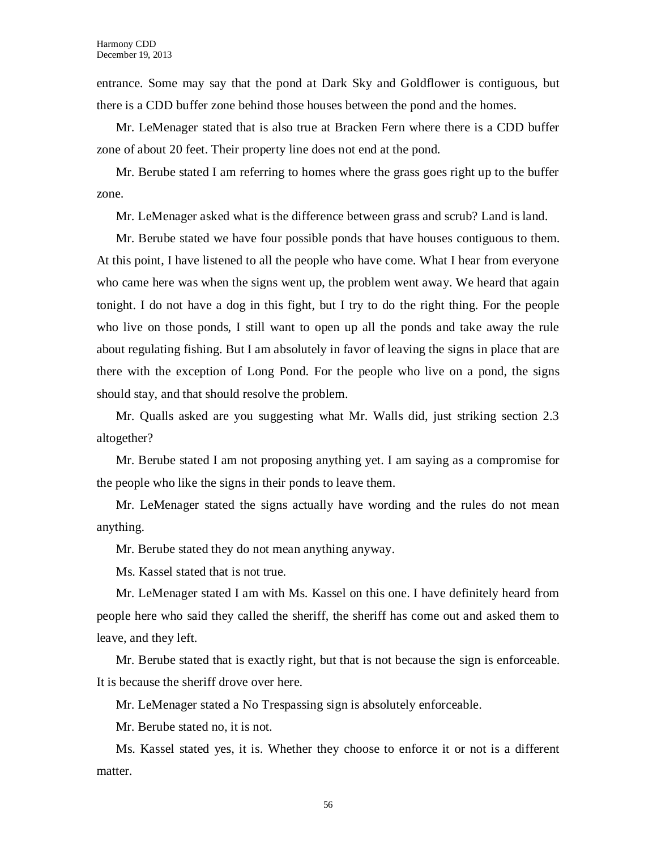entrance. Some may say that the pond at Dark Sky and Goldflower is contiguous, but there is a CDD buffer zone behind those houses between the pond and the homes.

Mr. LeMenager stated that is also true at Bracken Fern where there is a CDD buffer zone of about 20 feet. Their property line does not end at the pond.

Mr. Berube stated I am referring to homes where the grass goes right up to the buffer zone.

Mr. LeMenager asked what is the difference between grass and scrub? Land is land.

Mr. Berube stated we have four possible ponds that have houses contiguous to them. At this point, I have listened to all the people who have come. What I hear from everyone who came here was when the signs went up, the problem went away. We heard that again tonight. I do not have a dog in this fight, but I try to do the right thing. For the people who live on those ponds, I still want to open up all the ponds and take away the rule about regulating fishing. But I am absolutely in favor of leaving the signs in place that are there with the exception of Long Pond. For the people who live on a pond, the signs should stay, and that should resolve the problem.

Mr. Qualls asked are you suggesting what Mr. Walls did, just striking section 2.3 altogether?

Mr. Berube stated I am not proposing anything yet. I am saying as a compromise for the people who like the signs in their ponds to leave them.

Mr. LeMenager stated the signs actually have wording and the rules do not mean anything.

Mr. Berube stated they do not mean anything anyway.

Ms. Kassel stated that is not true.

Mr. LeMenager stated I am with Ms. Kassel on this one. I have definitely heard from people here who said they called the sheriff, the sheriff has come out and asked them to leave, and they left.

Mr. Berube stated that is exactly right, but that is not because the sign is enforceable. It is because the sheriff drove over here.

Mr. LeMenager stated a No Trespassing sign is absolutely enforceable.

Mr. Berube stated no, it is not.

Ms. Kassel stated yes, it is. Whether they choose to enforce it or not is a different matter.

56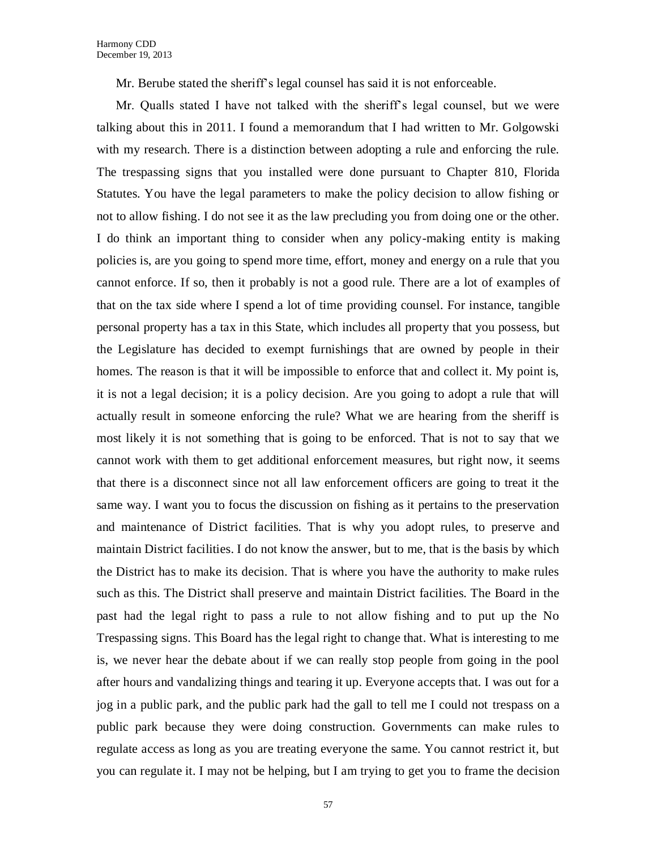Mr. Berube stated the sheriff's legal counsel has said it is not enforceable.

Mr. Qualls stated I have not talked with the sheriff's legal counsel, but we were talking about this in 2011. I found a memorandum that I had written to Mr. Golgowski with my research. There is a distinction between adopting a rule and enforcing the rule. The trespassing signs that you installed were done pursuant to Chapter 810, Florida Statutes. You have the legal parameters to make the policy decision to allow fishing or not to allow fishing. I do not see it as the law precluding you from doing one or the other. I do think an important thing to consider when any policy-making entity is making policies is, are you going to spend more time, effort, money and energy on a rule that you cannot enforce. If so, then it probably is not a good rule. There are a lot of examples of that on the tax side where I spend a lot of time providing counsel. For instance, tangible personal property has a tax in this State, which includes all property that you possess, but the Legislature has decided to exempt furnishings that are owned by people in their homes. The reason is that it will be impossible to enforce that and collect it. My point is, it is not a legal decision; it is a policy decision. Are you going to adopt a rule that will actually result in someone enforcing the rule? What we are hearing from the sheriff is most likely it is not something that is going to be enforced. That is not to say that we cannot work with them to get additional enforcement measures, but right now, it seems that there is a disconnect since not all law enforcement officers are going to treat it the same way. I want you to focus the discussion on fishing as it pertains to the preservation and maintenance of District facilities. That is why you adopt rules, to preserve and maintain District facilities. I do not know the answer, but to me, that is the basis by which the District has to make its decision. That is where you have the authority to make rules such as this. The District shall preserve and maintain District facilities. The Board in the past had the legal right to pass a rule to not allow fishing and to put up the No Trespassing signs. This Board has the legal right to change that. What is interesting to me is, we never hear the debate about if we can really stop people from going in the pool after hours and vandalizing things and tearing it up. Everyone accepts that. I was out for a jog in a public park, and the public park had the gall to tell me I could not trespass on a public park because they were doing construction. Governments can make rules to regulate access as long as you are treating everyone the same. You cannot restrict it, but you can regulate it. I may not be helping, but I am trying to get you to frame the decision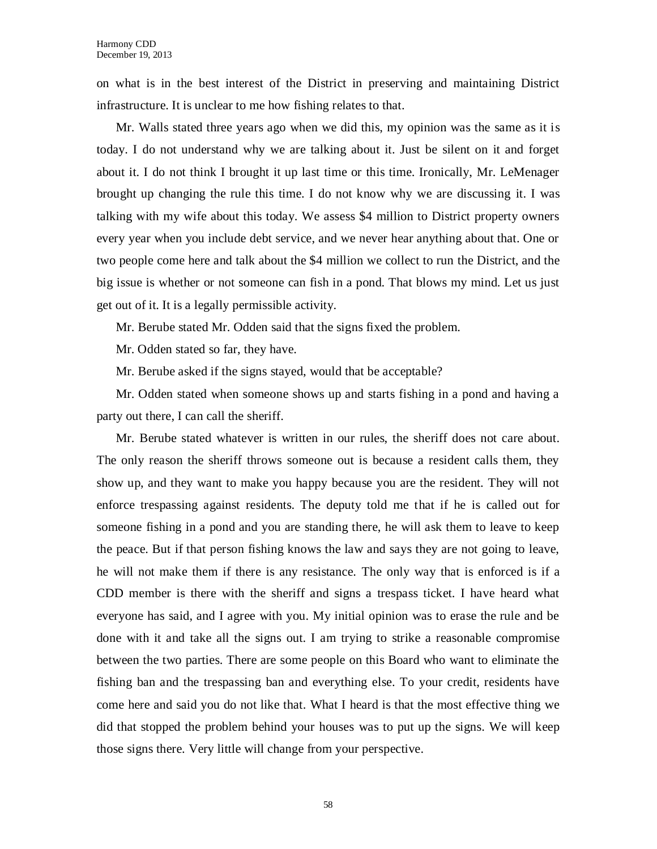on what is in the best interest of the District in preserving and maintaining District infrastructure. It is unclear to me how fishing relates to that.

Mr. Walls stated three years ago when we did this, my opinion was the same as it is today. I do not understand why we are talking about it. Just be silent on it and forget about it. I do not think I brought it up last time or this time. Ironically, Mr. LeMenager brought up changing the rule this time. I do not know why we are discussing it. I was talking with my wife about this today. We assess \$4 million to District property owners every year when you include debt service, and we never hear anything about that. One or two people come here and talk about the \$4 million we collect to run the District, and the big issue is whether or not someone can fish in a pond. That blows my mind. Let us just get out of it. It is a legally permissible activity.

Mr. Berube stated Mr. Odden said that the signs fixed the problem.

Mr. Odden stated so far, they have.

Mr. Berube asked if the signs stayed, would that be acceptable?

Mr. Odden stated when someone shows up and starts fishing in a pond and having a party out there, I can call the sheriff.

Mr. Berube stated whatever is written in our rules, the sheriff does not care about. The only reason the sheriff throws someone out is because a resident calls them, they show up, and they want to make you happy because you are the resident. They will not enforce trespassing against residents. The deputy told me that if he is called out for someone fishing in a pond and you are standing there, he will ask them to leave to keep the peace. But if that person fishing knows the law and says they are not going to leave, he will not make them if there is any resistance. The only way that is enforced is if a CDD member is there with the sheriff and signs a trespass ticket. I have heard what everyone has said, and I agree with you. My initial opinion was to erase the rule and be done with it and take all the signs out. I am trying to strike a reasonable compromise between the two parties. There are some people on this Board who want to eliminate the fishing ban and the trespassing ban and everything else. To your credit, residents have come here and said you do not like that. What I heard is that the most effective thing we did that stopped the problem behind your houses was to put up the signs. We will keep those signs there. Very little will change from your perspective.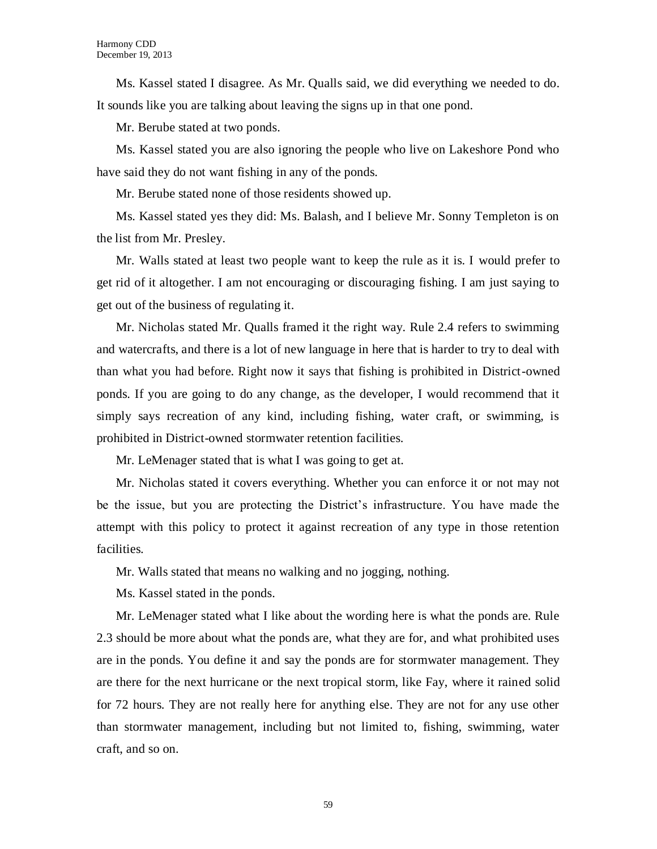Ms. Kassel stated I disagree. As Mr. Qualls said, we did everything we needed to do. It sounds like you are talking about leaving the signs up in that one pond.

Mr. Berube stated at two ponds.

Ms. Kassel stated you are also ignoring the people who live on Lakeshore Pond who have said they do not want fishing in any of the ponds.

Mr. Berube stated none of those residents showed up.

Ms. Kassel stated yes they did: Ms. Balash, and I believe Mr. Sonny Templeton is on the list from Mr. Presley.

Mr. Walls stated at least two people want to keep the rule as it is. I would prefer to get rid of it altogether. I am not encouraging or discouraging fishing. I am just saying to get out of the business of regulating it.

Mr. Nicholas stated Mr. Qualls framed it the right way. Rule 2.4 refers to swimming and watercrafts, and there is a lot of new language in here that is harder to try to deal with than what you had before. Right now it says that fishing is prohibited in District-owned ponds. If you are going to do any change, as the developer, I would recommend that it simply says recreation of any kind, including fishing, water craft, or swimming, is prohibited in District-owned stormwater retention facilities.

Mr. LeMenager stated that is what I was going to get at.

Mr. Nicholas stated it covers everything. Whether you can enforce it or not may not be the issue, but you are protecting the District's infrastructure. You have made the attempt with this policy to protect it against recreation of any type in those retention facilities.

Mr. Walls stated that means no walking and no jogging, nothing.

Ms. Kassel stated in the ponds.

Mr. LeMenager stated what I like about the wording here is what the ponds are. Rule 2.3 should be more about what the ponds are, what they are for, and what prohibited uses are in the ponds. You define it and say the ponds are for stormwater management. They are there for the next hurricane or the next tropical storm, like Fay, where it rained solid for 72 hours. They are not really here for anything else. They are not for any use other than stormwater management, including but not limited to, fishing, swimming, water craft, and so on.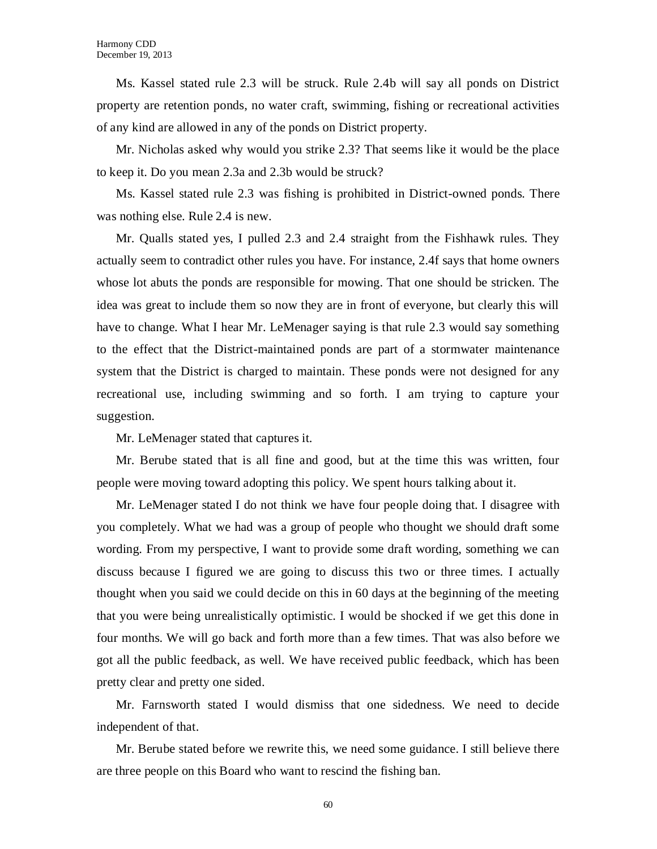Ms. Kassel stated rule 2.3 will be struck. Rule 2.4b will say all ponds on District property are retention ponds, no water craft, swimming, fishing or recreational activities of any kind are allowed in any of the ponds on District property.

Mr. Nicholas asked why would you strike 2.3? That seems like it would be the place to keep it. Do you mean 2.3a and 2.3b would be struck?

Ms. Kassel stated rule 2.3 was fishing is prohibited in District-owned ponds. There was nothing else. Rule 2.4 is new.

Mr. Qualls stated yes, I pulled 2.3 and 2.4 straight from the Fishhawk rules. They actually seem to contradict other rules you have. For instance, 2.4f says that home owners whose lot abuts the ponds are responsible for mowing. That one should be stricken. The idea was great to include them so now they are in front of everyone, but clearly this will have to change. What I hear Mr. LeMenager saying is that rule 2.3 would say something to the effect that the District-maintained ponds are part of a stormwater maintenance system that the District is charged to maintain. These ponds were not designed for any recreational use, including swimming and so forth. I am trying to capture your suggestion.

Mr. LeMenager stated that captures it.

Mr. Berube stated that is all fine and good, but at the time this was written, four people were moving toward adopting this policy. We spent hours talking about it.

Mr. LeMenager stated I do not think we have four people doing that. I disagree with you completely. What we had was a group of people who thought we should draft some wording. From my perspective, I want to provide some draft wording, something we can discuss because I figured we are going to discuss this two or three times. I actually thought when you said we could decide on this in 60 days at the beginning of the meeting that you were being unrealistically optimistic. I would be shocked if we get this done in four months. We will go back and forth more than a few times. That was also before we got all the public feedback, as well. We have received public feedback, which has been pretty clear and pretty one sided.

Mr. Farnsworth stated I would dismiss that one sidedness. We need to decide independent of that.

Mr. Berube stated before we rewrite this, we need some guidance. I still believe there are three people on this Board who want to rescind the fishing ban.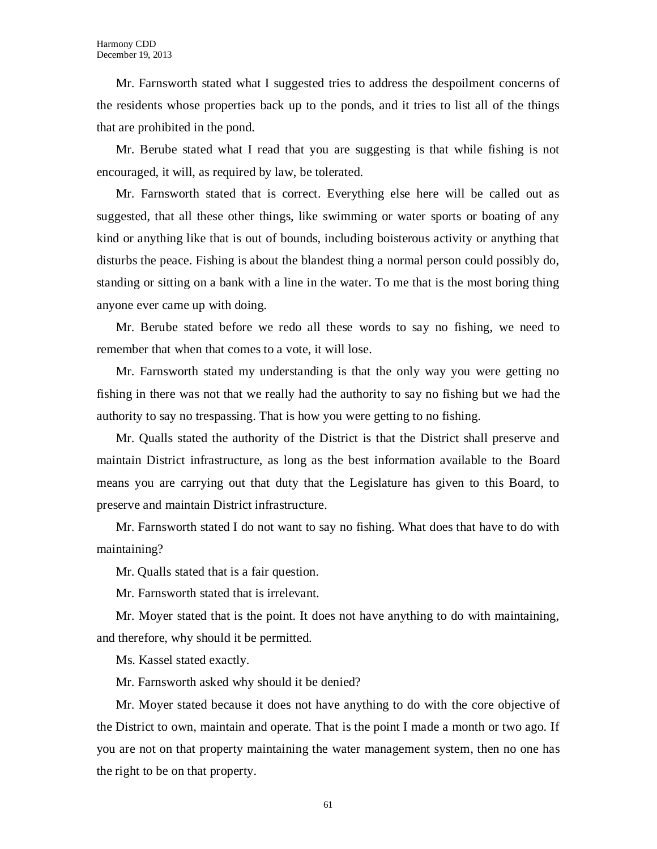Mr. Farnsworth stated what I suggested tries to address the despoilment concerns of the residents whose properties back up to the ponds, and it tries to list all of the things that are prohibited in the pond.

Mr. Berube stated what I read that you are suggesting is that while fishing is not encouraged, it will, as required by law, be tolerated.

Mr. Farnsworth stated that is correct. Everything else here will be called out as suggested, that all these other things, like swimming or water sports or boating of any kind or anything like that is out of bounds, including boisterous activity or anything that disturbs the peace. Fishing is about the blandest thing a normal person could possibly do, standing or sitting on a bank with a line in the water. To me that is the most boring thing anyone ever came up with doing.

Mr. Berube stated before we redo all these words to say no fishing, we need to remember that when that comes to a vote, it will lose.

Mr. Farnsworth stated my understanding is that the only way you were getting no fishing in there was not that we really had the authority to say no fishing but we had the authority to say no trespassing. That is how you were getting to no fishing.

Mr. Qualls stated the authority of the District is that the District shall preserve and maintain District infrastructure, as long as the best information available to the Board means you are carrying out that duty that the Legislature has given to this Board, to preserve and maintain District infrastructure.

Mr. Farnsworth stated I do not want to say no fishing. What does that have to do with maintaining?

Mr. Qualls stated that is a fair question.

Mr. Farnsworth stated that is irrelevant.

Mr. Moyer stated that is the point. It does not have anything to do with maintaining, and therefore, why should it be permitted.

Ms. Kassel stated exactly.

Mr. Farnsworth asked why should it be denied?

Mr. Moyer stated because it does not have anything to do with the core objective of the District to own, maintain and operate. That is the point I made a month or two ago. If you are not on that property maintaining the water management system, then no one has the right to be on that property.

61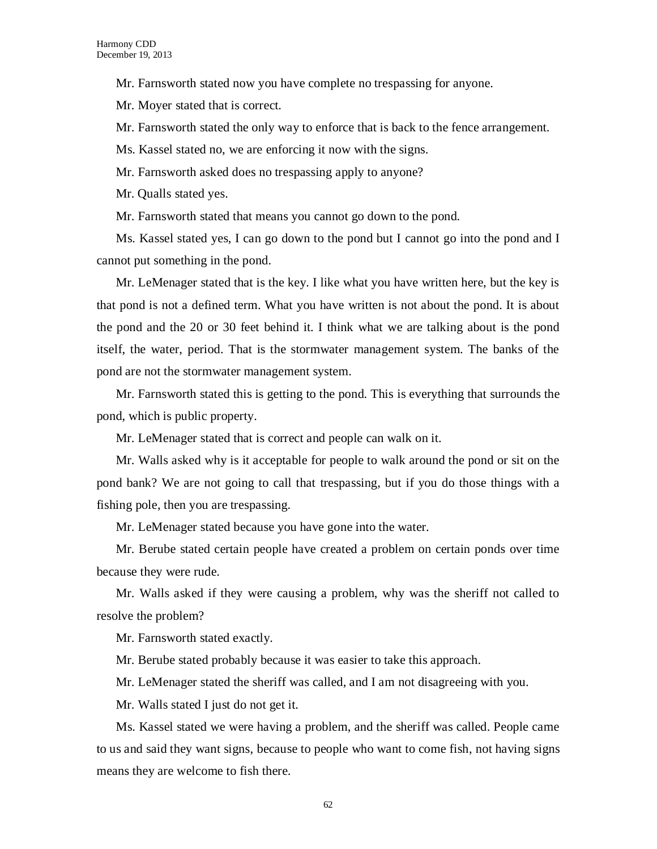Mr. Farnsworth stated now you have complete no trespassing for anyone.

Mr. Moyer stated that is correct.

Mr. Farnsworth stated the only way to enforce that is back to the fence arrangement.

Ms. Kassel stated no, we are enforcing it now with the signs.

Mr. Farnsworth asked does no trespassing apply to anyone?

Mr. Qualls stated yes.

Mr. Farnsworth stated that means you cannot go down to the pond.

Ms. Kassel stated yes, I can go down to the pond but I cannot go into the pond and I cannot put something in the pond.

Mr. LeMenager stated that is the key. I like what you have written here, but the key is that pond is not a defined term. What you have written is not about the pond. It is about the pond and the 20 or 30 feet behind it. I think what we are talking about is the pond itself, the water, period. That is the stormwater management system. The banks of the pond are not the stormwater management system.

Mr. Farnsworth stated this is getting to the pond. This is everything that surrounds the pond, which is public property.

Mr. LeMenager stated that is correct and people can walk on it.

Mr. Walls asked why is it acceptable for people to walk around the pond or sit on the pond bank? We are not going to call that trespassing, but if you do those things with a fishing pole, then you are trespassing.

Mr. LeMenager stated because you have gone into the water.

Mr. Berube stated certain people have created a problem on certain ponds over time because they were rude.

Mr. Walls asked if they were causing a problem, why was the sheriff not called to resolve the problem?

Mr. Farnsworth stated exactly.

Mr. Berube stated probably because it was easier to take this approach.

Mr. LeMenager stated the sheriff was called, and I am not disagreeing with you.

Mr. Walls stated I just do not get it.

Ms. Kassel stated we were having a problem, and the sheriff was called. People came to us and said they want signs, because to people who want to come fish, not having signs means they are welcome to fish there.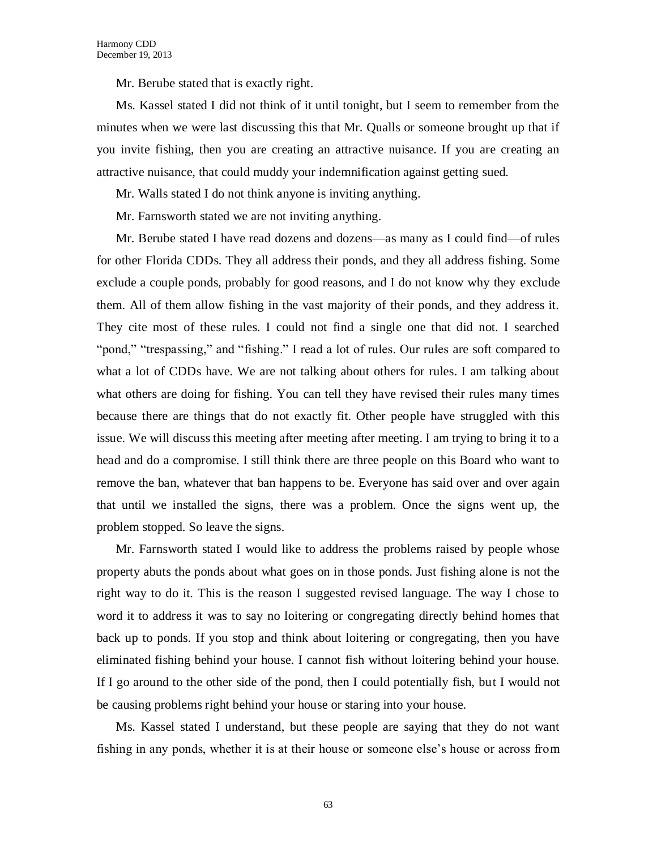Mr. Berube stated that is exactly right.

Ms. Kassel stated I did not think of it until tonight, but I seem to remember from the minutes when we were last discussing this that Mr. Qualls or someone brought up that if you invite fishing, then you are creating an attractive nuisance. If you are creating an attractive nuisance, that could muddy your indemnification against getting sued.

Mr. Walls stated I do not think anyone is inviting anything.

Mr. Farnsworth stated we are not inviting anything.

Mr. Berube stated I have read dozens and dozens—as many as I could find—of rules for other Florida CDDs. They all address their ponds, and they all address fishing. Some exclude a couple ponds, probably for good reasons, and I do not know why they exclude them. All of them allow fishing in the vast majority of their ponds, and they address it. They cite most of these rules. I could not find a single one that did not. I searched "pond," "trespassing," and "fishing." I read a lot of rules. Our rules are soft compared to what a lot of CDDs have. We are not talking about others for rules. I am talking about what others are doing for fishing. You can tell they have revised their rules many times because there are things that do not exactly fit. Other people have struggled with this issue. We will discuss this meeting after meeting after meeting. I am trying to bring it to a head and do a compromise. I still think there are three people on this Board who want to remove the ban, whatever that ban happens to be. Everyone has said over and over again that until we installed the signs, there was a problem. Once the signs went up, the problem stopped. So leave the signs.

Mr. Farnsworth stated I would like to address the problems raised by people whose property abuts the ponds about what goes on in those ponds. Just fishing alone is not the right way to do it. This is the reason I suggested revised language. The way I chose to word it to address it was to say no loitering or congregating directly behind homes that back up to ponds. If you stop and think about loitering or congregating, then you have eliminated fishing behind your house. I cannot fish without loitering behind your house. If I go around to the other side of the pond, then I could potentially fish, but I would not be causing problems right behind your house or staring into your house.

Ms. Kassel stated I understand, but these people are saying that they do not want fishing in any ponds, whether it is at their house or someone else's house or across from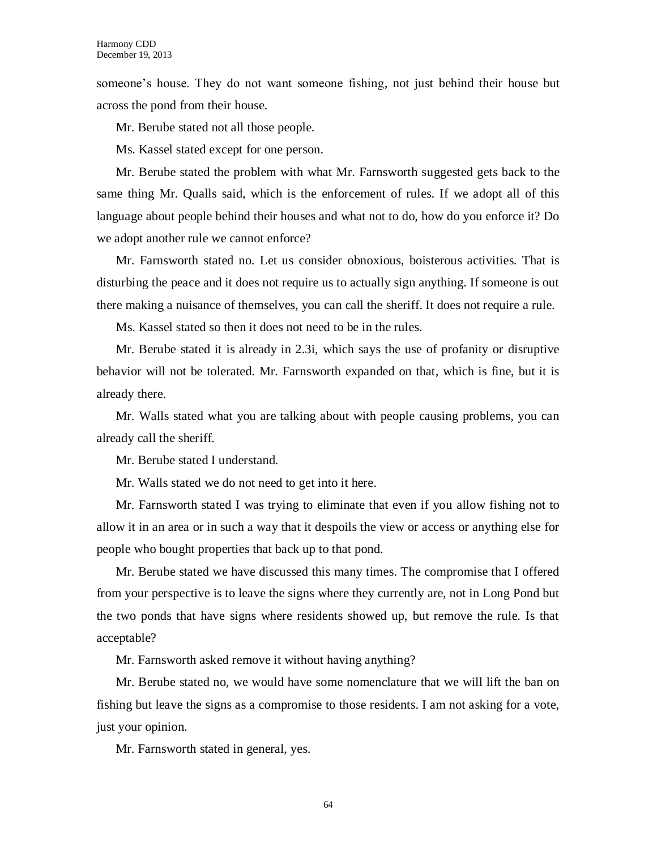someone's house. They do not want someone fishing, not just behind their house but across the pond from their house.

Mr. Berube stated not all those people.

Ms. Kassel stated except for one person.

Mr. Berube stated the problem with what Mr. Farnsworth suggested gets back to the same thing Mr. Qualls said, which is the enforcement of rules. If we adopt all of this language about people behind their houses and what not to do, how do you enforce it? Do we adopt another rule we cannot enforce?

Mr. Farnsworth stated no. Let us consider obnoxious, boisterous activities. That is disturbing the peace and it does not require us to actually sign anything. If someone is out there making a nuisance of themselves, you can call the sheriff. It does not require a rule.

Ms. Kassel stated so then it does not need to be in the rules.

Mr. Berube stated it is already in 2.3i, which says the use of profanity or disruptive behavior will not be tolerated. Mr. Farnsworth expanded on that, which is fine, but it is already there.

Mr. Walls stated what you are talking about with people causing problems, you can already call the sheriff.

Mr. Berube stated I understand.

Mr. Walls stated we do not need to get into it here.

Mr. Farnsworth stated I was trying to eliminate that even if you allow fishing not to allow it in an area or in such a way that it despoils the view or access or anything else for people who bought properties that back up to that pond.

Mr. Berube stated we have discussed this many times. The compromise that I offered from your perspective is to leave the signs where they currently are, not in Long Pond but the two ponds that have signs where residents showed up, but remove the rule. Is that acceptable?

Mr. Farnsworth asked remove it without having anything?

Mr. Berube stated no, we would have some nomenclature that we will lift the ban on fishing but leave the signs as a compromise to those residents. I am not asking for a vote, just your opinion.

Mr. Farnsworth stated in general, yes.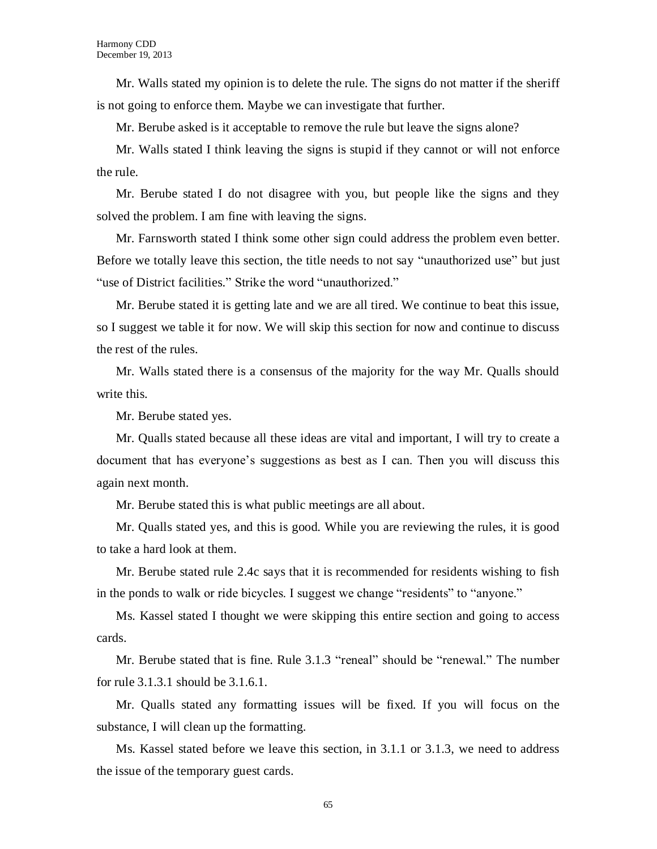Mr. Walls stated my opinion is to delete the rule. The signs do not matter if the sheriff is not going to enforce them. Maybe we can investigate that further.

Mr. Berube asked is it acceptable to remove the rule but leave the signs alone?

Mr. Walls stated I think leaving the signs is stupid if they cannot or will not enforce the rule.

Mr. Berube stated I do not disagree with you, but people like the signs and they solved the problem. I am fine with leaving the signs.

Mr. Farnsworth stated I think some other sign could address the problem even better. Before we totally leave this section, the title needs to not say "unauthorized use" but just "use of District facilities." Strike the word "unauthorized."

Mr. Berube stated it is getting late and we are all tired. We continue to beat this issue, so I suggest we table it for now. We will skip this section for now and continue to discuss the rest of the rules.

Mr. Walls stated there is a consensus of the majority for the way Mr. Qualls should write this.

Mr. Berube stated yes.

Mr. Qualls stated because all these ideas are vital and important, I will try to create a document that has everyone's suggestions as best as I can. Then you will discuss this again next month.

Mr. Berube stated this is what public meetings are all about.

Mr. Qualls stated yes, and this is good. While you are reviewing the rules, it is good to take a hard look at them.

Mr. Berube stated rule 2.4c says that it is recommended for residents wishing to fish in the ponds to walk or ride bicycles. I suggest we change "residents" to "anyone."

Ms. Kassel stated I thought we were skipping this entire section and going to access cards.

Mr. Berube stated that is fine. Rule 3.1.3 "reneal" should be "renewal." The number for rule 3.1.3.1 should be 3.1.6.1.

Mr. Qualls stated any formatting issues will be fixed. If you will focus on the substance, I will clean up the formatting.

Ms. Kassel stated before we leave this section, in 3.1.1 or 3.1.3, we need to address the issue of the temporary guest cards.

65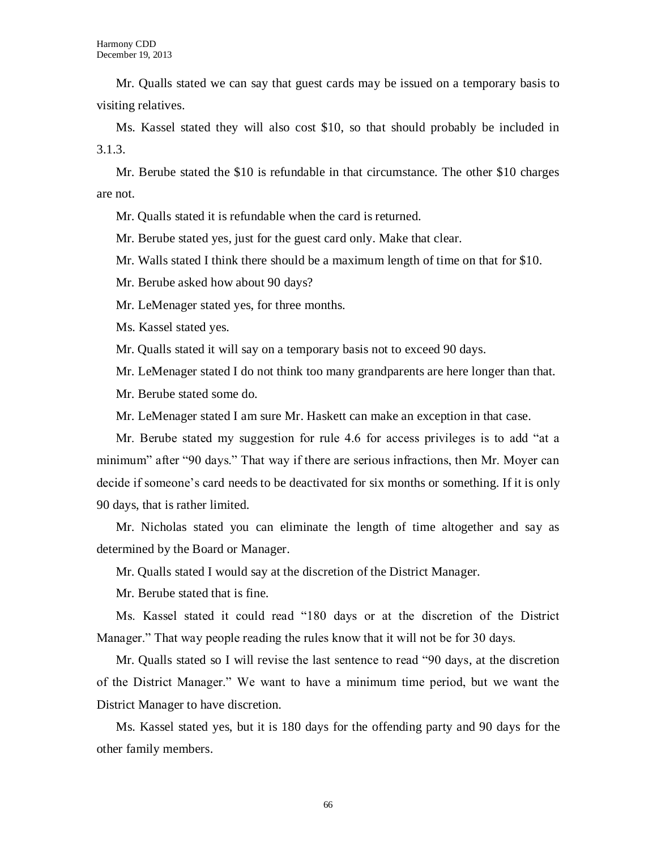Mr. Qualls stated we can say that guest cards may be issued on a temporary basis to visiting relatives.

Ms. Kassel stated they will also cost \$10, so that should probably be included in 3.1.3.

Mr. Berube stated the \$10 is refundable in that circumstance. The other \$10 charges are not.

Mr. Qualls stated it is refundable when the card is returned.

Mr. Berube stated yes, just for the guest card only. Make that clear.

Mr. Walls stated I think there should be a maximum length of time on that for \$10.

Mr. Berube asked how about 90 days?

Mr. LeMenager stated yes, for three months.

Ms. Kassel stated yes.

Mr. Qualls stated it will say on a temporary basis not to exceed 90 days.

Mr. LeMenager stated I do not think too many grandparents are here longer than that.

Mr. Berube stated some do.

Mr. LeMenager stated I am sure Mr. Haskett can make an exception in that case.

Mr. Berube stated my suggestion for rule 4.6 for access privileges is to add "at a minimum" after "90 days." That way if there are serious infractions, then Mr. Moyer can decide if someone's card needs to be deactivated for six months or something. If it is only 90 days, that is rather limited.

Mr. Nicholas stated you can eliminate the length of time altogether and say as determined by the Board or Manager.

Mr. Qualls stated I would say at the discretion of the District Manager.

Mr. Berube stated that is fine.

Ms. Kassel stated it could read "180 days or at the discretion of the District Manager." That way people reading the rules know that it will not be for 30 days.

Mr. Qualls stated so I will revise the last sentence to read "90 days, at the discretion of the District Manager." We want to have a minimum time period, but we want the District Manager to have discretion.

Ms. Kassel stated yes, but it is 180 days for the offending party and 90 days for the other family members.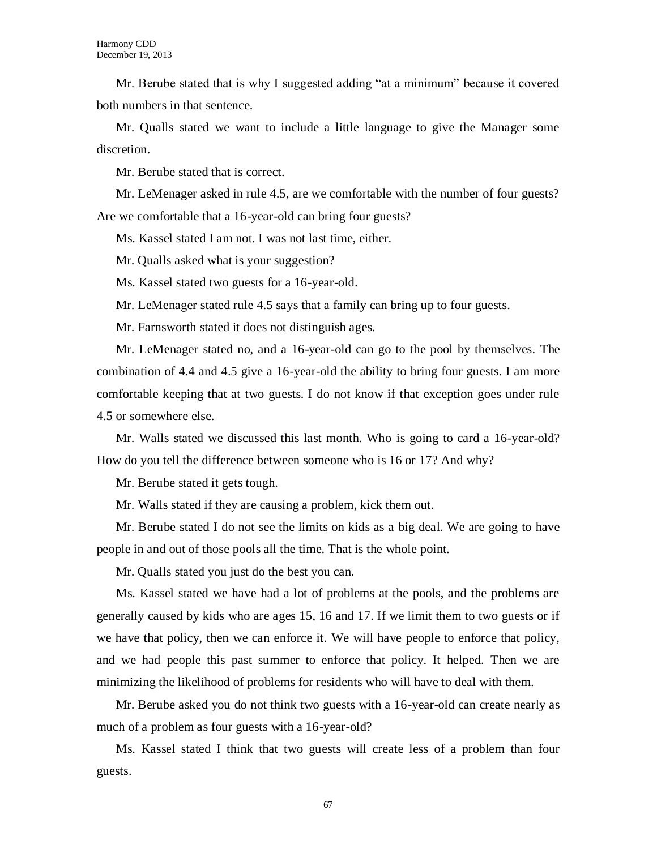Mr. Berube stated that is why I suggested adding "at a minimum" because it covered both numbers in that sentence.

Mr. Qualls stated we want to include a little language to give the Manager some discretion.

Mr. Berube stated that is correct.

Mr. LeMenager asked in rule 4.5, are we comfortable with the number of four guests? Are we comfortable that a 16-year-old can bring four guests?

Ms. Kassel stated I am not. I was not last time, either.

Mr. Qualls asked what is your suggestion?

Ms. Kassel stated two guests for a 16-year-old.

Mr. LeMenager stated rule 4.5 says that a family can bring up to four guests.

Mr. Farnsworth stated it does not distinguish ages.

Mr. LeMenager stated no, and a 16-year-old can go to the pool by themselves. The combination of 4.4 and 4.5 give a 16-year-old the ability to bring four guests. I am more comfortable keeping that at two guests. I do not know if that exception goes under rule 4.5 or somewhere else.

Mr. Walls stated we discussed this last month. Who is going to card a 16-year-old? How do you tell the difference between someone who is 16 or 17? And why?

Mr. Berube stated it gets tough.

Mr. Walls stated if they are causing a problem, kick them out.

Mr. Berube stated I do not see the limits on kids as a big deal. We are going to have people in and out of those pools all the time. That is the whole point.

Mr. Qualls stated you just do the best you can.

Ms. Kassel stated we have had a lot of problems at the pools, and the problems are generally caused by kids who are ages 15, 16 and 17. If we limit them to two guests or if we have that policy, then we can enforce it. We will have people to enforce that policy, and we had people this past summer to enforce that policy. It helped. Then we are minimizing the likelihood of problems for residents who will have to deal with them.

Mr. Berube asked you do not think two guests with a 16-year-old can create nearly as much of a problem as four guests with a 16-year-old?

Ms. Kassel stated I think that two guests will create less of a problem than four guests.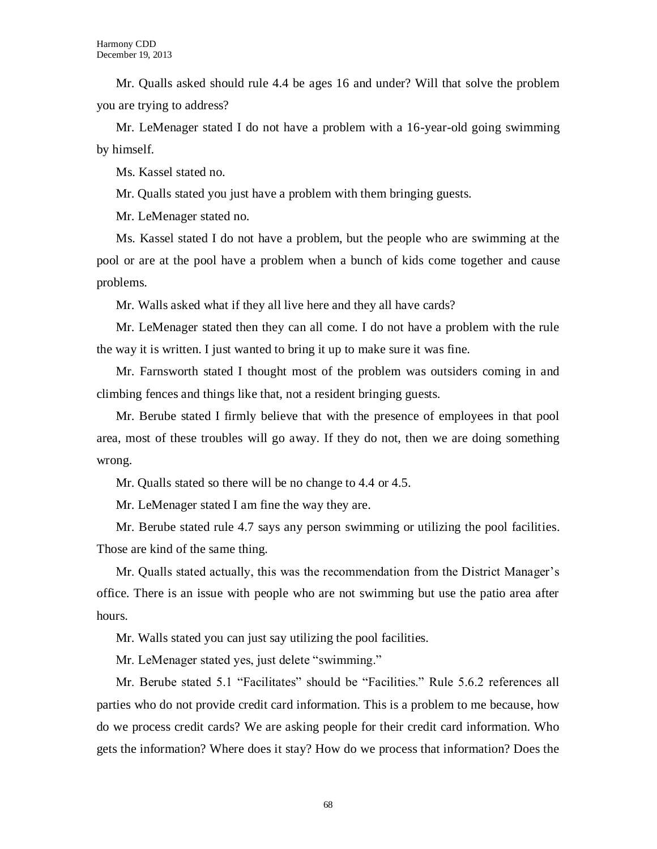Mr. Qualls asked should rule 4.4 be ages 16 and under? Will that solve the problem you are trying to address?

Mr. LeMenager stated I do not have a problem with a 16-year-old going swimming by himself.

Ms. Kassel stated no.

Mr. Qualls stated you just have a problem with them bringing guests.

Mr. LeMenager stated no.

Ms. Kassel stated I do not have a problem, but the people who are swimming at the pool or are at the pool have a problem when a bunch of kids come together and cause problems.

Mr. Walls asked what if they all live here and they all have cards?

Mr. LeMenager stated then they can all come. I do not have a problem with the rule the way it is written. I just wanted to bring it up to make sure it was fine.

Mr. Farnsworth stated I thought most of the problem was outsiders coming in and climbing fences and things like that, not a resident bringing guests.

Mr. Berube stated I firmly believe that with the presence of employees in that pool area, most of these troubles will go away. If they do not, then we are doing something wrong.

Mr. Qualls stated so there will be no change to 4.4 or 4.5.

Mr. LeMenager stated I am fine the way they are.

Mr. Berube stated rule 4.7 says any person swimming or utilizing the pool facilities. Those are kind of the same thing.

Mr. Qualls stated actually, this was the recommendation from the District Manager's office. There is an issue with people who are not swimming but use the patio area after hours.

Mr. Walls stated you can just say utilizing the pool facilities.

Mr. LeMenager stated yes, just delete "swimming."

Mr. Berube stated 5.1 "Facilitates" should be "Facilities." Rule 5.6.2 references all parties who do not provide credit card information. This is a problem to me because, how do we process credit cards? We are asking people for their credit card information. Who gets the information? Where does it stay? How do we process that information? Does the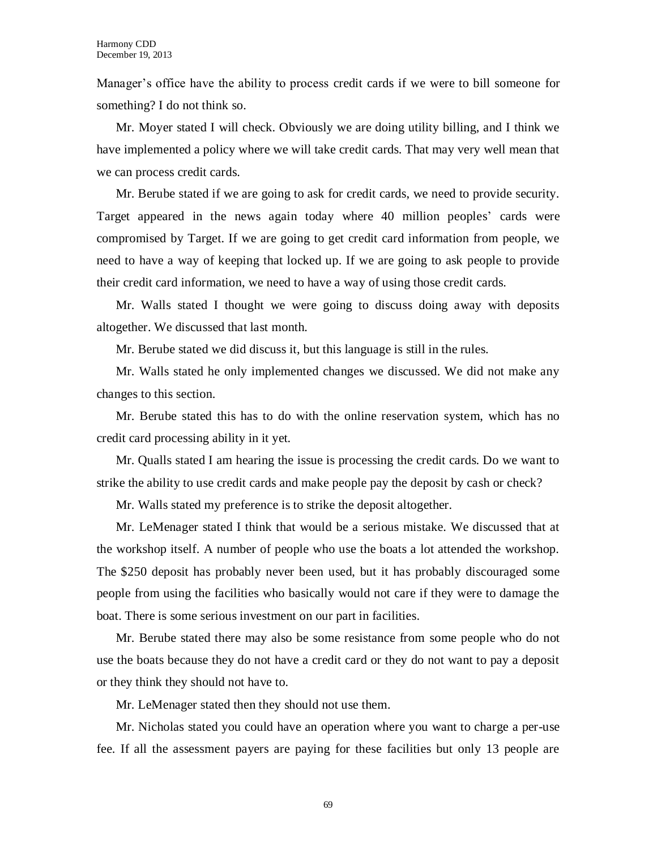Manager's office have the ability to process credit cards if we were to bill someone for something? I do not think so.

Mr. Moyer stated I will check. Obviously we are doing utility billing, and I think we have implemented a policy where we will take credit cards. That may very well mean that we can process credit cards.

Mr. Berube stated if we are going to ask for credit cards, we need to provide security. Target appeared in the news again today where 40 million peoples' cards were compromised by Target. If we are going to get credit card information from people, we need to have a way of keeping that locked up. If we are going to ask people to provide their credit card information, we need to have a way of using those credit cards.

Mr. Walls stated I thought we were going to discuss doing away with deposits altogether. We discussed that last month.

Mr. Berube stated we did discuss it, but this language is still in the rules.

Mr. Walls stated he only implemented changes we discussed. We did not make any changes to this section.

Mr. Berube stated this has to do with the online reservation system, which has no credit card processing ability in it yet.

Mr. Qualls stated I am hearing the issue is processing the credit cards. Do we want to strike the ability to use credit cards and make people pay the deposit by cash or check?

Mr. Walls stated my preference is to strike the deposit altogether.

Mr. LeMenager stated I think that would be a serious mistake. We discussed that at the workshop itself. A number of people who use the boats a lot attended the workshop. The \$250 deposit has probably never been used, but it has probably discouraged some people from using the facilities who basically would not care if they were to damage the boat. There is some serious investment on our part in facilities.

Mr. Berube stated there may also be some resistance from some people who do not use the boats because they do not have a credit card or they do not want to pay a deposit or they think they should not have to.

Mr. LeMenager stated then they should not use them.

Mr. Nicholas stated you could have an operation where you want to charge a per-use fee. If all the assessment payers are paying for these facilities but only 13 people are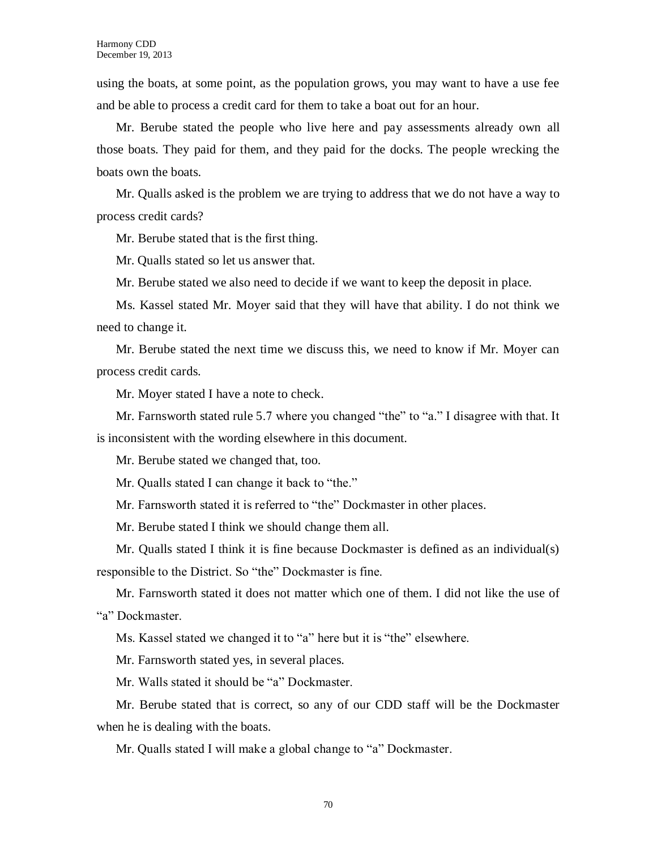using the boats, at some point, as the population grows, you may want to have a use fee and be able to process a credit card for them to take a boat out for an hour.

Mr. Berube stated the people who live here and pay assessments already own all those boats. They paid for them, and they paid for the docks. The people wrecking the boats own the boats.

Mr. Qualls asked is the problem we are trying to address that we do not have a way to process credit cards?

Mr. Berube stated that is the first thing.

Mr. Qualls stated so let us answer that.

Mr. Berube stated we also need to decide if we want to keep the deposit in place.

Ms. Kassel stated Mr. Moyer said that they will have that ability. I do not think we need to change it.

Mr. Berube stated the next time we discuss this, we need to know if Mr. Moyer can process credit cards.

Mr. Moyer stated I have a note to check.

Mr. Farnsworth stated rule 5.7 where you changed "the" to "a." I disagree with that. It is inconsistent with the wording elsewhere in this document.

Mr. Berube stated we changed that, too.

Mr. Qualls stated I can change it back to "the."

Mr. Farnsworth stated it is referred to "the" Dockmaster in other places.

Mr. Berube stated I think we should change them all.

Mr. Qualls stated I think it is fine because Dockmaster is defined as an individual(s) responsible to the District. So "the" Dockmaster is fine.

Mr. Farnsworth stated it does not matter which one of them. I did not like the use of "a" Dockmaster.

Ms. Kassel stated we changed it to "a" here but it is "the" elsewhere.

Mr. Farnsworth stated yes, in several places.

Mr. Walls stated it should be "a" Dockmaster.

Mr. Berube stated that is correct, so any of our CDD staff will be the Dockmaster when he is dealing with the boats.

Mr. Qualls stated I will make a global change to "a" Dockmaster.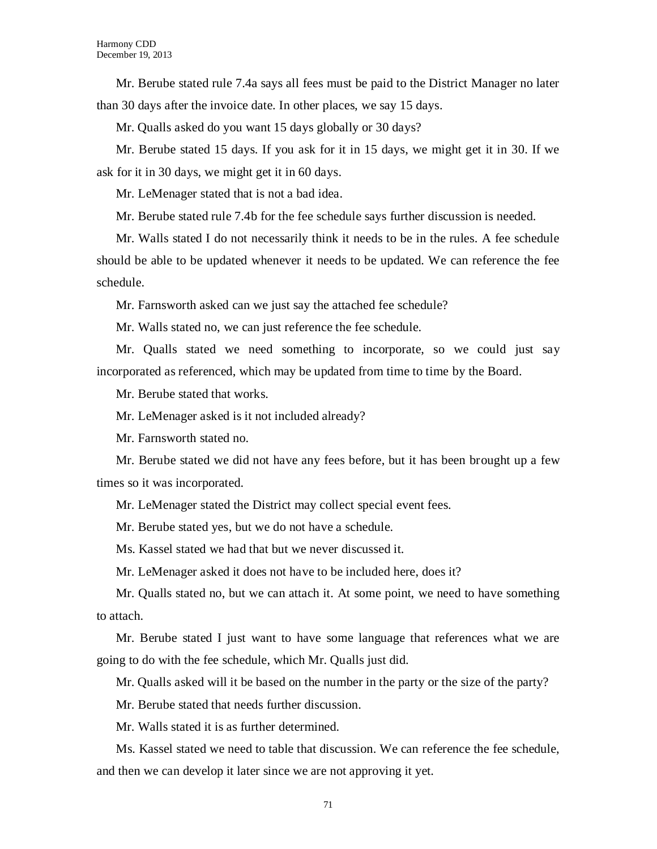Mr. Berube stated rule 7.4a says all fees must be paid to the District Manager no later than 30 days after the invoice date. In other places, we say 15 days.

Mr. Qualls asked do you want 15 days globally or 30 days?

Mr. Berube stated 15 days. If you ask for it in 15 days, we might get it in 30. If we ask for it in 30 days, we might get it in 60 days.

Mr. LeMenager stated that is not a bad idea.

Mr. Berube stated rule 7.4b for the fee schedule says further discussion is needed.

Mr. Walls stated I do not necessarily think it needs to be in the rules. A fee schedule should be able to be updated whenever it needs to be updated. We can reference the fee schedule.

Mr. Farnsworth asked can we just say the attached fee schedule?

Mr. Walls stated no, we can just reference the fee schedule.

Mr. Qualls stated we need something to incorporate, so we could just say incorporated as referenced, which may be updated from time to time by the Board.

Mr. Berube stated that works.

Mr. LeMenager asked is it not included already?

Mr. Farnsworth stated no.

Mr. Berube stated we did not have any fees before, but it has been brought up a few times so it was incorporated.

Mr. LeMenager stated the District may collect special event fees.

Mr. Berube stated yes, but we do not have a schedule.

Ms. Kassel stated we had that but we never discussed it.

Mr. LeMenager asked it does not have to be included here, does it?

Mr. Qualls stated no, but we can attach it. At some point, we need to have something to attach.

Mr. Berube stated I just want to have some language that references what we are going to do with the fee schedule, which Mr. Qualls just did.

Mr. Qualls asked will it be based on the number in the party or the size of the party?

Mr. Berube stated that needs further discussion.

Mr. Walls stated it is as further determined.

Ms. Kassel stated we need to table that discussion. We can reference the fee schedule, and then we can develop it later since we are not approving it yet.